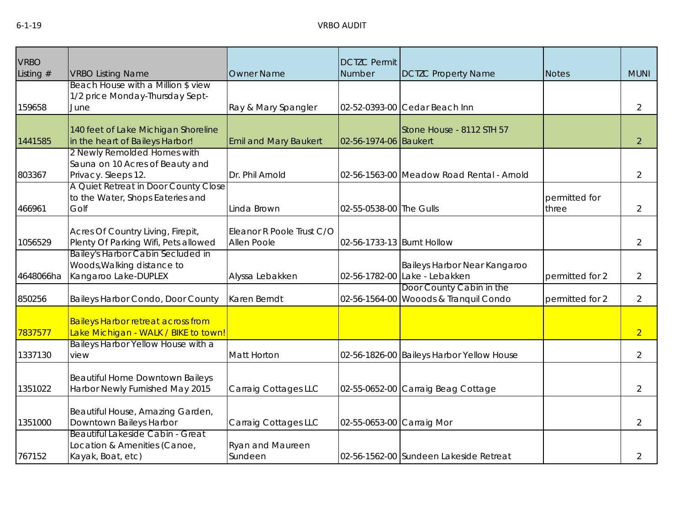| <b>VRBO</b>           |                                                                                                           | <b>Owner Name</b>                        | <b>DCTZC Permit</b><br>Number |                                                                   |                        | <b>MUNI</b>    |
|-----------------------|-----------------------------------------------------------------------------------------------------------|------------------------------------------|-------------------------------|-------------------------------------------------------------------|------------------------|----------------|
| Listing $#$<br>159658 | <b>VRBO Listing Name</b><br>Beach House with a Million \$ view<br>1/2 price Monday-Thursday Sept-<br>June | Ray & Mary Spangler                      |                               | <b>DCTZC Property Name</b><br>02-52-0393-00 Cedar Beach Inn       | <b>Notes</b>           | $\overline{2}$ |
| 1441585               | 140 feet of Lake Michigan Shoreline<br>in the heart of Baileys Harbor!                                    | <b>Emil and Mary Baukert</b>             | 02-56-1974-06 Baukert         | Stone House - 8112 STH 57                                         |                        | $\overline{2}$ |
| 803367                | 2 Newly Remolded Homes with<br>Sauna on 10 Acres of Beauty and<br>Privacy. Sleeps 12.                     | Dr. Phil Arnold                          |                               | 02-56-1563-00 Meadow Road Rental - Arnold                         |                        | $\overline{2}$ |
| 466961                | A Quiet Retreat in Door County Close<br>to the Water, Shops Eateries and<br>Golf                          | Linda Brown                              | 02-55-0538-00 The Gulls       |                                                                   | permitted for<br>three | $\overline{2}$ |
| 1056529               | Acres Of Country Living, Firepit,<br>Plenty Of Parking Wifi, Pets allowed                                 | Eleanor R Poole Trust C/O<br>Allen Poole | 02-56-1733-13 Burnt Hollow    |                                                                   |                        | 2              |
| 4648066ha             | Bailey's Harbor Cabin Secluded in<br>Woods, Walking distance to<br>Kangaroo Lake-DUPLEX                   | Alyssa Lebakken                          |                               | Baileys Harbor Near Kangaroo<br>02-56-1782-00 Lake - Lebakken     | permitted for 2        | 2              |
| 850256                | Baileys Harbor Condo, Door County                                                                         | Karen Berndt                             |                               | Door County Cabin in the<br>02-56-1564-00 Wooods & Tranquil Condo | permitted for 2        | 2              |
| 7837577               | <b>Baileys Harbor retreat across from</b><br>Lake Michigan - WALK / BIKE to town!                         |                                          |                               |                                                                   |                        | $\overline{2}$ |
| 1337130               | Baileys Harbor Yellow House with a<br>view                                                                | <b>Matt Horton</b>                       |                               | 02-56-1826-00 Baileys Harbor Yellow House                         |                        | 2              |
| 1351022               | Beautiful Home Downtown Baileys<br>Harbor Newly Furnished May 2015                                        | Carraig Cottages LLC                     |                               | 02-55-0652-00 Carraig Beag Cottage                                |                        | $\overline{2}$ |
| 1351000               | Beautiful House, Amazing Garden,<br>Downtown Baileys Harbor                                               | Carraig Cottages LLC                     | 02-55-0653-00 Carraig Mor     |                                                                   |                        | $\overline{2}$ |
| 767152                | Beautiful Lakeside Cabin - Great<br>Location & Amenities (Canoe,<br>Kayak, Boat, etc)                     | Ryan and Maureen<br>Sundeen              |                               | 02-56-1562-00 Sundeen Lakeside Retreat                            |                        | 2              |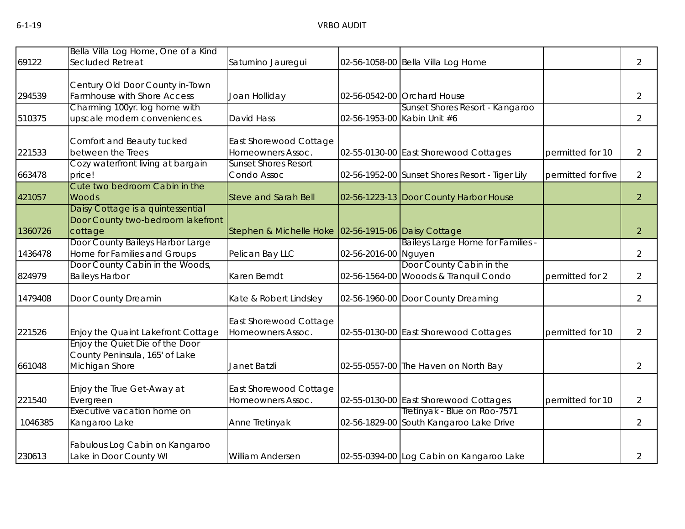|         | Bella Villa Log Home, One of a Kind                             |                                                     |                      |                                                                   |                    |                |
|---------|-----------------------------------------------------------------|-----------------------------------------------------|----------------------|-------------------------------------------------------------------|--------------------|----------------|
| 69122   | Secluded Retreat                                                | Saturnino Jauregui                                  |                      | 02-56-1058-00 Bella Villa Log Home                                |                    | $\overline{2}$ |
|         |                                                                 |                                                     |                      |                                                                   |                    |                |
|         | Century Old Door County in-Town                                 |                                                     |                      |                                                                   |                    |                |
| 294539  | Farmhouse with Shore Access                                     | Joan Holliday                                       |                      | 02-56-0542-00 Orchard House                                       |                    | 2              |
| 510375  | Charming 100yr. log home with<br>upscale modern conveniences.   | David Hass                                          |                      | Sunset Shores Resort - Kangaroo<br>02-56-1953-00 Kabin Unit #6    |                    | $\overline{2}$ |
|         |                                                                 |                                                     |                      |                                                                   |                    |                |
|         | Comfort and Beauty tucked                                       | East Shorewood Cottage                              |                      |                                                                   |                    |                |
| 221533  | between the Trees                                               | Homeowners Assoc.                                   |                      | 02-55-0130-00 East Shorewood Cottages                             | permitted for 10   | 2              |
|         | Cozy waterfront living at bargain                               | <b>Sunset Shores Resort</b>                         |                      |                                                                   |                    |                |
| 663478  | price!                                                          | Condo Assoc                                         |                      | 02-56-1952-00 Sunset Shores Resort - Tiger Lily                   | permitted for five | $\overline{2}$ |
|         | Cute two bedroom Cabin in the                                   |                                                     |                      |                                                                   |                    |                |
| 421057  | <b>Woods</b>                                                    | <b>Steve and Sarah Bell</b>                         |                      | 02-56-1223-13 Door County Harbor House                            |                    | $\overline{2}$ |
|         | Daisy Cottage is a quintessential                               |                                                     |                      |                                                                   |                    |                |
|         | Door County two-bedroom lakefront                               |                                                     |                      |                                                                   |                    |                |
| 1360726 | cottage                                                         | Stephen & Michelle Hoke 02-56-1915-06 Daisy Cottage |                      |                                                                   |                    | $\overline{2}$ |
|         | Door County Baileys Harbor Large                                |                                                     |                      | Baileys Large Home for Families -                                 |                    |                |
| 1436478 | Home for Families and Groups<br>Door County Cabin in the Woods, | Pelican Bay LLC                                     | 02-56-2016-00 Nguyen |                                                                   |                    | $\overline{2}$ |
| 824979  | <b>Baileys Harbor</b>                                           | Karen Berndt                                        |                      | Door County Cabin in the<br>02-56-1564-00 Wooods & Tranquil Condo | permitted for 2    | 2              |
|         |                                                                 |                                                     |                      |                                                                   |                    |                |
| 1479408 | Door County Dreamin                                             | Kate & Robert Lindsley                              |                      | 02-56-1960-00 Door County Dreaming                                |                    | $\overline{2}$ |
|         |                                                                 | East Shorewood Cottage                              |                      |                                                                   |                    |                |
| 221526  | Enjoy the Quaint Lakefront Cottage                              | Homeowners Assoc.                                   |                      | 02-55-0130-00 East Shorewood Cottages                             | permitted for 10   | $\overline{2}$ |
|         | Enjoy the Quiet Die of the Door                                 |                                                     |                      |                                                                   |                    |                |
|         | County Peninsula, 165' of Lake                                  |                                                     |                      |                                                                   |                    |                |
| 661048  | Michigan Shore                                                  | Janet Batzli                                        |                      | 02-55-0557-00 The Haven on North Bay                              |                    | $\overline{2}$ |
|         |                                                                 |                                                     |                      |                                                                   |                    |                |
|         | Enjoy the True Get-Away at                                      | East Shorewood Cottage                              |                      |                                                                   |                    |                |
| 221540  | Evergreen                                                       | Homeowners Assoc.                                   |                      | 02-55-0130-00 East Shorewood Cottages                             | permitted for 10   | $\overline{2}$ |
|         | Executive vacation home on                                      |                                                     |                      | Tretinyak - Blue on Roo-7571                                      |                    |                |
| 1046385 | Kangaroo Lake                                                   | Anne Tretinyak                                      |                      | 02-56-1829-00 South Kangaroo Lake Drive                           |                    | $\overline{2}$ |
|         | Fabulous Log Cabin on Kangaroo                                  |                                                     |                      |                                                                   |                    |                |
| 230613  | Lake in Door County WI                                          | <b>William Andersen</b>                             |                      | 02-55-0394-00 Log Cabin on Kangaroo Lake                          |                    | $\overline{2}$ |
|         |                                                                 |                                                     |                      |                                                                   |                    |                |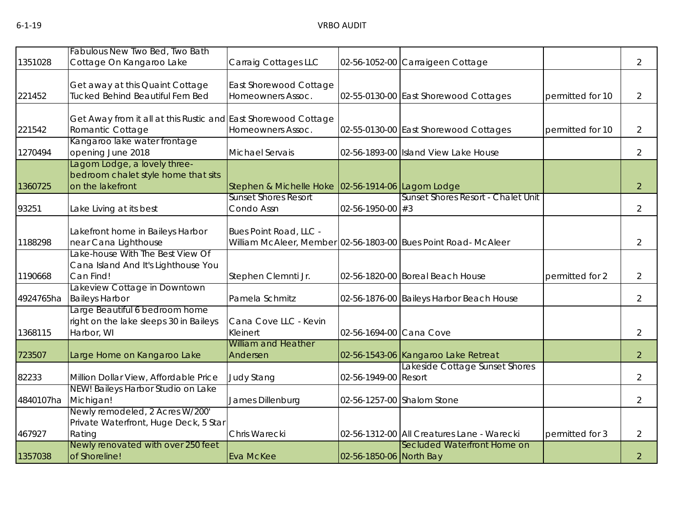|           | Fabulous New Two Bed, Two Bath                                                          |                                                   |                          |                                                                |                  |                |
|-----------|-----------------------------------------------------------------------------------------|---------------------------------------------------|--------------------------|----------------------------------------------------------------|------------------|----------------|
| 1351028   | Cottage On Kangaroo Lake                                                                | Carraig Cottages LLC                              |                          | 02-56-1052-00 Carraigeen Cottage                               |                  | 2              |
| 221452    | Get away at this Quaint Cottage<br>Tucked Behind Beautiful Fern Bed                     | East Shorewood Cottage<br>Homeowners Assoc.       |                          | 02-55-0130-00 East Shorewood Cottages                          | permitted for 10 | $\overline{2}$ |
| 221542    | Get Away from it all at this Rustic and East Shorewood Cottage<br>Romantic Cottage      | Homeowners Assoc.                                 |                          | 02-55-0130-00 East Shorewood Cottages                          | permitted for 10 | $\overline{2}$ |
| 1270494   | Kangaroo lake water frontage<br>opening June 2018                                       | Michael Servais                                   |                          | 02-56-1893-00 Island View Lake House                           |                  | $\overline{2}$ |
| 1360725   | Lagom Lodge, a lovely three-<br>bedroom chalet style home that sits<br>on the lakefront | Stephen & Michelle Hoke 02-56-1914-06 Lagom Lodge |                          |                                                                |                  | $\overline{2}$ |
| 93251     | Lake Living at its best                                                                 | <b>Sunset Shores Resort</b><br>Condo Assn         | $02 - 56 - 1950 - 00$ #3 | Sunset Shores Resort - Chalet Unit                             |                  | $\overline{2}$ |
| 1188298   | Lakefront home in Baileys Harbor<br>near Cana Lighthouse                                | Bues Point Road, LLC -                            |                          | William McAleer, Member 02-56-1803-00 Bues Point Road- McAleer |                  | $\overline{2}$ |
| 1190668   | Lake-house With The Best View Of<br>Cana Island And It's Lighthouse You<br>Can Find!    | Stephen Clemnti Jr.                               |                          | 02-56-1820-00 Boreal Beach House                               | permitted for 2  | 2              |
| 4924765ha | Lakeview Cottage in Downtown<br><b>Baileys Harbor</b>                                   | Pamela Schmitz                                    |                          | 02-56-1876-00 Baileys Harbor Beach House                       |                  | $\overline{2}$ |
| 1368115   | Large Beautiful 6 bedroom home<br>right on the lake sleeps 30 in Baileys<br>Harbor, WI  | Cana Cove LLC - Kevin<br>Kleinert                 | 02-56-1694-00 Cana Cove  |                                                                |                  | $\overline{2}$ |
| 723507    | Large Home on Kangaroo Lake                                                             | <b>William and Heather</b><br>Andersen            |                          | 02-56-1543-06 Kangaroo Lake Retreat                            |                  | $\overline{2}$ |
| 82233     | Million Dollar View, Affordable Price                                                   | <b>Judy Stang</b>                                 | 02-56-1949-00 Resort     | Lakeside Cottage Sunset Shores                                 |                  | $\overline{2}$ |
| 4840107ha | NEW! Baileys Harbor Studio on Lake<br>Michigan!                                         | James Dillenburg                                  |                          | 02-56-1257-00 Shalom Stone                                     |                  | $\overline{2}$ |
| 467927    | Newly remodeled, 2 Acres W/200'<br>Private Waterfront, Huge Deck, 5 Star<br>Rating      | Chris Warecki                                     |                          | 02-56-1312-00 All Creatures Lane - Warecki                     | permitted for 3  | $\overline{2}$ |
| 1357038   | Newly renovated with over 250 feet<br>of Shoreline!                                     | Eva McKee                                         | 02-56-1850-06 North Bay  | Secluded Waterfront Home on                                    |                  | 2 <sup>1</sup> |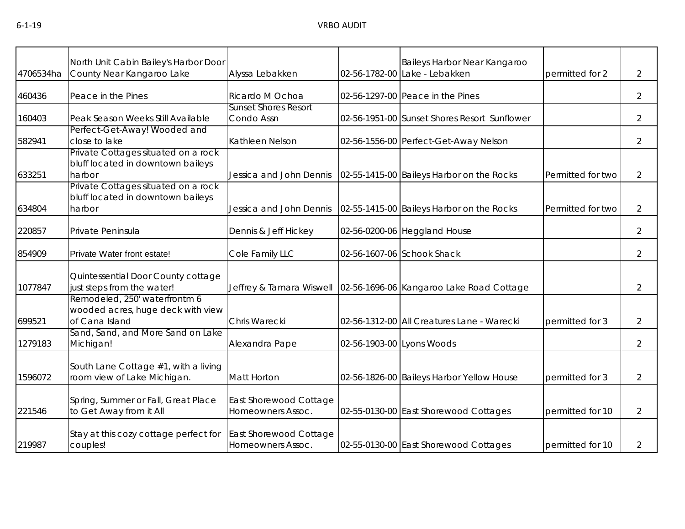| 4706534ha | North Unit Cabin Bailey's Harbor Door<br>County Near Kangaroo Lake                   | Alyssa Lebakken                             |                           | Baileys Harbor Near Kangaroo<br>02-56-1782-00 Lake - Lebakken | permitted for 2   | $\overline{2}$ |
|-----------|--------------------------------------------------------------------------------------|---------------------------------------------|---------------------------|---------------------------------------------------------------|-------------------|----------------|
| 460436    | Peace in the Pines                                                                   | Ricardo M Ochoa                             |                           | 02-56-1297-00 Peace in the Pines                              |                   | $\overline{2}$ |
| 160403    | Peak Season Weeks Still Available                                                    | <b>Sunset Shores Resort</b><br>Condo Assn   |                           | 02-56-1951-00 Sunset Shores Resort Sunflower                  |                   | 2              |
| 582941    | Perfect-Get-Away! Wooded and<br>close to lake                                        | Kathleen Nelson                             |                           | 02-56-1556-00 Perfect-Get-Away Nelson                         |                   | $\overline{2}$ |
| 633251    | Private Cottages situated on a rock<br>bluff located in downtown baileys<br>harbor   | Jessica and John Dennis                     |                           | 02-55-1415-00 Baileys Harbor on the Rocks                     | Permitted for two | $\overline{2}$ |
| 634804    | Private Cottages situated on a rock<br>bluff located in downtown baileys<br>harbor   | Jessica and John Dennis                     |                           | 02-55-1415-00 Baileys Harbor on the Rocks                     | Permitted for two | $\overline{2}$ |
| 220857    | Private Peninsula                                                                    | Dennis & Jeff Hickey                        |                           | 02-56-0200-06 Heggland House                                  |                   | $\overline{2}$ |
| 854909    | Private Water front estate!                                                          | Cole Family LLC                             |                           | 02-56-1607-06 Schook Shack                                    |                   | $\overline{2}$ |
| 1077847   | Quintessential Door County cottage<br>just steps from the water!                     | Jeffrey & Tamara Wiswell                    |                           | 02-56-1696-06 Kangaroo Lake Road Cottage                      |                   | $\overline{2}$ |
| 699521    | Remodeled, 250' waterfrontm 6<br>wooded acres, huge deck with view<br>of Cana Island | Chris Warecki                               |                           | 02-56-1312-00 All Creatures Lane - Warecki                    | permitted for 3   | $\overline{2}$ |
| 1279183   | Sand, Sand, and More Sand on Lake<br>Michigan!                                       | Alexandra Pape                              | 02-56-1903-00 Lyons Woods |                                                               |                   | $\overline{2}$ |
| 1596072   | South Lane Cottage #1, with a living<br>room view of Lake Michigan.                  | Matt Horton                                 |                           | 02-56-1826-00 Baileys Harbor Yellow House                     | permitted for 3   | $\overline{2}$ |
| 221546    | Spring, Summer or Fall, Great Place<br>to Get Away from it All                       | East Shorewood Cottage<br>Homeowners Assoc. |                           | 02-55-0130-00 East Shorewood Cottages                         | permitted for 10  | $\overline{2}$ |
| 219987    | Stay at this cozy cottage perfect for<br>couples!                                    | East Shorewood Cottage<br>Homeowners Assoc. |                           | 02-55-0130-00 East Shorewood Cottages                         | permitted for 10  | 2              |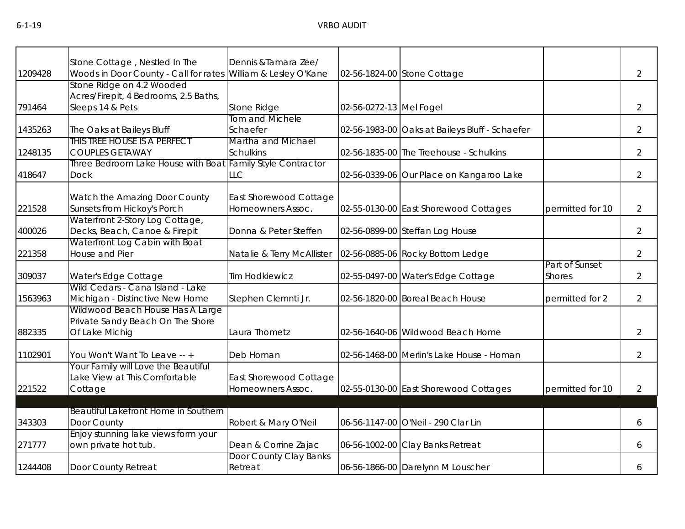|         | Stone Cottage, Nestled In The                                    | Dennis & Tamara Zee/       |                         |                                                |                  |                |
|---------|------------------------------------------------------------------|----------------------------|-------------------------|------------------------------------------------|------------------|----------------|
| 1209428 | Woods in Door County - Call for rates William & Lesley O'Kane    |                            |                         | 02-56-1824-00 Stone Cottage                    |                  | $\overline{2}$ |
|         | Stone Ridge on 4.2 Wooded                                        |                            |                         |                                                |                  |                |
|         | Acres/Firepit, 4 Bedrooms, 2.5 Baths,                            |                            |                         |                                                |                  |                |
| 791464  | Sleeps 14 & Pets                                                 | Stone Ridge                | 02-56-0272-13 Mel Fogel |                                                |                  | $\overline{2}$ |
|         |                                                                  | Tom and Michele            |                         |                                                |                  |                |
| 1435263 | The Oaks at Baileys Bluff                                        | Schaefer                   |                         | 02-56-1983-00 Oaks at Baileys Bluff - Schaefer |                  | $\overline{2}$ |
|         | THIS TREE HOUSE IS A PERFECT                                     | Martha and Michael         |                         |                                                |                  |                |
| 1248135 | <b>COUPLES GETAWAY</b>                                           | <b>Schulkins</b>           |                         | 02-56-1835-00 The Treehouse - Schulkins        |                  | $\overline{2}$ |
|         | Three Bedroom Lake House with Boat Family Style Contractor       |                            |                         |                                                |                  |                |
| 418647  | <b>Dock</b>                                                      | <b>LLC</b>                 |                         | 02-56-0339-06 Our Place on Kangaroo Lake       |                  | $\overline{2}$ |
|         |                                                                  |                            |                         |                                                |                  |                |
|         | Watch the Amazing Door County                                    | East Shorewood Cottage     |                         |                                                |                  |                |
| 221528  | Sunsets from Hickoy's Porch                                      | Homeowners Assoc.          |                         | 02-55-0130-00 East Shorewood Cottages          | permitted for 10 | $\overline{2}$ |
| 400026  | Waterfront 2-Story Log Cottage,<br>Decks, Beach, Canoe & Firepit | Donna & Peter Steffen      |                         |                                                |                  | $\overline{2}$ |
|         | Waterfront Log Cabin with Boat                                   |                            |                         | 02-56-0899-00 Steffan Log House                |                  |                |
| 221358  | House and Pier                                                   |                            |                         |                                                |                  | $\overline{2}$ |
|         |                                                                  | Natalie & Terry McAllister |                         | 02-56-0885-06 Rocky Bottom Ledge               | Part of Sunset   |                |
| 309037  | Water's Edge Cottage                                             | <b>Tim Hodkiewicz</b>      |                         | 02-55-0497-00 Water's Edge Cottage             | <b>Shores</b>    | $\overline{2}$ |
|         | Wild Cedars - Cana Island - Lake                                 |                            |                         |                                                |                  |                |
| 1563963 | Michigan - Distinctive New Home                                  | Stephen Clemnti Jr.        |                         | 02-56-1820-00 Boreal Beach House               | permitted for 2  | $\overline{2}$ |
|         | Wildwood Beach House Has A Large                                 |                            |                         |                                                |                  |                |
|         | Private Sandy Beach On The Shore                                 |                            |                         |                                                |                  |                |
| 882335  | Of Lake Michig                                                   | Laura Thometz              |                         | 02-56-1640-06 Wildwood Beach Home              |                  | $\overline{2}$ |
|         |                                                                  |                            |                         |                                                |                  |                |
| 1102901 | You Won't Want To Leave -- +                                     | Deb Homan                  |                         | 02-56-1468-00 Merlin's Lake House - Homan      |                  | $\overline{2}$ |
|         | Your Family will Love the Beautiful                              |                            |                         |                                                |                  |                |
|         | Lake View at This Comfortable                                    | East Shorewood Cottage     |                         |                                                |                  |                |
| 221522  | Cottage                                                          | Homeowners Assoc.          |                         | 02-55-0130-00 East Shorewood Cottages          | permitted for 10 | $\overline{2}$ |
|         |                                                                  |                            |                         |                                                |                  |                |
|         | Beautiful Lakefront Home in Southern                             |                            |                         |                                                |                  |                |
| 343303  | Door County                                                      | Robert & Mary O'Neil       |                         | 06-56-1147-00 O'Neil - 290 Clar Lin            |                  | 6              |
|         | Enjoy stunning lake views form your                              |                            |                         |                                                |                  |                |
| 271777  | own private hot tub.                                             | Dean & Corrine Zajac       |                         | 06-56-1002-00 Clay Banks Retreat               |                  | 6              |
|         |                                                                  | Door County Clay Banks     |                         |                                                |                  |                |
| 1244408 | Door County Retreat                                              | Retreat                    |                         | 06-56-1866-00 Darelynn M Louscher              |                  | 6              |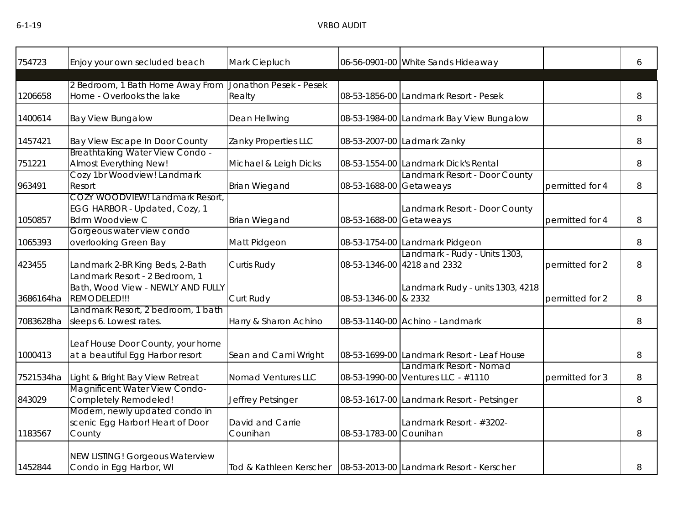| 754723    | Enjoy your own secluded beach                                                              | Mark Ciepluch                |                         | 06-56-0901-00 White Sands Hideaway                                 |                 | 6 |
|-----------|--------------------------------------------------------------------------------------------|------------------------------|-------------------------|--------------------------------------------------------------------|-----------------|---|
|           |                                                                                            |                              |                         |                                                                    |                 |   |
| 1206658   | 2 Bedroom, 1 Bath Home Away From Jonathon Pesek - Pesek<br>Home - Overlooks the lake       | Realty                       |                         | 08-53-1856-00 Landmark Resort - Pesek                              |                 | 8 |
| 1400614   | <b>Bay View Bungalow</b>                                                                   | Dean Hellwing                |                         | 08-53-1984-00 Landmark Bay View Bungalow                           |                 | 8 |
| 1457421   | Bay View Escape In Door County                                                             | Zanky Properties LLC         |                         | 08-53-2007-00 Ladmark Zanky                                        |                 | 8 |
| 751221    | Breathtaking Water View Condo -<br>Almost Everything New!                                  | Michael & Leigh Dicks        |                         | 08-53-1554-00 Landmark Dick's Rental                               |                 | 8 |
| 963491    | Cozy 1br Woodview! Landmark<br>Resort                                                      | <b>Brian Wiegand</b>         | 08-53-1688-00 Getaweays | Landmark Resort - Door County                                      | permitted for 4 | 8 |
| 1050857   | COZY WOODVIEW! Landmark Resort,<br>EGG HARBOR - Updated, Cozy, 1<br><b>Bdrm Woodview C</b> | <b>Brian Wiegand</b>         | 08-53-1688-00 Getaweays | Landmark Resort - Door County                                      | permitted for 4 | 8 |
| 1065393   | Gorgeous water view condo<br>overlooking Green Bay                                         | Matt Pidgeon                 |                         | 08-53-1754-00 Landmark Pidgeon                                     |                 | 8 |
| 423455    | Landmark 2-BR King Beds, 2-Bath                                                            | Curtis Rudy                  |                         | Landmark - Rudy - Units 1303,<br>08-53-1346-00 4218 and 2332       | permitted for 2 | 8 |
| 3686164ha | Landmark Resort - 2 Bedroom, 1<br>Bath, Wood View - NEWLY AND FULLY<br>REMODELED!!!        | Curt Rudy                    | 08-53-1346-00 & 2332    | Landmark Rudy - units 1303, 4218                                   | permitted for 2 | 8 |
| 7083628ha | Landmark Resort, 2 bedroom, 1 bath<br>sleeps 6. Lowest rates.                              | Harry & Sharon Achino        |                         | 08-53-1140-00 Achino - Landmark                                    |                 | 8 |
| 1000413   | Leaf House Door County, your home<br>at a beautiful Egg Harbor resort                      | Sean and Cami Wright         |                         | 08-53-1699-00 Landmark Resort - Leaf House                         |                 | 8 |
| 7521534ha | Light & Bright Bay View Retreat                                                            | Nomad Ventures LLC           |                         | Landmark Resort - Nomad<br>08-53-1990-00 Ventures LLC - #1110      | permitted for 3 | 8 |
| 843029    | Magnificent Water View Condo-<br>Completely Remodeled!                                     | Jeffrey Petsinger            |                         | 08-53-1617-00 Landmark Resort - Petsinger                          |                 | 8 |
| 1183567   | Modern, newly updated condo in<br>scenic Egg Harbor! Heart of Door<br>County               | David and Carrie<br>Counihan | 08-53-1783-00 Counihan  | Landmark Resort - #3202-                                           |                 | 8 |
| 1452844   | <b>NEW LISTING! Gorgeous Waterview</b><br>Condo in Egg Harbor, WI                          |                              |                         | Tod & Kathleen Kerscher   08-53-2013-00 Landmark Resort - Kerscher |                 | 8 |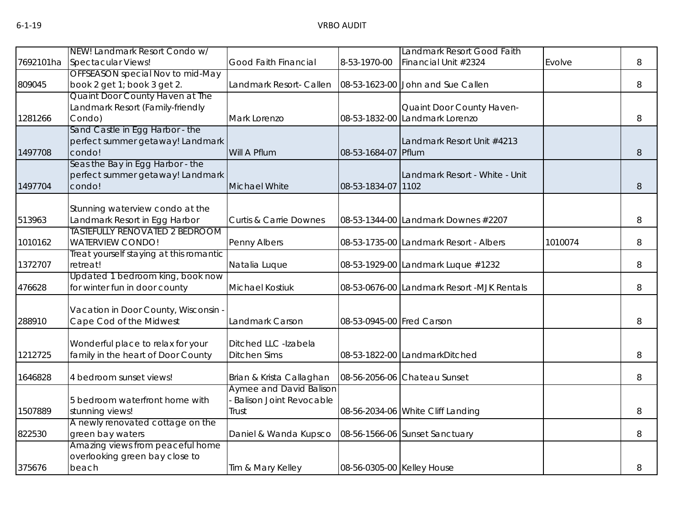|           | NEW! Landmark Resort Condo w/           |                                   |                            | Landmark Resort Good Faith                 |         |   |
|-----------|-----------------------------------------|-----------------------------------|----------------------------|--------------------------------------------|---------|---|
| 7692101ha | Spectacular Views!                      | Good Faith Financial              | 8-53-1970-00               | Financial Unit #2324                       | Evolve  | 8 |
|           | OFFSEASON special Nov to mid-May        |                                   |                            |                                            |         |   |
| 809045    | book 2 get 1; book 3 get 2.             | Landmark Resort- Callen           |                            | 08-53-1623-00 John and Sue Callen          |         | 8 |
|           | Quaint Door County Haven at The         |                                   |                            |                                            |         |   |
|           | Landmark Resort (Family-friendly        |                                   |                            | Quaint Door County Haven-                  |         |   |
| 1281266   | Condo)                                  | Mark Lorenzo                      |                            | 08-53-1832-00 Landmark Lorenzo             |         | 8 |
|           | Sand Castle in Egg Harbor - the         |                                   |                            |                                            |         |   |
|           | perfect summer getaway! Landmark        |                                   |                            | Landmark Resort Unit #4213                 |         |   |
| 1497708   | condo!                                  | Will A Pflum                      | 08-53-1684-07              | Pflum                                      |         | 8 |
|           | Seas the Bay in Egg Harbor - the        |                                   |                            |                                            |         |   |
|           | perfect summer getaway! Landmark        |                                   |                            | Landmark Resort - White - Unit             |         |   |
| 1497704   | condo!                                  | <b>Michael White</b>              | 08-53-1834-07              | 1102                                       |         | 8 |
|           |                                         |                                   |                            |                                            |         |   |
|           | Stunning waterview condo at the         |                                   |                            |                                            |         |   |
| 513963    | Landmark Resort in Egg Harbor           | <b>Curtis &amp; Carrie Downes</b> |                            | 08-53-1344-00 Landmark Downes #2207        |         | 8 |
|           | <b>TASTEFULLY RENOVATED 2 BEDROOM</b>   |                                   |                            |                                            |         |   |
| 1010162   | <b>WATERVIEW CONDO!</b>                 | Penny Albers                      |                            | 08-53-1735-00 Landmark Resort - Albers     | 1010074 | 8 |
|           | Treat yourself staying at this romantic |                                   |                            |                                            |         |   |
| 1372707   | retreat!                                | Natalia Luque                     |                            | 08-53-1929-00 Landmark Luque #1232         |         | 8 |
|           | Updated 1 bedroom king, book now        |                                   |                            |                                            |         |   |
| 476628    | for winter fun in door county           | Michael Kostiuk                   |                            | 08-53-0676-00 Landmark Resort -MJK Rentals |         | 8 |
|           | Vacation in Door County, Wisconsin -    |                                   |                            |                                            |         |   |
| 288910    | Cape Cod of the Midwest                 | Landmark Carson                   | 08-53-0945-00 Fred Carson  |                                            |         | 8 |
|           |                                         |                                   |                            |                                            |         |   |
|           | Wonderful place to relax for your       | Ditched LLC -Izabela              |                            |                                            |         |   |
| 1212725   | family in the heart of Door County      | <b>Ditchen Sims</b>               |                            | 08-53-1822-00 LandmarkDitched              |         | 8 |
|           |                                         |                                   |                            |                                            |         |   |
| 1646828   | 4 bedroom sunset views!                 | Brian & Krista Callaghan          |                            | 08-56-2056-06 Chateau Sunset               |         | 8 |
|           |                                         | <b>Aymee and David Balison</b>    |                            |                                            |         |   |
|           | 5 bedroom waterfront home with          | <b>Balison Joint Revocable</b>    |                            |                                            |         |   |
| 1507889   | stunning views!                         | Trust                             |                            | 08-56-2034-06 White Cliff Landing          |         | 8 |
|           | A newly renovated cottage on the        |                                   |                            |                                            |         |   |
| 822530    | green bay waters                        | Daniel & Wanda Kupsco             |                            | 08-56-1566-06 Sunset Sanctuary             |         | 8 |
|           | Amazing views from peaceful home        |                                   |                            |                                            |         |   |
|           | overlooking green bay close to          |                                   |                            |                                            |         |   |
| 375676    | beach                                   | Tim & Mary Kelley                 | 08-56-0305-00 Kelley House |                                            |         | 8 |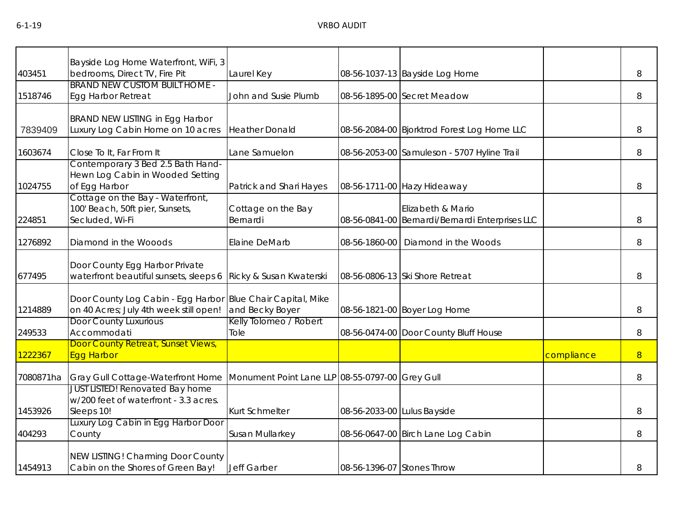| 403451    | Bayside Log Home Waterfront, WiFi, 3<br>bedrooms, Direct TV, Fire Pit                         | Laurel Key                                      |                             | 08-56-1037-13 Bayside Log Home                                       |            | 8              |
|-----------|-----------------------------------------------------------------------------------------------|-------------------------------------------------|-----------------------------|----------------------------------------------------------------------|------------|----------------|
| 1518746   | <b>BRAND NEW CUSTOM BUILT HOME -</b><br>Egg Harbor Retreat                                    | John and Susie Plumb                            |                             | 08-56-1895-00 Secret Meadow                                          |            | 8              |
| 7839409   | BRAND NEW LISTING in Egg Harbor<br>Luxury Log Cabin Home on 10 acres                          | <b>Heather Donald</b>                           |                             | 08-56-2084-00 Bjorktrod Forest Log Home LLC                          |            | 8              |
| 1603674   | Close To It, Far From It                                                                      | Lane Samuelon                                   |                             | 08-56-2053-00 Samuleson - 5707 Hyline Trail                          |            | 8              |
| 1024755   | Contemporary 3 Bed 2.5 Bath Hand-<br>Hewn Log Cabin in Wooded Setting<br>of Egg Harbor        | Patrick and Shari Hayes                         |                             | 08-56-1711-00 Hazy Hideaway                                          |            | 8              |
| 224851    | Cottage on the Bay - Waterfront,<br>100' Beach, 50ft pier, Sunsets,<br>Secluded, Wi-Fi        | Cottage on the Bay<br>Bernardi                  |                             | Elizabeth & Mario<br>08-56-0841-00 Bernardi/Bernardi Enterprises LLC |            | 8              |
| 1276892   | Diamond in the Wooods                                                                         | Elaine DeMarb                                   | 08-56-1860-00               | Diamond in the Woods                                                 |            | 8              |
| 677495    | Door County Egg Harbor Private<br>waterfront beautiful sunsets, sleeps 6                      | Ricky & Susan Kwaterski                         |                             | 08-56-0806-13 Ski Shore Retreat                                      |            | 8              |
| 1214889   | Door County Log Cabin - Egg Harbor<br>on 40 Acres; July 4th week still open!                  | Blue Chair Capital, Mike<br>and Becky Boyer     |                             | 08-56-1821-00 Boyer Log Home                                         |            | 8              |
| 249533    | Door County Luxurious<br>Accommodati                                                          | Kelly Tolomeo / Robert<br>Tole                  |                             | 08-56-0474-00 Door County Bluff House                                |            | 8              |
| 1222367   | Door County Retreat, Sunset Views,<br><b>Egg Harbor</b>                                       |                                                 |                             |                                                                      | compliance | $8\phantom{1}$ |
| 7080871ha | Gray Gull Cottage-Waterfront Home                                                             | Monument Point Lane LLP 08-55-0797-00 Grey Gull |                             |                                                                      |            | 8              |
| 1453926   | <b>JUST LISTED! Renovated Bay home</b><br>w/200 feet of waterfront - 3.3 acres.<br>Sleeps 10! | Kurt Schmelter                                  | 08-56-2033-00 Lulus Bayside |                                                                      |            | 8              |
| 404293    | Luxury Log Cabin in Egg Harbor Door<br>County                                                 | Susan Mullarkey                                 |                             | 08-56-0647-00 Birch Lane Log Cabin                                   |            | 8              |
| 1454913   | NEW LISTING! Charming Door County<br>Cabin on the Shores of Green Bay!                        | Jeff Garber                                     | 08-56-1396-07 Stones Throw  |                                                                      |            | 8              |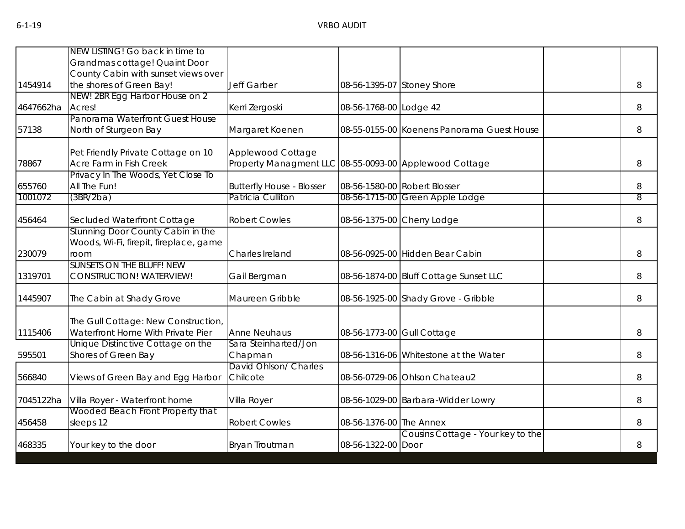|           | NEW LISTING! Go back in time to        |                                                        |                            |                                            |       |
|-----------|----------------------------------------|--------------------------------------------------------|----------------------------|--------------------------------------------|-------|
|           | Grandmas cottage! Quaint Door          |                                                        |                            |                                            |       |
|           | County Cabin with sunset views over    |                                                        |                            |                                            |       |
| 1454914   | the shores of Green Bay!               | Jeff Garber                                            | 08-56-1395-07 Stoney Shore |                                            | 8     |
|           | NEW! 2BR Egg Harbor House on 2         |                                                        |                            |                                            |       |
| 4647662ha | Acres!                                 | Kerri Zergoski                                         | 08-56-1768-00 Lodge 42     |                                            | 8     |
|           | Panorama Waterfront Guest House        |                                                        |                            |                                            |       |
| 57138     | North of Sturgeon Bay                  | Margaret Koenen                                        |                            | 08-55-0155-00 Koenens Panorama Guest House | 8     |
|           | Pet Friendly Private Cottage on 10     | Applewood Cottage                                      |                            |                                            |       |
| 78867     | Acre Farm in Fish Creek                | Property Managment LLC 08-55-0093-00 Applewood Cottage |                            |                                            | 8     |
|           | Privacy In The Woods, Yet Close To     |                                                        |                            |                                            |       |
| 655760    | All The Fun!                           | <b>Butterfly House - Blosser</b>                       |                            | 08-56-1580-00 Robert Blosser               | 8     |
| 1001072   | (3BR/2ba)                              | Patricia Culliton                                      |                            | 08-56-1715-00 Green Apple Lodge            | 8     |
| 456464    | Secluded Waterfront Cottage            | <b>Robert Cowles</b>                                   |                            | 08-56-1375-00 Cherry Lodge                 | $8\,$ |
|           | Stunning Door County Cabin in the      |                                                        |                            |                                            |       |
|           | Woods, Wi-Fi, firepit, fireplace, game |                                                        |                            |                                            |       |
| 230079    | room                                   | Charles Ireland                                        |                            | 08-56-0925-00 Hidden Bear Cabin            | 8     |
|           | SUNSETS ON THE BLUFF! NEW              |                                                        |                            |                                            |       |
| 1319701   | CONSTRUCTION! WATERVIEW!               | Gail Bergman                                           |                            | 08-56-1874-00 Bluff Cottage Sunset LLC     | 8     |
| 1445907   | The Cabin at Shady Grove               | Maureen Gribble                                        |                            | 08-56-1925-00 Shady Grove - Gribble        | 8     |
|           | The Gull Cottage: New Construction,    |                                                        |                            |                                            |       |
| 1115406   | Waterfront Home With Private Pier      | <b>Anne Neuhaus</b>                                    | 08-56-1773-00 Gull Cottage |                                            | 8     |
|           | Unique Distinctive Cottage on the      | Sara Steinharted/Jon                                   |                            |                                            |       |
| 595501    | Shores of Green Bay                    | Chapman                                                |                            | 08-56-1316-06 Whitestone at the Water      | 8     |
|           |                                        | David Ohlson/ Charles                                  |                            |                                            |       |
| 566840    | Views of Green Bay and Egg Harbor      | Chilcote                                               |                            | 08-56-0729-06 Ohlson Chateau2              | 8     |
| 7045122ha | Villa Royer - Waterfront home          | Villa Royer                                            |                            | 08-56-1029-00 Barbara-Widder Lowry         | 8     |
|           | Wooded Beach Front Property that       |                                                        |                            |                                            |       |
| 456458    | sleeps 12                              | <b>Robert Cowles</b>                                   | 08-56-1376-00 The Annex    |                                            | 8     |
|           |                                        |                                                        |                            | Cousins Cottage - Your key to the          |       |
| 468335    | Your key to the door                   | Bryan Troutman                                         | 08-56-1322-00 Door         |                                            | 8     |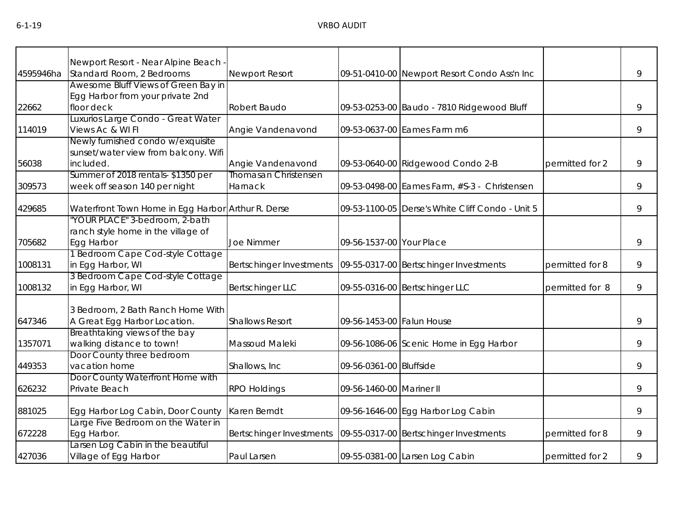|           | Newport Resort - Near Alpine Beach -                      |                             |                           |                                                    |                 |   |
|-----------|-----------------------------------------------------------|-----------------------------|---------------------------|----------------------------------------------------|-----------------|---|
| 4595946ha | Standard Room, 2 Bedrooms                                 | Newport Resort              |                           | 09-51-0410-00 Newport Resort Condo Ass'n Inc       |                 | 9 |
|           | Awesome Bluff Views of Green Bay in                       |                             |                           |                                                    |                 |   |
|           | Egg Harbor from your private 2nd                          |                             |                           |                                                    |                 |   |
| 22662     | floor deck                                                | Robert Baudo                |                           | 09-53-0253-00 Baudo - 7810 Ridgewood Bluff         |                 | 9 |
|           | Luxurios Large Condo - Great Water                        |                             |                           |                                                    |                 |   |
| 114019    | Views Ac & WI FI                                          | Angie Vandenavond           |                           | 09-53-0637-00 Eames Farm m6                        |                 | 9 |
|           | Newly furnished condo w/exquisite                         |                             |                           |                                                    |                 |   |
|           | sunset/water view from balcony. Wifi                      |                             |                           |                                                    |                 |   |
| 56038     | included.                                                 | Angie Vandenavond           |                           | 09-53-0640-00 Ridgewood Condo 2-B                  | permitted for 2 | 9 |
|           | Summer of 2018 rentals-\$1350 per                         | <b>Thomasan Christensen</b> |                           |                                                    |                 |   |
| 309573    | week off season 140 per night                             | Harnack                     |                           | 09-53-0498-00 Eames Farm, #S-3 - Christensen       |                 | 9 |
| 429685    | Waterfront Town Home in Egg Harbor Arthur R. Derse        |                             |                           | 09-53-1100-05   Derse's White Cliff Condo - Unit 5 |                 | 9 |
|           | "YOUR PLACE" 3-bedroom, 2-bath                            |                             |                           |                                                    |                 |   |
|           | ranch style home in the village of                        |                             |                           |                                                    |                 |   |
| 705682    | Egg Harbor                                                | <b>Joe Nimmer</b>           | 09-56-1537-00 Your Place  |                                                    |                 | 9 |
|           | 1 Bedroom Cape Cod-style Cottage                          |                             |                           |                                                    |                 |   |
| 1008131   | in Egg Harbor, WI                                         | Bertschinger Investments    |                           | 09-55-0317-00 Bertschinger Investments             | permitted for 8 | 9 |
|           | 3 Bedroom Cape Cod-style Cottage                          |                             |                           |                                                    |                 |   |
| 1008132   | in Egg Harbor, WI                                         | <b>Bertschinger LLC</b>     |                           | 09-55-0316-00 Bertschinger LLC                     | permitted for 8 | 9 |
|           | 3 Bedroom, 2 Bath Ranch Home With                         |                             |                           |                                                    |                 |   |
| 647346    | A Great Egg Harbor Location.                              | <b>Shallows Resort</b>      | 09-56-1453-00 Falun House |                                                    |                 | 9 |
|           | Breathtaking views of the bay                             |                             |                           |                                                    |                 |   |
| 1357071   | walking distance to town!                                 | Massoud Maleki              |                           | 09-56-1086-06 Scenic Home in Egg Harbor            |                 | 9 |
|           | Door County three bedroom                                 |                             |                           |                                                    |                 |   |
| 449353    | vacation home                                             | Shallows, Inc.              | 09-56-0361-00 Bluffside   |                                                    |                 | 9 |
|           | Door County Waterfront Home with                          |                             |                           |                                                    |                 |   |
| 626232    | Private Beach                                             | <b>RPO Holdings</b>         | 09-56-1460-00 Mariner II  |                                                    |                 | 9 |
| 881025    | Egg Harbor Log Cabin, Door County                         | Karen Berndt                |                           | 09-56-1646-00 Egg Harbor Log Cabin                 |                 | 9 |
|           | arge Five Bedroom on the Water in                         |                             |                           |                                                    |                 |   |
| 672228    | Egg Harbor.                                               | Bertschinger Investments    |                           | 09-55-0317-00 Bertschinger Investments             | permitted for 8 | 9 |
| 427036    | arsen Log Cabin in the beautiful<br>Village of Egg Harbor | Paul Larsen                 |                           | 09-55-0381-00 Larsen Log Cabin                     | permitted for 2 | 9 |
|           |                                                           |                             |                           |                                                    |                 |   |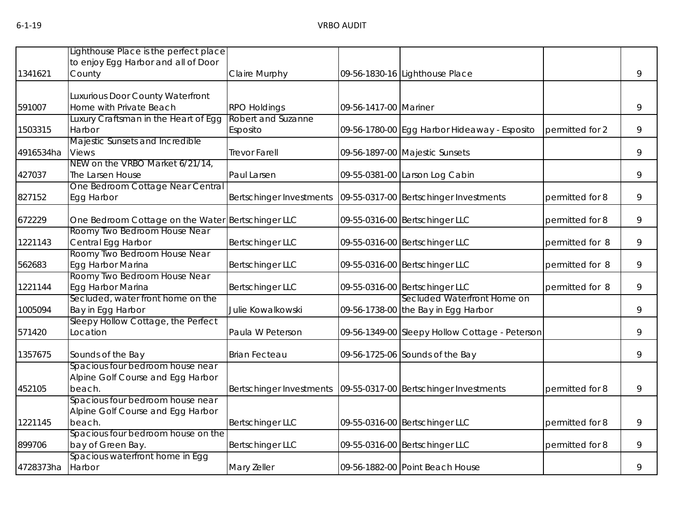|           | Lighthouse Place is the perfect place             |                          |                       |                                                |                 |   |
|-----------|---------------------------------------------------|--------------------------|-----------------------|------------------------------------------------|-----------------|---|
|           | to enjoy Egg Harbor and all of Door               |                          |                       |                                                |                 |   |
|           |                                                   |                          |                       |                                                |                 |   |
| 1341621   | County                                            | <b>Claire Murphy</b>     |                       | 09-56-1830-16 Lighthouse Place                 |                 | 9 |
|           |                                                   |                          |                       |                                                |                 |   |
|           | Luxurious Door County Waterfront                  |                          |                       |                                                |                 |   |
| 591007    | Home with Private Beach                           | <b>RPO Holdings</b>      | 09-56-1417-00 Mariner |                                                |                 | 9 |
|           | Luxury Craftsman in the Heart of Egg              | Robert and Suzanne       |                       |                                                |                 |   |
| 1503315   | Harbor                                            | Esposito                 |                       | 09-56-1780-00 Egg Harbor Hideaway - Esposito   | permitted for 2 | 9 |
|           | Majestic Sunsets and Incredible                   |                          |                       |                                                |                 |   |
| 4916534ha | <b>Views</b>                                      | <b>Trevor Farell</b>     |                       | 09-56-1897-00 Majestic Sunsets                 |                 | 9 |
|           | NEW on the VRBO Market 6/21/14,                   |                          |                       |                                                |                 |   |
| 427037    | The Larsen House                                  | Paul Larsen              |                       | 09-55-0381-00 Larson Log Cabin                 |                 | 9 |
|           | One Bedroom Cottage Near Central                  |                          |                       |                                                |                 |   |
| 827152    | Egg Harbor                                        | Bertschinger Investments |                       | 09-55-0317-00 Bertschinger Investments         | permitted for 8 | 9 |
| 672229    | One Bedroom Cottage on the Water Bertschinger LLC |                          |                       | 09-55-0316-00 Bertschinger LLC                 | permitted for 8 | 9 |
|           | Roomy Two Bedroom House Near                      |                          |                       |                                                |                 |   |
| 1221143   | Central Egg Harbor                                | <b>Bertschinger LLC</b>  |                       | 09-55-0316-00 Bertschinger LLC                 | permitted for 8 | 9 |
|           | Roomy Two Bedroom House Near                      |                          |                       |                                                |                 |   |
| 562683    | Egg Harbor Marina                                 | <b>Bertschinger LLC</b>  |                       | 09-55-0316-00 Bertschinger LLC                 | permitted for 8 | 9 |
|           | Roomy Two Bedroom House Near                      |                          |                       |                                                |                 |   |
| 1221144   | Egg Harbor Marina                                 | <b>Bertschinger LLC</b>  |                       | 09-55-0316-00 Bertschinger LLC                 | permitted for 8 | 9 |
|           | Secluded, water front home on the                 |                          |                       | Secluded Waterfront Home on                    |                 |   |
| 1005094   | Bay in Egg Harbor                                 | Julie Kowalkowski        |                       | 09-56-1738-00 the Bay in Egg Harbor            |                 | 9 |
|           | Sleepy Hollow Cottage, the Perfect                |                          |                       |                                                |                 |   |
| 571420    | Location                                          | Paula W Peterson         |                       | 09-56-1349-00 Sleepy Hollow Cottage - Peterson |                 | 9 |
|           |                                                   |                          |                       |                                                |                 | 9 |
| 1357675   | Sounds of the Bay                                 | <b>Brian Fecteau</b>     |                       | 09-56-1725-06 Sounds of the Bay                |                 |   |
|           | Spacious four bedroom house near                  |                          |                       |                                                |                 |   |
|           | Alpine Golf Course and Egg Harbor                 |                          |                       |                                                |                 |   |
| 452105    | beach.                                            | Bertschinger Investments |                       | 09-55-0317-00 Bertschinger Investments         | permitted for 8 | 9 |
|           | Spacious four bedroom house near                  |                          |                       |                                                |                 |   |
|           | Alpine Golf Course and Egg Harbor                 |                          |                       |                                                |                 |   |
| 1221145   | beach.                                            | <b>Bertschinger LLC</b>  |                       | 09-55-0316-00 Bertschinger LLC                 | permitted for 8 | 9 |
|           | Spacious four bedroom house on the                |                          |                       |                                                |                 |   |
| 899706    | bay of Green Bay.                                 | <b>Bertschinger LLC</b>  |                       | 09-55-0316-00 Bertschinger LLC                 | permitted for 8 | 9 |
|           | Spacious waterfront home in Egg                   |                          |                       |                                                |                 |   |
| 4728373ha | Harbor                                            | Mary Zeller              |                       | 09-56-1882-00 Point Beach House                |                 | 9 |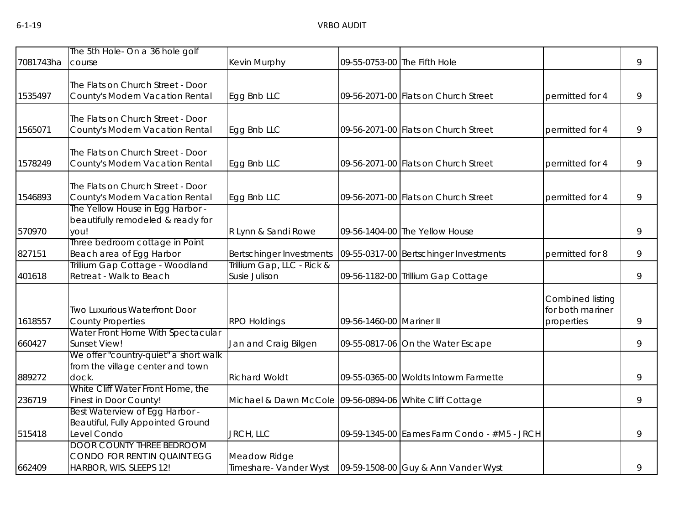| 7081743ha | The 5th Hole- On a 36 hole golf<br>course                                                   | Kevin Murphy                                            |                          | 09-55-0753-00 The Fifth Hole                |                                                    | 9 |
|-----------|---------------------------------------------------------------------------------------------|---------------------------------------------------------|--------------------------|---------------------------------------------|----------------------------------------------------|---|
|           |                                                                                             |                                                         |                          |                                             |                                                    |   |
| 1535497   | The Flats on Church Street - Door<br>County's Modern Vacation Rental                        | Egg Bnb LLC                                             |                          | 09-56-2071-00 Flats on Church Street        | permitted for 4                                    | 9 |
| 1565071   | The Flats on Church Street - Door<br>County's Modern Vacation Rental                        | Egg Bnb LLC                                             |                          | 09-56-2071-00 Flats on Church Street        | permitted for 4                                    | 9 |
| 1578249   | The Flats on Church Street - Door<br>County's Modern Vacation Rental                        | Egg Bnb LLC                                             |                          | 09-56-2071-00 Flats on Church Street        | permitted for 4                                    | 9 |
| 1546893   | The Flats on Church Street - Door<br>County's Modern Vacation Rental                        | Egg Bnb LLC                                             |                          | 09-56-2071-00 Flats on Church Street        | permitted for 4                                    | 9 |
| 570970    | The Yellow House in Egg Harbor -<br>beautifully remodeled & ready for<br>you!               | R Lynn & Sandi Rowe                                     |                          | 09-56-1404-00 The Yellow House              |                                                    | 9 |
| 827151    | Three bedroom cottage in Point<br>Beach area of Egg Harbor                                  | Bertschinger Investments                                |                          | 09-55-0317-00 Bertschinger Investments      | permitted for 8                                    | 9 |
| 401618    | Trillium Gap Cottage - Woodland<br>Retreat - Walk to Beach                                  | Trillium Gap, LLC - Rick &<br>Susie Julison             |                          | 09-56-1182-00 Trillium Gap Cottage          |                                                    | 9 |
| 1618557   | <b>Two Luxurious Waterfront Door</b><br><b>County Properties</b>                            | <b>RPO Holdings</b>                                     | 09-56-1460-00 Mariner II |                                             | Combined listing<br>for both mariner<br>properties | 9 |
| 660427    | Water Front Home With Spectacular<br>Sunset View!                                           | Jan and Craig Bilgen                                    |                          | 09-55-0817-06 On the Water Escape           |                                                    | 9 |
| 889272    | We offer "country-quiet" a short walk<br>from the village center and town<br>dock.          | <b>Richard Woldt</b>                                    |                          | 09-55-0365-00 Woldts Intowm Farmette        |                                                    | 9 |
| 236719    | White Cliff Water Front Home, the<br>Finest in Door County!                                 | Michael & Dawn McCole 09-56-0894-06 White Cliff Cottage |                          |                                             |                                                    | 9 |
| 515418    | Best Waterview of Egg Harbor -<br>Beautiful, Fully Appointed Ground<br>Level Condo          | JRCH, LLC                                               |                          | 09-59-1345-00 Eames Farm Condo - #M5 - JRCH |                                                    | 9 |
| 662409    | <b>DOOR COUNTY THREE BEDROOM</b><br>CONDO FOR RENT IN QUAINT EGG<br>HARBOR, WIS. SLEEPS 12! | Meadow Ridge<br>Timeshare- Vander Wyst                  |                          | 09-59-1508-00 Guy & Ann Vander Wyst         |                                                    | 9 |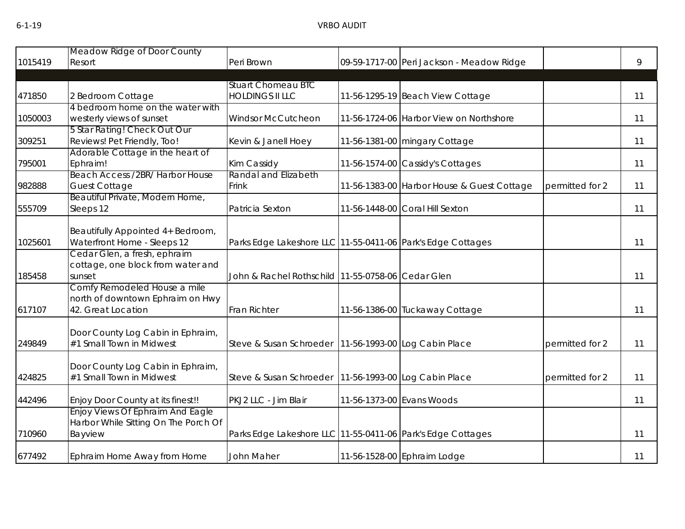|         | Meadow Ridge of Door County                              |                                                             |                                            |                 |    |
|---------|----------------------------------------------------------|-------------------------------------------------------------|--------------------------------------------|-----------------|----|
| 1015419 | Resort                                                   | Peri Brown                                                  | 09-59-1717-00 Peri Jackson - Meadow Ridge  |                 | 9  |
|         |                                                          |                                                             |                                            |                 |    |
|         |                                                          | <b>Stuart Chomeau BTC</b>                                   |                                            |                 |    |
| 471850  | 2 Bedroom Cottage                                        | <b>HOLDINGS II LLC</b>                                      | 11-56-1295-19 Beach View Cottage           |                 | 11 |
|         | 4 bedroom home on the water with                         |                                                             |                                            |                 |    |
| 1050003 | westerly views of sunset<br>5 Star Rating! Check Out Our | <b>Windsor McCutcheon</b>                                   | 11-56-1724-06 Harbor View on Northshore    |                 | 11 |
| 309251  | Reviews! Pet Friendly, Too!                              | Kevin & Janell Hoey                                         | 11-56-1381-00 mingary Cottage              |                 | 11 |
|         | Adorable Cottage in the heart of                         |                                                             |                                            |                 |    |
| 795001  | Ephraim!                                                 | Kim Cassidy                                                 | 11-56-1574-00 Cassidy's Cottages           |                 | 11 |
|         | Beach Access /2BR/ Harbor House                          | Randal and Elizabeth                                        |                                            |                 |    |
| 982888  | <b>Guest Cottage</b>                                     | Frink                                                       | 11-56-1383-00 Harbor House & Guest Cottage | permitted for 2 | 11 |
|         | Beautiful Private, Modern Home,                          |                                                             |                                            |                 |    |
| 555709  | Sleeps 12                                                | Patricia Sexton                                             | 11-56-1448-00 Coral Hill Sexton            |                 | 11 |
|         |                                                          |                                                             |                                            |                 |    |
|         | Beautifully Appointed 4+ Bedroom,                        |                                                             |                                            |                 |    |
| 1025601 | Waterfront Home - Sleeps 12                              | Parks Edge Lakeshore LLC 11-55-0411-06 Park's Edge Cottages |                                            |                 | 11 |
|         | Cedar Glen, a fresh, ephraim                             |                                                             |                                            |                 |    |
|         | cottage, one block from water and                        |                                                             |                                            |                 |    |
| 185458  | sunset                                                   | John & Rachel Rothschild 11-55-0758-06 Cedar Glen           |                                            |                 | 11 |
|         | Comfy Remodeled House a mile                             |                                                             |                                            |                 |    |
|         | north of downtown Ephraim on Hwy                         |                                                             |                                            |                 |    |
| 617107  | 42. Great Location                                       | Fran Richter                                                | 11-56-1386-00 Tuckaway Cottage             |                 | 11 |
|         | Door County Log Cabin in Ephraim,                        |                                                             |                                            |                 |    |
| 249849  | #1 Small Town in Midwest                                 | Steve & Susan Schroeder                                     | 11-56-1993-00 Log Cabin Place              | permitted for 2 | 11 |
|         |                                                          |                                                             |                                            |                 |    |
|         | Door County Log Cabin in Ephraim,                        |                                                             |                                            |                 |    |
| 424825  | #1 Small Town in Midwest                                 | Steve & Susan Schroeder   11-56-1993-00 Log Cabin Place     |                                            | permitted for 2 | 11 |
|         |                                                          |                                                             |                                            |                 |    |
| 442496  | Enjoy Door County at its finest!!                        | PKJ2 LLC - Jim Blair                                        | 11-56-1373-00 Evans Woods                  |                 | 11 |
|         | Enjoy Views Of Ephraim And Eagle                         |                                                             |                                            |                 |    |
|         | Harbor While Sitting On The Porch Of                     |                                                             |                                            |                 |    |
| 710960  | Bayview                                                  | Parks Edge Lakeshore LLC 11-55-0411-06 Park's Edge Cottages |                                            |                 | 11 |
|         |                                                          |                                                             |                                            |                 |    |
| 677492  | Ephraim Home Away from Home                              | John Maher                                                  | 11-56-1528-00 Ephraim Lodge                |                 | 11 |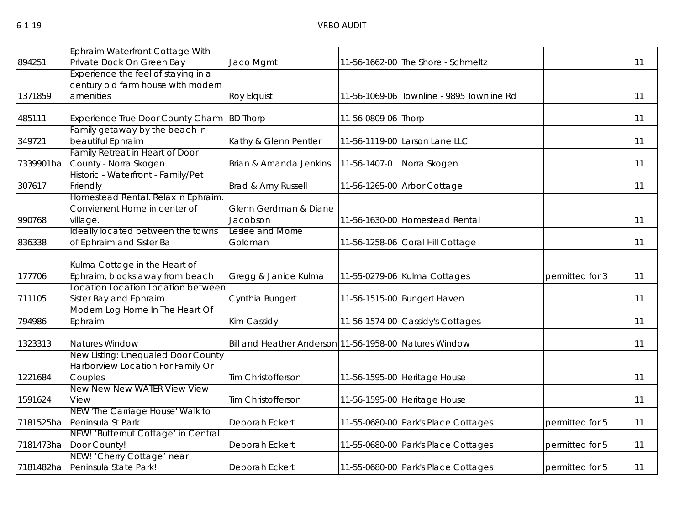| 894251    | Ephraim Waterfront Cottage With<br>Private Dock On Green Bay  |                                                        |                     | 11-56-1662-00 The Shore - Schmeltz        |                 | 11 |
|-----------|---------------------------------------------------------------|--------------------------------------------------------|---------------------|-------------------------------------------|-----------------|----|
|           | Experience the feel of staying in a                           | Jaco Mgmt                                              |                     |                                           |                 |    |
|           | century old farm house with modern                            |                                                        |                     |                                           |                 |    |
| 1371859   | amenities                                                     | <b>Roy Elquist</b>                                     |                     | 11-56-1069-06 Townline - 9895 Townline Rd |                 | 11 |
|           |                                                               |                                                        |                     |                                           |                 |    |
| 485111    | Experience True Door County Charm                             | <b>BD Thorp</b>                                        | 11-56-0809-06 Thorp |                                           |                 | 11 |
|           | Family getaway by the beach in                                |                                                        |                     |                                           |                 |    |
| 349721    | beautiful Ephraim                                             | Kathy & Glenn Pentler                                  |                     | 11-56-1119-00 Larson Lane LLC             |                 | 11 |
|           | Family Retreat in Heart of Door                               |                                                        |                     |                                           |                 |    |
| 7339901ha | County - Norra Skogen                                         | Brian & Amanda Jenkins                                 | 11-56-1407-0        | Norra Skogen                              |                 | 11 |
| 307617    | Historic - Waterfront - Family/Pet<br>Friendly                | Brad & Amy Russell                                     |                     | 11-56-1265-00 Arbor Cottage               |                 | 11 |
|           | Homestead Rental. Relax in Ephraim.                           |                                                        |                     |                                           |                 |    |
|           | Convienent Home in center of                                  | Glenn Gerdman & Diane                                  |                     |                                           |                 |    |
| 990768    | village.                                                      | Jacobson                                               |                     | 11-56-1630-00 Homestead Rental            |                 | 11 |
|           | Ideally located between the towns                             | Leslee and Morrie                                      |                     |                                           |                 |    |
| 836338    | of Ephraim and Sister Ba                                      | Goldman                                                |                     | 11-56-1258-06 Coral Hill Cottage          |                 | 11 |
|           |                                                               |                                                        |                     |                                           |                 |    |
|           | Kulma Cottage in the Heart of                                 |                                                        |                     |                                           |                 |    |
| 177706    | Ephraim, blocks away from beach                               | Gregg & Janice Kulma                                   |                     | 11-55-0279-06 Kulma Cottages              | permitted for 3 | 11 |
|           | Location Location Location between                            |                                                        |                     |                                           |                 |    |
| 711105    | Sister Bay and Ephraim                                        | Cynthia Bungert                                        |                     | 11-56-1515-00 Bungert Haven               |                 | 11 |
|           | Modern Log Home In The Heart Of                               |                                                        |                     |                                           |                 |    |
| 794986    | Ephraim                                                       | Kim Cassidy                                            |                     | 11-56-1574-00 Cassidy's Cottages          |                 | 11 |
| 1323313   | Natures Window                                                | Bill and Heather Anderson 11-56-1958-00 Natures Window |                     |                                           |                 | 11 |
|           | New Listing: Unequaled Door County                            |                                                        |                     |                                           |                 |    |
|           | Harborview Location For Family Or                             |                                                        |                     |                                           |                 |    |
| 1221684   | Couples                                                       | Tim Christofferson                                     |                     | 11-56-1595-00 Heritage House              |                 | 11 |
|           | New New New WATER View View                                   |                                                        |                     |                                           |                 |    |
| 1591624   | View                                                          | Tim Christofferson                                     |                     | 11-56-1595-00 Heritage House              |                 | 11 |
|           | NEW 'The Carriage House' Walk to                              |                                                        |                     |                                           |                 |    |
| 7181525ha | Peninsula St Park                                             | Deborah Eckert                                         |                     | 11-55-0680-00 Park's Place Cottages       | permitted for 5 | 11 |
|           | NEW! 'Butternut Cottage' in Central<br>7181473ha Door County! | Deborah Eckert                                         |                     |                                           |                 | 11 |
|           | NEW! 'Cherry Cottage' near                                    |                                                        |                     | 11-55-0680-00 Park's Place Cottages       | permitted for 5 |    |
|           | 7181482ha Peninsula State Park!                               | Deborah Eckert                                         |                     | 11-55-0680-00 Park's Place Cottages       | permitted for 5 | 11 |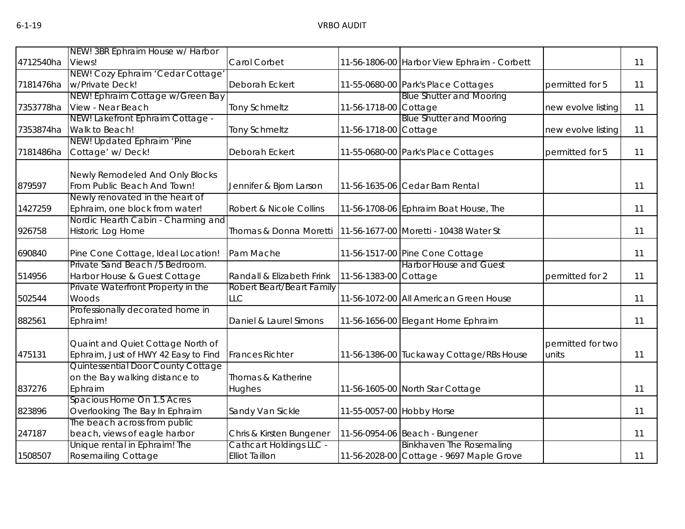|           | NEW! 3BR Ephraim House w/ Harbor                                  |                                |                           |                                             |                    |    |
|-----------|-------------------------------------------------------------------|--------------------------------|---------------------------|---------------------------------------------|--------------------|----|
| 4712540ha | Views!                                                            | Carol Corbet                   |                           | 11-56-1806-00 Harbor View Ephraim - Corbett |                    | 11 |
|           | NEW! Cozy Ephraim 'Cedar Cottage'                                 |                                |                           |                                             |                    |    |
|           | 7181476ha w/Private Deck!                                         | Deborah Eckert                 |                           | 11-55-0680-00 Park's Place Cottages         | permitted for 5    | 11 |
|           | NEW! Ephraim Cottage w/Green Bay                                  |                                |                           | <b>Blue Shutter and Mooring</b>             |                    |    |
|           | 7353778ha View - Near Beach                                       | <b>Tony Schmeltz</b>           | 11-56-1718-00 Cottage     |                                             | new evolve listing | 11 |
|           | NEW! Lakefront Ephraim Cottage -                                  |                                |                           | <b>Blue Shutter and Mooring</b>             |                    |    |
|           | 7353874ha Walk to Beach!                                          | <b>Tony Schmeltz</b>           | 11-56-1718-00 Cottage     |                                             | new evolve listing | 11 |
|           | NEW! Updated Ephraim 'Pine                                        |                                |                           |                                             |                    |    |
|           | 7181486ha Cottage' w/Deck!                                        | Deborah Eckert                 |                           | 11-55-0680-00 Park's Place Cottages         | permitted for 5    | 11 |
|           |                                                                   |                                |                           |                                             |                    |    |
|           | Newly Remodeled And Only Blocks                                   |                                |                           |                                             |                    |    |
| 879597    | From Public Beach And Town!                                       | Jennifer & Bjorn Larson        |                           | 11-56-1635-06 Cedar Barn Rental             |                    | 11 |
| 1427259   | Newly renovated in the heart of<br>Ephraim, one block from water! | Robert & Nicole Collins        |                           | 11-56-1708-06 Ephraim Boat House, The       |                    | 11 |
|           | Nordic Hearth Cabin - Charming and                                |                                |                           |                                             |                    |    |
| 926758    | Historic Log Home                                                 | Thomas & Donna Moretti         |                           | 11-56-1677-00 Moretti - 10438 Water St      |                    | 11 |
|           |                                                                   |                                |                           |                                             |                    |    |
| 690840    | Pine Cone Cottage, Ideal Location!                                | Pam Mache                      |                           | 11-56-1517-00 Pine Cone Cottage             |                    | 11 |
|           | Private Sand Beach /5 Bedroom.                                    |                                |                           | <b>Harbor House and Guest</b>               |                    |    |
| 514956    | Harbor House & Guest Cottage                                      | Randall & Elizabeth Frink      | 11-56-1383-00 Cottage     |                                             | permitted for 2    | 11 |
|           | Private Waterfront Property in the                                | Robert Beart/Beart Family      |                           |                                             |                    |    |
| 502544    | Woods                                                             | <b>LLC</b>                     |                           | 11-56-1072-00 All American Green House      |                    | 11 |
|           | Professionally decorated home in                                  |                                |                           |                                             |                    |    |
| 882561    | Ephraim!                                                          | Daniel & Laurel Simons         |                           | 11-56-1656-00 Elegant Home Ephraim          |                    | 11 |
|           |                                                                   |                                |                           |                                             |                    |    |
|           | Quaint and Quiet Cottage North of                                 |                                |                           |                                             | permitted for two  |    |
| 475131    | Ephraim, Just of HWY 42 Easy to Find                              | <b>Frances Richter</b>         |                           | 11-56-1386-00 Tuckaway Cottage/RBs House    | units              | 11 |
|           | Quintessential Door County Cottage                                |                                |                           |                                             |                    |    |
|           | on the Bay walking distance to                                    | Thomas & Katherine             |                           |                                             |                    |    |
| 837276    | Ephraim                                                           | Hughes                         |                           | 11-56-1605-00 North Star Cottage            |                    | 11 |
|           | Spacious Home On 1.5 Acres                                        |                                |                           |                                             |                    |    |
| 823896    | Overlooking The Bay In Ephraim<br>The beach across from public    | Sandy Van Sickle               | 11-55-0057-00 Hobby Horse |                                             |                    | 11 |
| 247187    | beach, views of eagle harbor                                      | Chris & Kirsten Bungener       |                           | 11-56-0954-06 Beach - Bungener              |                    | 11 |
|           | Unique rental in Ephraim! The                                     | <b>Cathcart Holdings LLC -</b> |                           | <b>Binkhaven The Rosemaling</b>             |                    |    |
| 1508507   | <b>Rosemailing Cottage</b>                                        | <b>Elliot Taillon</b>          |                           | 11-56-2028-00 Cottage - 9697 Maple Grove    |                    | 11 |
|           |                                                                   |                                |                           |                                             |                    |    |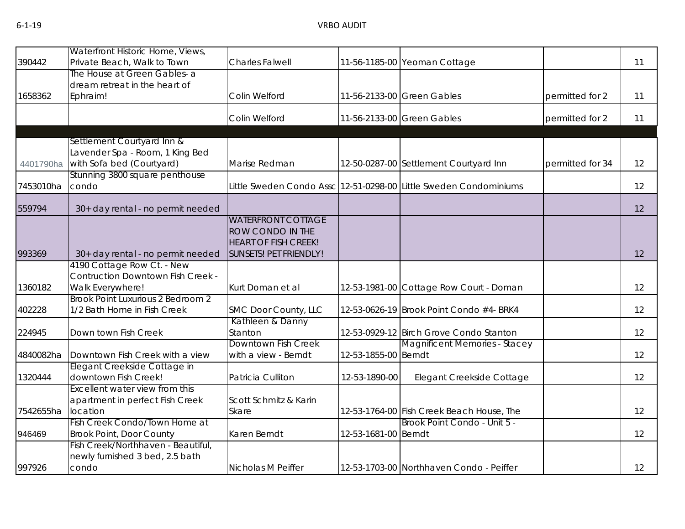| 390442    | Waterfront Historic Home, Views,<br>Private Beach, Walk to Town | <b>Charles Falwell</b>      |                      | 11-56-1185-00 Yeoman Cottage                                      |                  | 11 |
|-----------|-----------------------------------------------------------------|-----------------------------|----------------------|-------------------------------------------------------------------|------------------|----|
|           | The House at Green Gables- a                                    |                             |                      |                                                                   |                  |    |
|           | dream retreat in the heart of                                   |                             |                      |                                                                   |                  |    |
| 1658362   | Ephraim!                                                        | Colin Welford               |                      | 11-56-2133-00 Green Gables                                        | permitted for 2  | 11 |
|           |                                                                 |                             |                      |                                                                   |                  |    |
|           |                                                                 | Colin Welford               |                      | 11-56-2133-00 Green Gables                                        | permitted for 2  | 11 |
|           |                                                                 |                             |                      |                                                                   |                  |    |
|           | Settlement Courtyard Inn &<br>Lavender Spa - Room, 1 King Bed   |                             |                      |                                                                   |                  |    |
| 4401790ha | with Sofa bed (Courtyard)                                       | Marise Redman               |                      | 12-50-0287-00 Settlement Courtyard Inn                            | permitted for 34 | 12 |
|           | Stunning 3800 square penthouse                                  |                             |                      |                                                                   |                  |    |
| 7453010ha | condo                                                           |                             |                      | Little Sweden Condo Assc 12-51-0298-00 Little Sweden Condominiums |                  | 12 |
|           |                                                                 |                             |                      |                                                                   |                  |    |
| 559794    | 30+ day rental - no permit needed                               |                             |                      |                                                                   |                  | 12 |
|           |                                                                 | <b>WATERFRONT COTTAGE</b>   |                      |                                                                   |                  |    |
|           |                                                                 | ROW CONDO IN THE            |                      |                                                                   |                  |    |
|           |                                                                 | <b>HEART OF FISH CREEK!</b> |                      |                                                                   |                  |    |
| 993369    | 30+ day rental - no permit needed                               | SUNSETS! PET FRIENDLY!      |                      |                                                                   |                  | 12 |
|           | 4190 Cottage Row Ct. - New                                      |                             |                      |                                                                   |                  |    |
|           | Contruction Downtown Fish Creek -                               |                             |                      |                                                                   |                  |    |
| 1360182   | Walk Everywhere!                                                | Kurt Doman et al            |                      | 12-53-1981-00 Cottage Row Court - Doman                           |                  | 12 |
|           | Brook Point Luxurious 2 Bedroom 2                               |                             |                      |                                                                   |                  |    |
| 402228    | 1/2 Bath Home in Fish Creek                                     | SMC Door County, LLC        |                      | 12-53-0626-19 Brook Point Condo #4- BRK4                          |                  | 12 |
|           |                                                                 | Kathleen & Danny            |                      |                                                                   |                  |    |
| 224945    | Down town Fish Creek                                            | Stanton                     |                      | 12-53-0929-12 Birch Grove Condo Stanton                           |                  | 12 |
|           |                                                                 | <b>Downtown Fish Creek</b>  |                      | Magnificent Memories - Stacey                                     |                  |    |
| 4840082ha | Downtown Fish Creek with a view                                 | with a view - Berndt        | 12-53-1855-00 Berndt |                                                                   |                  | 12 |
|           | Elegant Creekside Cottage in                                    |                             |                      |                                                                   |                  |    |
| 1320444   | downtown Fish Creek!                                            | Patricia Culliton           | 12-53-1890-00        | Elegant Creekside Cottage                                         |                  | 12 |
|           | Excellent water view from this                                  |                             |                      |                                                                   |                  |    |
|           | apartment in perfect Fish Creek                                 | Scott Schmitz & Karin       |                      |                                                                   |                  |    |
| 7542655ha | location                                                        | Skare                       |                      | 12-53-1764-00 Fish Creek Beach House, The                         |                  | 12 |
|           | Fish Creek Condo/Town Home at                                   |                             |                      | Brook Point Condo - Unit 5 -                                      |                  |    |
| 946469    | <b>Brook Point, Door County</b>                                 | Karen Berndt                | 12-53-1681-00 Berndt |                                                                   |                  | 12 |
|           | Fish Creek/Northhaven - Beautiful,                              |                             |                      |                                                                   |                  |    |
|           | newly furnished 3 bed, 2.5 bath                                 |                             |                      |                                                                   |                  |    |
| 997926    | condo                                                           | Nicholas M Peiffer          |                      | 12-53-1703-00 Northhaven Condo - Peiffer                          |                  | 12 |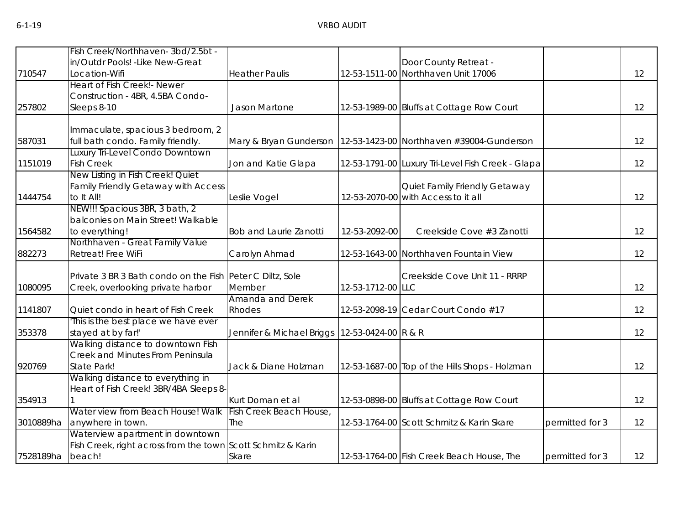|           | Fish Creek/Northhaven-3bd/2.5bt -                            |                               |                     |                                                   |                 |                   |
|-----------|--------------------------------------------------------------|-------------------------------|---------------------|---------------------------------------------------|-----------------|-------------------|
|           | in/Outdr Pools! - Like New-Great                             |                               |                     | Door County Retreat -                             |                 |                   |
| 710547    | Location-Wifi                                                | <b>Heather Paulis</b>         |                     | 12-53-1511-00 Northhaven Unit 17006               |                 | 12                |
|           | Heart of Fish Creek! - Newer                                 |                               |                     |                                                   |                 |                   |
|           | Construction - 4BR, 4.5BA Condo-                             |                               |                     |                                                   |                 |                   |
| 257802    | Sleeps 8-10                                                  | Jason Martone                 |                     | 12-53-1989-00 Bluffs at Cottage Row Court         |                 | 12                |
|           | Immaculate, spacious 3 bedroom, 2                            |                               |                     |                                                   |                 |                   |
| 587031    | full bath condo. Family friendly.                            | Mary & Bryan Gunderson        |                     | 12-53-1423-00 Northhaven #39004-Gunderson         |                 | 12                |
|           | Luxury Tri-Level Condo Downtown                              |                               |                     |                                                   |                 |                   |
| 1151019   | <b>Fish Creek</b>                                            | Jon and Katie Glapa           |                     | 12-53-1791-00 Luxury Tri-Level Fish Creek - Glapa |                 | 12                |
|           | New Listing in Fish Creek! Quiet                             |                               |                     |                                                   |                 |                   |
|           | Family Friendly Getaway with Access                          |                               |                     | Quiet Family Friendly Getaway                     |                 |                   |
| 1444754   | to It All!                                                   | Leslie Vogel                  |                     | 12-53-2070-00 with Access to it all               |                 | 12                |
|           | NEW!!! Spacious 3BR, 3 bath, 2                               |                               |                     |                                                   |                 |                   |
| 1564582   | balconies on Main Street! Walkable<br>to everything!         | <b>Bob and Laurie Zanotti</b> | 12-53-2092-00       | Creekside Cove #3 Zanotti                         |                 | 12                |
|           | Northhaven - Great Family Value                              |                               |                     |                                                   |                 |                   |
| 882273    | Retreat! Free WiFi                                           | Carolyn Ahmad                 |                     | 12-53-1643-00 Northhaven Fountain View            |                 | 12                |
|           |                                                              |                               |                     |                                                   |                 |                   |
|           | Private 3 BR 3 Bath condo on the Fish Peter C Diltz, Sole    |                               |                     | Creekside Cove Unit 11 - RRRP                     |                 |                   |
| 1080095   | Creek, overlooking private harbor                            | Member                        | 12-53-1712-00 LLC   |                                                   |                 | $12 \overline{ }$ |
|           |                                                              | Amanda and Derek              |                     |                                                   |                 |                   |
| 1141807   | Quiet condo in heart of Fish Creek                           | Rhodes                        |                     | 12-53-2098-19 Cedar Court Condo #17               |                 | 12                |
|           | This is the best place we have ever                          |                               |                     |                                                   |                 |                   |
| 353378    | stayed at by far!'                                           | Jennifer & Michael Briggs     | 12-53-0424-00 R & R |                                                   |                 | 12                |
|           | Walking distance to downtown Fish                            |                               |                     |                                                   |                 |                   |
| 920769    | Creek and Minutes From Peninsula<br>State Park!              | Jack & Diane Holzman          |                     | 12-53-1687-00 Top of the Hills Shops - Holzman    |                 | 12                |
|           | Walking distance to everything in                            |                               |                     |                                                   |                 |                   |
|           | Heart of Fish Creek! 3BR/4BA Sleeps 8-                       |                               |                     |                                                   |                 |                   |
| 354913    |                                                              | Kurt Doman et al              |                     | 12-53-0898-00 Bluffs at Cottage Row Court         |                 | 12                |
|           | Water view from Beach House! Walk                            | Fish Creek Beach House,       |                     |                                                   |                 |                   |
| 3010889ha | anywhere in town.                                            | The                           |                     | 12-53-1764-00 Scott Schmitz & Karin Skare         | permitted for 3 | 12                |
|           | Waterview apartment in downtown                              |                               |                     |                                                   |                 |                   |
|           | Fish Creek, right across from the town Scott Schmitz & Karin |                               |                     |                                                   |                 |                   |
| 7528189ha | beach!                                                       | Skare                         |                     | 12-53-1764-00 Fish Creek Beach House, The         | permitted for 3 | 12 <sup>2</sup>   |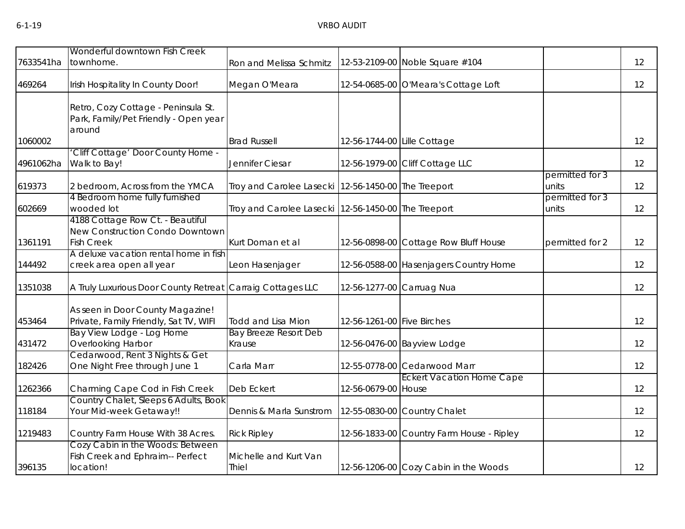| 7633541ha | Wonderful downtown Fish Creek<br>townhome.                                               |                                                     |                             | 12-53-2109-00 Noble Square #104           |                          | 12 |
|-----------|------------------------------------------------------------------------------------------|-----------------------------------------------------|-----------------------------|-------------------------------------------|--------------------------|----|
|           |                                                                                          | Ron and Melissa Schmitz                             |                             |                                           |                          |    |
| 469264    | Irish Hospitality In County Door!                                                        | Megan O'Meara                                       |                             | 12-54-0685-00 O'Meara's Cottage Loft      |                          | 12 |
|           | Retro, Cozy Cottage - Peninsula St.<br>Park, Family/Pet Friendly - Open year<br>around   |                                                     |                             |                                           |                          |    |
| 1060002   |                                                                                          | <b>Brad Russell</b>                                 | 12-56-1744-00 Lille Cottage |                                           |                          | 12 |
| 4961062ha | 'Cliff Cottage' Door County Home -<br>Walk to Bay!                                       | Jennifer Ciesar                                     |                             | 12-56-1979-00 Cliff Cottage LLC           |                          | 12 |
| 619373    | 2 bedroom, Across from the YMCA                                                          | Troy and Carolee Lasecki                            | 12-56-1450-00 The Treeport  |                                           | permitted for 3<br>units | 12 |
| 602669    | 4 Bedroom home fully furnished<br>wooded lot                                             | Troy and Carolee Lasecki 12-56-1450-00 The Treeport |                             |                                           | permitted for 3<br>units | 12 |
| 1361191   | 4188 Cottage Row Ct. - Beautiful<br>New Construction Condo Downtown<br><b>Fish Creek</b> | Kurt Doman et al                                    |                             | 12-56-0898-00 Cottage Row Bluff House     | permitted for 2          | 12 |
| 144492    | A deluxe vacation rental home in fish<br>creek area open all year                        | Leon Hasenjager                                     |                             | 12-56-0588-00 Hasenjagers Country Home    |                          | 12 |
| 1351038   | A Truly Luxurious Door County Retreat                                                    | Carraig Cottages LLC                                |                             | 12-56-1277-00 Carruag Nua                 |                          | 12 |
| 453464    | As seen in Door County Magazine!<br>Private, Family Friendly, Sat TV, WIFI               | <b>Todd and Lisa Mion</b>                           | 12-56-1261-00 Five Birches  |                                           |                          | 12 |
| 431472    | Bay View Lodge - Log Home<br>Overlooking Harbor                                          | <b>Bay Breeze Resort Deb</b><br>Krause              |                             | 12-56-0476-00 Bayview Lodge               |                          | 12 |
| 182426    | Cedarwood, Rent 3 Nights & Get<br>One Night Free through June 1                          | Carla Marr                                          |                             | 12-55-0778-00 Cedarwood Marr              |                          | 12 |
| 1262366   | Charming Cape Cod in Fish Creek                                                          | Deb Eckert                                          | 12-56-0679-00 House         | <b>Eckert Vacation Home Cape</b>          |                          | 12 |
| 118184    | Country Chalet, Sleeps 6 Adults, Book<br>Your Mid-week Getaway!!                         | Dennis & Marla Sunstrom                             |                             | 12-55-0830-00 Country Chalet              |                          | 12 |
| 1219483   | Country Farm House With 38 Acres.                                                        | <b>Rick Ripley</b>                                  |                             | 12-56-1833-00 Country Farm House - Ripley |                          | 12 |
| 396135    | Cozy Cabin in the Woods: Between<br>Fish Creek and Ephraim-- Perfect<br>location!        | Michelle and Kurt Van<br>Thiel                      |                             | 12-56-1206-00 Cozy Cabin in the Woods     |                          | 12 |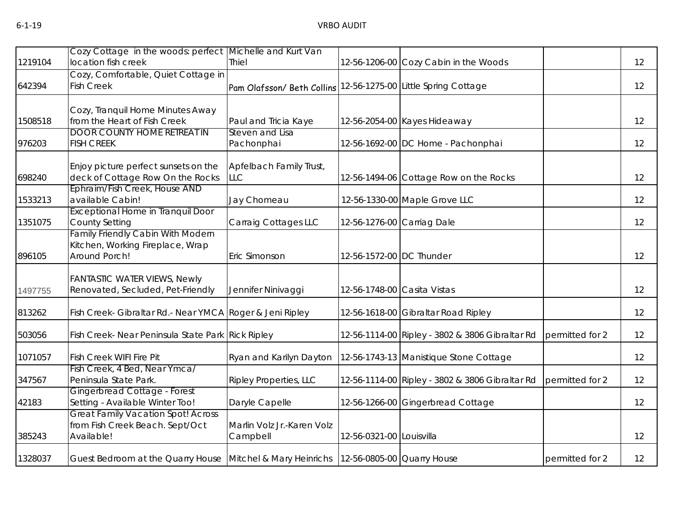|         | Cozy Cottage in the woods: perfect                                                         | Michelle and Kurt Van                  |                             |                                                 |                 |                   |
|---------|--------------------------------------------------------------------------------------------|----------------------------------------|-----------------------------|-------------------------------------------------|-----------------|-------------------|
| 1219104 | location fish creek                                                                        | <b>Thiel</b>                           |                             | 12-56-1206-00 Cozy Cabin in the Woods           |                 | 12                |
| 642394  | Cozy, Comfortable, Quiet Cottage in<br><b>Fish Creek</b>                                   | Pam Olafsson/ Beth Collins             |                             | 12-56-1275-00 Little Spring Cottage             |                 | 12                |
| 1508518 | Cozy, Tranquil Home Minutes Away<br>from the Heart of Fish Creek                           | Paul and Tricia Kaye                   |                             | 12-56-2054-00 Kayes Hideaway                    |                 | 12                |
| 976203  | <b>DOOR COUNTY HOME RETREAT IN</b><br><b>FISH CREEK</b>                                    | Steven and Lisa<br>Pachonphai          |                             | 12-56-1692-00 DC Home - Pachonphai              |                 | 12                |
| 698240  | Enjoy picture perfect sunsets on the<br>deck of Cottage Row On the Rocks                   | Apfelbach Family Trust,<br><b>LLC</b>  |                             | 12-56-1494-06 Cottage Row on the Rocks          |                 | 12                |
| 1533213 | Ephraim/Fish Creek, House AND<br>available Cabin!                                          | Jay Chomeau                            |                             | 12-56-1330-00 Maple Grove LLC                   |                 | 12                |
| 1351075 | <b>Exceptional Home in Tranquil Door</b><br><b>County Setting</b>                          | Carraig Cottages LLC                   | 12-56-1276-00 Carriag Dale  |                                                 |                 | 12                |
| 896105  | Family Friendly Cabin With Modern<br>Kitchen, Working Fireplace, Wrap<br>Around Porch!     | Eric Simonson                          | 12-56-1572-00 DC Thunder    |                                                 |                 | 12                |
| 1497755 | <b>FANTASTIC WATER VIEWS, Newly</b><br>Renovated, Secluded, Pet-Friendly                   | Jennifer Ninivaggi                     | 12-56-1748-00 Casita Vistas |                                                 |                 | 12                |
| 813262  | Fish Creek- Gibraltar Rd.- Near YMCA Roger & Jeni Ripley                                   |                                        |                             | 12-56-1618-00 Gibraltar Road Ripley             |                 | 12                |
| 503056  | Fish Creek- Near Peninsula State Park Rick Ripley                                          |                                        |                             | 12-56-1114-00 Ripley - 3802 & 3806 Gibraltar Rd | permitted for 2 | 12                |
| 1071057 | Fish Creek WIFI Fire Pit                                                                   | Ryan and Karilyn Dayton                |                             | 12-56-1743-13 Manistique Stone Cottage          |                 | 12                |
| 347567  | Fish Creek, 4 Bed, Near Ymca/<br>Peninsula State Park.                                     | <b>Ripley Properties, LLC</b>          |                             | 12-56-1114-00 Ripley - 3802 & 3806 Gibraltar Rd | permitted for 2 | $12 \overline{ }$ |
| 42183   | Gingerbread Cottage - Forest<br>Setting - Available Winter Too!                            | Daryle Capelle                         |                             | 12-56-1266-00 Gingerbread Cottage               |                 | 12                |
| 385243  | <b>Great Family Vacation Spot! Across</b><br>from Fish Creek Beach. Sept/Oct<br>Available! | Marlin Volz Jr.-Karen Volz<br>Campbell | 12-56-0321-00 Louisvilla    |                                                 |                 | 12                |
| 1328037 | Guest Bedroom at the Quarry House Mitchel & Mary Heinrichs 12-56-0805-00 Quarry House      |                                        |                             |                                                 | permitted for 2 | 12                |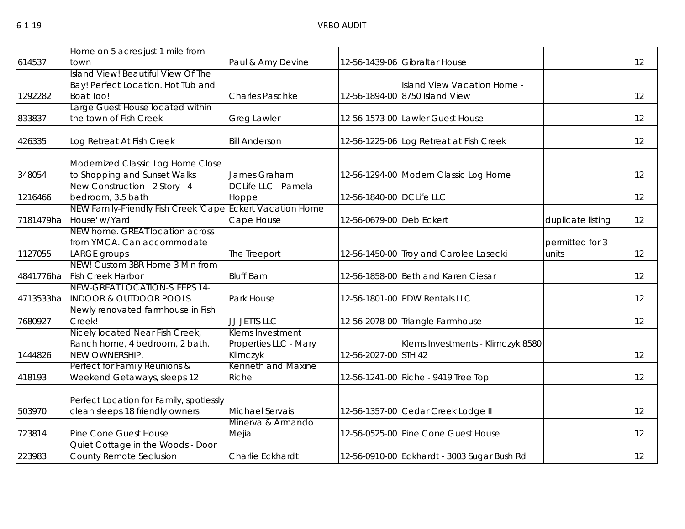| 614537    | Home on 5 acres just 1 mile from<br>town                  | Paul & Amy Devine      |                          | 12-56-1439-06 Gibraltar House               |                   | 12 |
|-----------|-----------------------------------------------------------|------------------------|--------------------------|---------------------------------------------|-------------------|----|
|           |                                                           |                        |                          |                                             |                   |    |
|           | Island View! Beautiful View Of The                        |                        |                          |                                             |                   |    |
|           | Bay! Perfect Location. Hot Tub and                        |                        |                          | Island View Vacation Home -                 |                   |    |
| 1292282   | <b>Boat Too!</b>                                          | <b>Charles Paschke</b> |                          | 12-56-1894-00 8750 Island View              |                   | 12 |
|           | Large Guest House located within                          |                        |                          |                                             |                   |    |
| 833837    | the town of Fish Creek                                    | <b>Greg Lawler</b>     |                          | 12-56-1573-00 Lawler Guest House            |                   | 12 |
| 426335    | Log Retreat At Fish Creek                                 | <b>Bill Anderson</b>   |                          | 12-56-1225-06 Log Retreat at Fish Creek     |                   | 12 |
|           | Modernized Classic Log Home Close                         |                        |                          |                                             |                   |    |
| 348054    | to Shopping and Sunset Walks                              | James Graham           |                          | 12-56-1294-00 Modern Classic Log Home       |                   | 12 |
|           | New Construction - 2 Story - 4                            | DCLife LLC - Pamela    |                          |                                             |                   |    |
| 1216466   | bedroom, 3.5 bath                                         | Hoppe                  | 12-56-1840-00 DCLife LLC |                                             |                   | 12 |
|           | NEW Family-Friendly Fish Creek 'Cape Eckert Vacation Home |                        |                          |                                             |                   |    |
| 7181479ha | House' w/Yard                                             | Cape House             | 12-56-0679-00 Deb Eckert |                                             | duplicate listing | 12 |
|           | NEW home. GREAT location across                           |                        |                          |                                             |                   |    |
|           | from YMCA. Can accommodate                                |                        |                          |                                             | permitted for 3   |    |
| 1127055   | LARGE groups                                              | The Treeport           |                          | 12-56-1450-00 Troy and Carolee Lasecki      | units             | 12 |
|           | NEW! Custom 3BR Home 3 Min from                           |                        |                          |                                             |                   |    |
| 4841776ha | <b>Fish Creek Harbor</b>                                  | <b>Bluff Barn</b>      |                          | 12-56-1858-00 Beth and Karen Ciesar         |                   | 12 |
|           | NEW-GREAT LOCATION-SLEEPS 14-                             |                        |                          |                                             |                   |    |
| 4713533ha | <b>INDOOR &amp; OUTDOOR POOLS</b>                         | Park House             |                          | 12-56-1801-00 PDW Rentals LLC               |                   | 12 |
|           | Newly renovated farmhouse in Fish                         |                        |                          |                                             |                   |    |
| 7680927   | Creek!                                                    | JJ JETTS LLC           |                          | 12-56-2078-00 Triangle Farmhouse            |                   | 12 |
|           | Nicely located Near Fish Creek,                           | Klems Investment       |                          |                                             |                   |    |
|           | Ranch home, 4 bedroom, 2 bath.                            | Properties LLC - Mary  |                          | Klems Investments - Klimczyk 8580           |                   |    |
| 1444826   | NEW OWNERSHIP.                                            | Klimczyk               | 12-56-2027-00 STH 42     |                                             |                   | 12 |
|           | Perfect for Family Reunions &                             | Kenneth and Maxine     |                          |                                             |                   |    |
| 418193    | Weekend Getaways, sleeps 12                               | Riche                  |                          | 12-56-1241-00 Riche - 9419 Tree Top         |                   | 12 |
|           |                                                           |                        |                          |                                             |                   |    |
|           | Perfect Location for Family, spotlessly                   |                        |                          |                                             |                   |    |
| 503970    | clean sleeps 18 friendly owners                           | Michael Servais        |                          | 12-56-1357-00 Cedar Creek Lodge II          |                   | 12 |
|           |                                                           | Minerva & Armando      |                          |                                             |                   |    |
| 723814    | Pine Cone Guest House                                     | Mejia                  |                          | 12-56-0525-00 Pine Cone Guest House         |                   | 12 |
|           | Quiet Cottage in the Woods - Door                         |                        |                          |                                             |                   |    |
| 223983    | County Remote Seclusion                                   | Charlie Eckhardt       |                          | 12-56-0910-00 Eckhardt - 3003 Sugar Bush Rd |                   | 12 |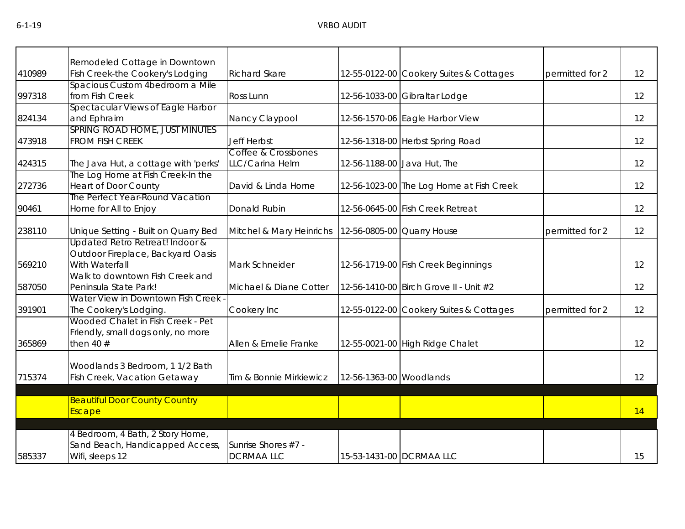|        | Remodeled Cottage in Downtown                                  |                          |                         |                                          |                 |                   |
|--------|----------------------------------------------------------------|--------------------------|-------------------------|------------------------------------------|-----------------|-------------------|
| 410989 | Fish Creek-the Cookery's Lodging                               | <b>Richard Skare</b>     |                         | 12-55-0122-00 Cookery Suites & Cottages  | permitted for 2 | 12                |
|        | Spacious Custom 4bedroom a Mile                                |                          |                         |                                          |                 |                   |
| 997318 | from Fish Creek                                                | Ross Lunn                |                         | 12-56-1033-00 Gibraltar Lodge            |                 | 12                |
|        | Spectacular Views of Eagle Harbor                              |                          |                         |                                          |                 |                   |
| 824134 | and Ephraim                                                    | Nancy Claypool           |                         | 12-56-1570-06 Eagle Harbor View          |                 | 12                |
|        | SPRING ROAD HOME, JUST MINUTES                                 |                          |                         |                                          |                 |                   |
| 473918 | <b>FROM FISH CREEK</b>                                         | <b>Jeff Herbst</b>       |                         | 12-56-1318-00 Herbst Spring Road         |                 | 12                |
|        |                                                                | Coffee & Crossbones      |                         |                                          |                 |                   |
| 424315 | The Java Hut, a cottage with 'perks'                           | LLC/Carina Helm          |                         | 12-56-1188-00 Java Hut, The              |                 | 12                |
|        | The Log Home at Fish Creek-In the                              |                          |                         |                                          |                 |                   |
| 272736 | <b>Heart of Door County</b><br>The Perfect Year-Round Vacation | David & Linda Horne      |                         | 12-56-1023-00 The Log Home at Fish Creek |                 | 12                |
|        |                                                                |                          |                         |                                          |                 | 12                |
| 90461  | Home for All to Enjoy                                          | Donald Rubin             |                         | 12-56-0645-00 Fish Creek Retreat         |                 |                   |
| 238110 | Unique Setting - Built on Quarry Bed                           | Mitchel & Mary Heinrichs |                         | 12-56-0805-00 Quarry House               | permitted for 2 | $12 \overline{ }$ |
|        | Updated Retro Retreat! Indoor &                                |                          |                         |                                          |                 |                   |
|        | Outdoor Fireplace, Backyard Oasis                              |                          |                         |                                          |                 |                   |
| 569210 | With Waterfall                                                 | Mark Schneider           |                         | 12-56-1719-00 Fish Creek Beginnings      |                 | 12                |
|        | Walk to downtown Fish Creek and                                |                          |                         |                                          |                 |                   |
| 587050 | Peninsula State Park!                                          | Michael & Diane Cotter   |                         | 12-56-1410-00 Birch Grove II - Unit #2   |                 | 12                |
|        | Water View in Downtown Fish Creek                              |                          |                         |                                          |                 |                   |
| 391901 | The Cookery's Lodging.                                         | Cookery Inc              |                         | 12-55-0122-00 Cookery Suites & Cottages  | permitted for 2 | 12                |
|        | Wooded Chalet in Fish Creek - Pet                              |                          |                         |                                          |                 |                   |
|        | Friendly, small dogs only, no more                             |                          |                         |                                          |                 |                   |
| 365869 | then 40 $#$                                                    | Allen & Emelie Franke    |                         | 12-55-0021-00 High Ridge Chalet          |                 | 12                |
|        |                                                                |                          |                         |                                          |                 |                   |
|        | Woodlands 3 Bedroom, 1 1/2 Bath                                |                          |                         |                                          |                 |                   |
| 715374 | Fish Creek, Vacation Getaway                                   | Tim & Bonnie Mirkiewicz  | 12-56-1363-00 Woodlands |                                          |                 | 12                |
|        | <b>Beautiful Door County Country</b>                           |                          |                         |                                          |                 |                   |
|        | Escape                                                         |                          |                         |                                          |                 | 14                |
|        |                                                                |                          |                         |                                          |                 |                   |
|        | 4 Bedroom, 4 Bath, 2 Story Home,                               |                          |                         |                                          |                 |                   |
|        | Sand Beach, Handicapped Access,                                | Sunrise Shores #7 -      |                         |                                          |                 |                   |
| 585337 | Wifi, sleeps 12                                                | <b>DCRMAALLC</b>         |                         | 15-53-1431-00 DCRMAA LLC                 |                 | 15                |
|        |                                                                |                          |                         |                                          |                 |                   |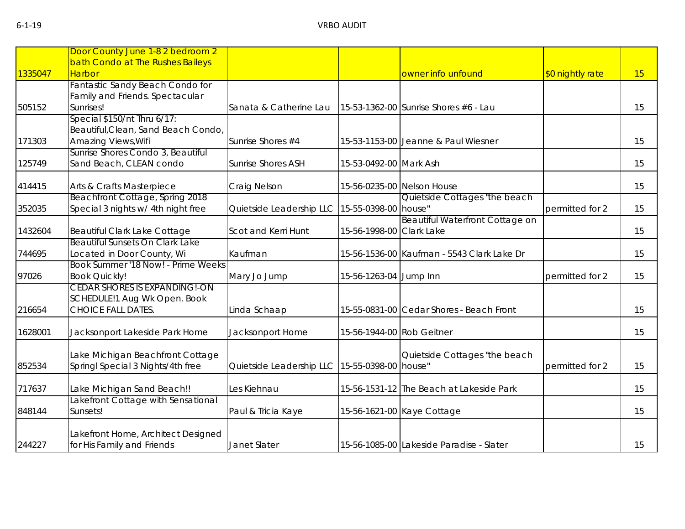|         | Door County June 1-8 2 bedroom 2    |                           |                           |                                            |                  |    |
|---------|-------------------------------------|---------------------------|---------------------------|--------------------------------------------|------------------|----|
|         | bath Condo at The Rushes Baileys    |                           |                           |                                            |                  |    |
| 1335047 | <b>Harbor</b>                       |                           |                           | owner info unfound                         |                  | 15 |
|         |                                     |                           |                           |                                            | \$0 nightly rate |    |
|         | Fantastic Sandy Beach Condo for     |                           |                           |                                            |                  |    |
|         | Family and Friends. Spectacular     |                           |                           |                                            |                  |    |
| 505152  | Sunrises!                           | Sanata & Catherine Lau    |                           | 15-53-1362-00 Sunrise Shores #6 - Lau      |                  | 15 |
|         | Special \$150/nt Thru 6/17:         |                           |                           |                                            |                  |    |
|         | Beautiful, Clean, Sand Beach Condo, |                           |                           |                                            |                  |    |
| 171303  | Amazing Views, Wifi                 | Sunrise Shores #4         |                           | 15-53-1153-00 Jeanne & Paul Wiesner        |                  | 15 |
|         | Sunrise Shores Condo 3, Beautiful   |                           |                           |                                            |                  |    |
| 125749  | Sand Beach, CLEAN condo             | <b>Sunrise Shores ASH</b> | 15-53-0492-00 Mark Ash    |                                            |                  | 15 |
|         |                                     |                           |                           |                                            |                  |    |
| 414415  | Arts & Crafts Masterpiece           | Craig Nelson              |                           | 15-56-0235-00 Nelson House                 |                  | 15 |
|         | Beachfront Cottage, Spring 2018     |                           |                           | Quietside Cottages "the beach              |                  |    |
| 352035  | Special 3 nights w/ 4th night free  | Quietside Leadership LLC  | 15-55-0398-00 house"      |                                            | permitted for 2  | 15 |
|         |                                     |                           |                           | <b>Beautiful Waterfront Cottage on</b>     |                  |    |
| 1432604 | Beautiful Clark Lake Cottage        | Scot and Kerri Hunt       | 15-56-1998-00 Clark Lake  |                                            |                  | 15 |
|         | Beautiful Sunsets On Clark Lake     |                           |                           |                                            |                  |    |
| 744695  | Located in Door County, Wi          | Kaufman                   |                           | 15-56-1536-00 Kaufman - 5543 Clark Lake Dr |                  | 15 |
|         | Book Summer '18 Now! - Prime Weeks  |                           |                           |                                            |                  |    |
| 97026   | <b>Book Quickly!</b>                | Mary Jo Jump              | 15-56-1263-04 Jump Inn    |                                            | permitted for 2  | 15 |
|         | CEDAR SHORES IS EXPANDING!-ON       |                           |                           |                                            |                  |    |
|         | SCHEDULE!1 Aug Wk Open. Book        |                           |                           |                                            |                  |    |
| 216654  | <b>CHOICE FALL DATES.</b>           | Linda Schaap              |                           | 15-55-0831-00 Cedar Shores - Beach Front   |                  | 15 |
| 1628001 | Jacksonport Lakeside Park Home      | Jacksonport Home          | 15-56-1944-00 Rob Geitner |                                            |                  | 15 |
|         |                                     |                           |                           |                                            |                  |    |
|         |                                     |                           |                           |                                            |                  |    |
|         | Lake Michigan Beachfront Cottage    |                           |                           | Quietside Cottages "the beach              |                  |    |
| 852534  | Springl Special 3 Nights/4th free   | Quietside Leadership LLC  | 15-55-0398-00 house"      |                                            | permitted for 2  | 15 |
| 717637  | Lake Michigan Sand Beach!!          | Les Kiehnau               |                           | 15-56-1531-12 The Beach at Lakeside Park   |                  | 15 |
|         | Lakefront Cottage with Sensational  |                           |                           |                                            |                  |    |
| 848144  | Sunsets!                            | Paul & Tricia Kaye        |                           | 15-56-1621-00 Kaye Cottage                 |                  | 15 |
|         |                                     |                           |                           |                                            |                  |    |
|         | Lakefront Home, Architect Designed  |                           |                           |                                            |                  |    |
| 244227  | for His Family and Friends          | Janet Slater              |                           | 15-56-1085-00 Lakeside Paradise - Slater   |                  | 15 |
|         |                                     |                           |                           |                                            |                  |    |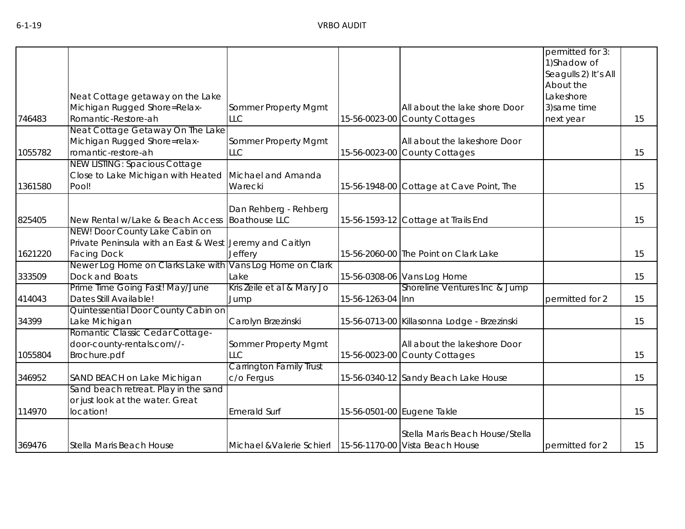|         |                                                           |                                                             |                   |                                             | permitted for 3:                     |    |
|---------|-----------------------------------------------------------|-------------------------------------------------------------|-------------------|---------------------------------------------|--------------------------------------|----|
|         |                                                           |                                                             |                   |                                             | 1) Shadow of<br>Seagulls 2) It's All |    |
|         |                                                           |                                                             |                   |                                             | About the                            |    |
|         | Neat Cottage getaway on the Lake                          |                                                             |                   |                                             | Lakeshore                            |    |
|         | Michigan Rugged Shore=Relax-                              | Sommer Property Mgmt                                        |                   | All about the lake shore Door               | 3) same time                         |    |
| 746483  | Romantic-Restore-ah                                       | <b>LLC</b>                                                  |                   | 15-56-0023-00 County Cottages               | next year                            | 15 |
|         | Neat Cottage Getaway On The Lake                          |                                                             |                   |                                             |                                      |    |
|         | Michigan Rugged Shore=relax-                              | Sommer Property Mgmt                                        |                   | All about the lakeshore Door                |                                      |    |
| 1055782 | romantic-restore-ah                                       | <b>LLC</b>                                                  |                   | 15-56-0023-00 County Cottages               |                                      | 15 |
|         | <b>NEW LISTING: Spacious Cottage</b>                      |                                                             |                   |                                             |                                      |    |
|         | Close to Lake Michigan with Heated                        | Michael and Amanda                                          |                   |                                             |                                      |    |
| 1361580 | Pool!                                                     | Warecki                                                     |                   | 15-56-1948-00 Cottage at Cave Point, The    |                                      | 15 |
|         |                                                           | Dan Rehberg - Rehberg                                       |                   |                                             |                                      |    |
| 825405  | New Rental w/Lake & Beach Access                          | <b>Boathouse LLC</b>                                        |                   | 15-56-1593-12 Cottage at Trails End         |                                      | 15 |
|         | NEW! Door County Lake Cabin on                            |                                                             |                   |                                             |                                      |    |
|         | Private Peninsula with an East & West Jeremy and Caitlyn  |                                                             |                   |                                             |                                      |    |
| 1621220 | <b>Facing Dock</b>                                        | Jeffery                                                     |                   | 15-56-2060-00 The Point on Clark Lake       |                                      | 15 |
|         | Newer Log Home on Clarks Lake with                        | Vans Log Home on Clark                                      |                   |                                             |                                      |    |
| 333509  | Dock and Boats                                            | Lake                                                        |                   | 15-56-0308-06 Vans Log Home                 |                                      | 15 |
| 414043  | Prime Time Going Fast! May/June<br>Dates Still Available! | Kris Zeile et al & Mary Jo<br>Jump                          | 15-56-1263-04 Inn | Shoreline Ventures Inc & Jump               | permitted for 2                      | 15 |
|         | Quintessential Door County Cabin on                       |                                                             |                   |                                             |                                      |    |
| 34399   | Lake Michigan                                             | Carolyn Brzezinski                                          |                   | 15-56-0713-00 Killasonna Lodge - Brzezinski |                                      | 15 |
|         | Romantic Classic Cedar Cottage-                           |                                                             |                   |                                             |                                      |    |
|         | door-county-rentals.com//-                                | Sommer Property Mgmt                                        |                   | All about the lakeshore Door                |                                      |    |
| 1055804 | Brochure.pdf                                              | <b>LLC</b>                                                  |                   | 15-56-0023-00 County Cottages               |                                      | 15 |
|         |                                                           | <b>Carrington Family Trust</b>                              |                   |                                             |                                      |    |
| 346952  | SAND BEACH on Lake Michigan                               | c/o Fergus                                                  |                   | 15-56-0340-12 Sandy Beach Lake House        |                                      | 15 |
|         | Sand beach retreat. Play in the sand                      |                                                             |                   |                                             |                                      |    |
| 114970  | or just look at the water. Great<br>location!             | <b>Emerald Surf</b>                                         |                   | 15-56-0501-00 Eugene Takle                  |                                      | 15 |
|         |                                                           |                                                             |                   |                                             |                                      |    |
|         |                                                           |                                                             |                   | Stella Maris Beach House/Stella             |                                      |    |
| 369476  | Stella Maris Beach House                                  | Michael & Valerie Schierl   15-56-1170-00 Vista Beach House |                   |                                             | permitted for 2                      | 15 |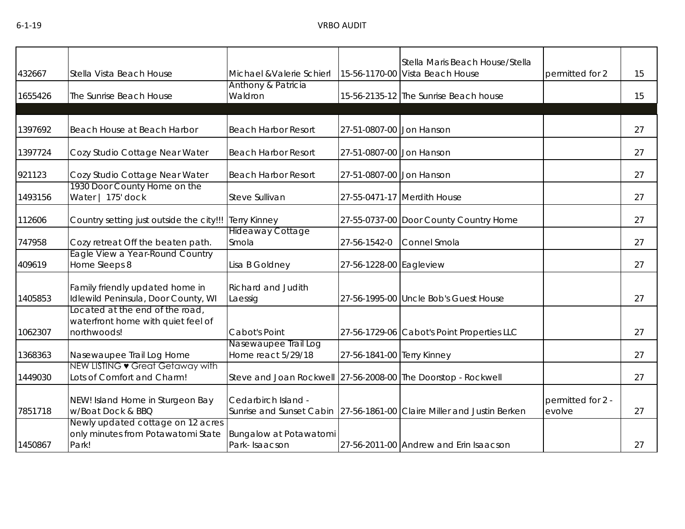| 432667  | Stella Vista Beach House                                                             | Michael & Valerie Schierl                                     |                            | Stella Maris Beach House/Stella<br>15-56-1170-00 Vista Beach House     | permitted for 2             | 15 |
|---------|--------------------------------------------------------------------------------------|---------------------------------------------------------------|----------------------------|------------------------------------------------------------------------|-----------------------------|----|
| 1655426 | The Sunrise Beach House                                                              | Anthony & Patricia<br>Waldron                                 |                            | 15-56-2135-12 The Sunrise Beach house                                  |                             | 15 |
| 1397692 | Beach House at Beach Harbor                                                          | <b>Beach Harbor Resort</b>                                    | 27-51-0807-00 Jon Hanson   |                                                                        |                             | 27 |
| 1397724 | Cozy Studio Cottage Near Water                                                       | <b>Beach Harbor Resort</b>                                    | 27-51-0807-00 Jon Hanson   |                                                                        |                             | 27 |
| 921123  | Cozy Studio Cottage Near Water                                                       | <b>Beach Harbor Resort</b>                                    | 27-51-0807-00 Jon Hanson   |                                                                        |                             | 27 |
| 1493156 | 1930 Door County Home on the<br>Water   175' dock                                    | Steve Sullivan                                                |                            | 27-55-0471-17 Merdith House                                            |                             | 27 |
| 112606  | Country setting just outside the city!!!                                             | <b>Terry Kinney</b>                                           |                            | 27-55-0737-00 Door County Country Home                                 |                             | 27 |
| 747958  | Cozy retreat Off the beaten path.                                                    | <b>Hideaway Cottage</b><br>Smola                              | 27-56-1542-0               | Connel Smola                                                           |                             | 27 |
| 409619  | Eagle View a Year-Round Country<br>Home Sleeps 8                                     | Lisa B Goldney                                                | 27-56-1228-00 Eagleview    |                                                                        |                             | 27 |
| 1405853 | Family friendly updated home in<br>Idlewild Peninsula, Door County, WI               | Richard and Judith<br>Laessig                                 |                            | 27-56-1995-00 Uncle Bob's Guest House                                  |                             | 27 |
| 1062307 | Located at the end of the road,<br>waterfront home with quiet feel of<br>northwoods! | Cabot's Point                                                 |                            | 27-56-1729-06 Cabot's Point Properties LLC                             |                             | 27 |
| 1368363 | Nasewaupee Trail Log Home                                                            | Nasewaupee Trail Log<br>Home react 5/29/18                    | 27-56-1841-00 Terry Kinney |                                                                        |                             | 27 |
| 1449030 | NEW LISTING • Great Getaway with<br>Lots of Comfort and Charm!                       | Steve and Joan Rockwell 27-56-2008-00 The Doorstop - Rockwell |                            |                                                                        |                             | 27 |
| 7851718 | NEW! Island Home in Sturgeon Bay<br>w/Boat Dock & BBQ                                | Cedarbirch Island -                                           |                            | Sunrise and Sunset Cabin 27-56-1861-00 Claire Miller and Justin Berken | permitted for 2 -<br>evolve | 27 |
| 1450867 | Newly updated cottage on 12 acres<br>only minutes from Potawatomi State<br>Park!     | Bungalow at Potawatomi<br>Park-Isaacson                       |                            | 27-56-2011-00 Andrew and Erin Isaacson                                 |                             | 27 |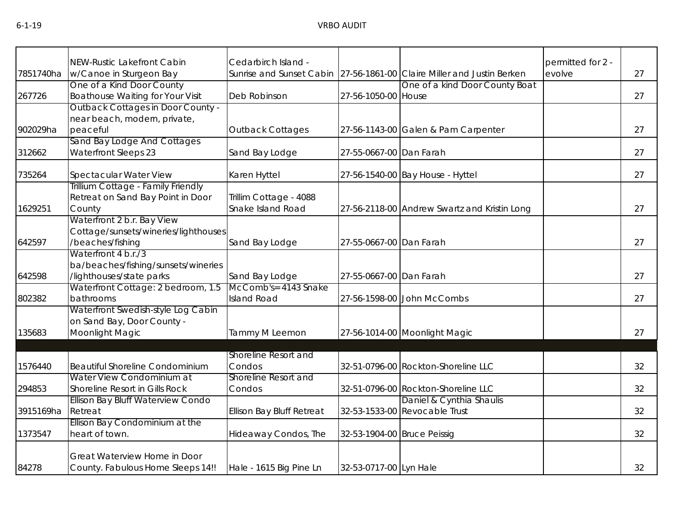|           | NEW-Rustic Lakefront Cabin                                 | Cedarbirch Island -              |                             |                                                                        | permitted for 2 - |    |
|-----------|------------------------------------------------------------|----------------------------------|-----------------------------|------------------------------------------------------------------------|-------------------|----|
| 7851740ha | w/Canoe in Sturgeon Bay                                    |                                  |                             | Sunrise and Sunset Cabin 27-56-1861-00 Claire Miller and Justin Berken | evolve            | 27 |
|           | One of a Kind Door County                                  |                                  |                             | One of a kind Door County Boat                                         |                   |    |
| 267726    | <b>Boathouse Waiting for Your Visit</b>                    | Deb Robinson                     | 27-56-1050-00 House         |                                                                        |                   | 27 |
|           | Outback Cottages in Door County -                          |                                  |                             |                                                                        |                   |    |
|           | near beach, modern, private,                               |                                  |                             |                                                                        |                   |    |
| 902029ha  | peaceful                                                   | <b>Outback Cottages</b>          |                             | 27-56-1143-00 Galen & Pam Carpenter                                    |                   | 27 |
|           | Sand Bay Lodge And Cottages                                |                                  |                             |                                                                        |                   |    |
| 312662    | <b>Waterfront Sleeps 23</b>                                | Sand Bay Lodge                   | 27-55-0667-00 Dan Farah     |                                                                        |                   | 27 |
| 735264    | Spectacular Water View                                     | Karen Hyttel                     |                             | 27-56-1540-00 Bay House - Hyttel                                       |                   | 27 |
|           | Trillium Cottage - Family Friendly                         |                                  |                             |                                                                        |                   |    |
|           | Retreat on Sand Bay Point in Door                          | Trillim Cottage - 4088           |                             |                                                                        |                   |    |
| 1629251   | County                                                     | Snake Island Road                |                             | 27-56-2118-00 Andrew Swartz and Kristin Long                           |                   | 27 |
|           | Waterfront 2 b.r. Bay View                                 |                                  |                             |                                                                        |                   |    |
|           | Cottage/sunsets/wineries/lighthouses                       |                                  |                             |                                                                        |                   |    |
| 642597    | /beaches/fishing                                           | Sand Bay Lodge                   | 27-55-0667-00 Dan Farah     |                                                                        |                   | 27 |
|           | Waterfront 4 b.r./3<br>ba/beaches/fishing/sunsets/wineries |                                  |                             |                                                                        |                   |    |
| 642598    | lighthouses/state parks                                    | Sand Bay Lodge                   | 27-55-0667-00 Dan Farah     |                                                                        |                   | 27 |
|           | Waterfront Cottage: 2 bedroom, 1.5                         | McComb's= 4143 Snake             |                             |                                                                        |                   |    |
| 802382    | bathrooms                                                  | <b>Island Road</b>               |                             | 27-56-1598-00 John McCombs                                             |                   | 27 |
|           | Waterfront Swedish-style Log Cabin                         |                                  |                             |                                                                        |                   |    |
|           | on Sand Bay, Door County -                                 |                                  |                             |                                                                        |                   |    |
| 135683    | Moonlight Magic                                            | Tammy M Leemon                   |                             | 27-56-1014-00 Moonlight Magic                                          |                   | 27 |
|           |                                                            |                                  |                             |                                                                        |                   |    |
|           |                                                            | Shoreline Resort and             |                             |                                                                        |                   |    |
| 1576440   | <b>Beautiful Shoreline Condominium</b>                     | Condos                           |                             | 32-51-0796-00 Rockton-Shoreline LLC                                    |                   | 32 |
|           | Water View Condominium at                                  | Shoreline Resort and             |                             |                                                                        |                   |    |
| 294853    | Shoreline Resort in Gills Rock                             | Condos                           |                             | 32-51-0796-00 Rockton-Shoreline LLC                                    |                   | 32 |
|           | Ellison Bay Bluff Waterview Condo                          |                                  |                             | Daniel & Cynthia Shaulis                                               |                   |    |
| 3915169ha | Retreat                                                    | <b>Ellison Bay Bluff Retreat</b> |                             | 32-53-1533-00 Revocable Trust                                          |                   | 32 |
| 1373547   | Ellison Bay Condominium at the<br>heart of town.           | Hideaway Condos, The             | 32-53-1904-00 Bruce Peissig |                                                                        |                   | 32 |
|           |                                                            |                                  |                             |                                                                        |                   |    |
|           | Great Waterview Home in Door                               |                                  |                             |                                                                        |                   |    |
| 84278     | County. Fabulous Home Sleeps 14!!                          | Hale - 1615 Big Pine Ln          | 32-53-0717-00 Lyn Hale      |                                                                        |                   | 32 |
|           |                                                            |                                  |                             |                                                                        |                   |    |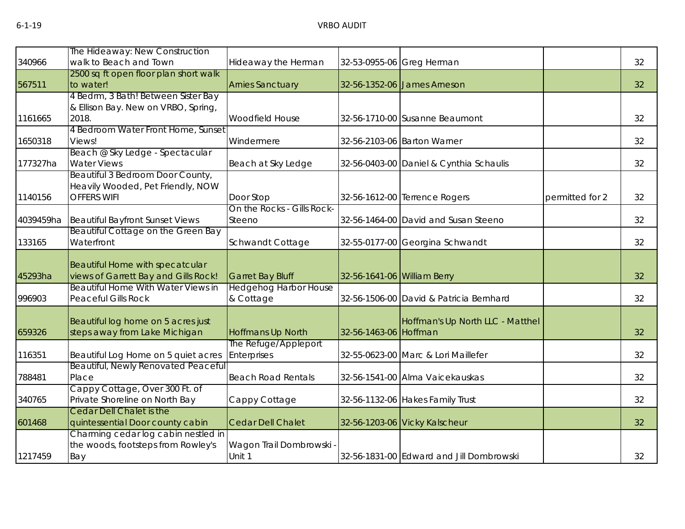|          | The Hideaway: New Construction                                                              |                                           |                             |                                          |                 |    |
|----------|---------------------------------------------------------------------------------------------|-------------------------------------------|-----------------------------|------------------------------------------|-----------------|----|
| 340966   | walk to Beach and Town                                                                      | Hideaway the Herman                       |                             | 32-53-0955-06 Greg Herman                |                 | 32 |
| 567511   | 2500 sq ft open floor plan short walk<br>to water!                                          | <b>Arnies Sanctuary</b>                   |                             | 32-56-1352-06 James Arneson              |                 | 32 |
|          | 4 Bedrm, 3 Bath! Between Sister Bay<br>& Ellison Bay. New on VRBO, Spring,                  |                                           |                             |                                          |                 |    |
| 1161665  | 2018.                                                                                       | Woodfield House                           |                             | 32-56-1710-00 Susanne Beaumont           |                 | 32 |
| 1650318  | 4 Bedroom Water Front Home, Sunset<br>Views!                                                | Windermere                                |                             | 32-56-2103-06 Barton Warner              |                 | 32 |
| 177327ha | Beach @ Sky Ledge - Spectacular<br><b>Water Views</b>                                       | Beach at Sky Ledge                        |                             | 32-56-0403-00 Daniel & Cynthia Schaulis  |                 | 32 |
| 1140156  | Beautiful 3 Bedroom Door County,<br>Heavily Wooded, Pet Friendly, NOW<br><b>OFFERS WIFI</b> | Door Stop                                 |                             | 32-56-1612-00 Terrence Rogers            | permitted for 2 | 32 |
|          | 4039459ha Beautiful Bayfront Sunset Views                                                   | On the Rocks - Gills Rock-<br>Steeno      |                             | 32-56-1464-00 David and Susan Steeno     |                 | 32 |
| 133165   | Beautiful Cottage on the Green Bay<br>Waterfront                                            | Schwandt Cottage                          |                             | 32-55-0177-00 Georgina Schwandt          |                 | 32 |
| 45293ha  | Beautiful Home with specatcular<br>views of Garrett Bay and Gills Rock!                     | <b>Garret Bay Bluff</b>                   | 32-56-1641-06 William Berry |                                          |                 | 32 |
| 996903   | <b>Beautiful Home With Water Views in</b><br><b>Peaceful Gills Rock</b>                     | <b>Hedgehog Harbor House</b><br>& Cottage |                             | 32-56-1506-00 David & Patricia Bernhard  |                 | 32 |
| 659326   | Beautiful log home on 5 acres just<br>steps away from Lake Michigan                         | <b>Hoffmans Up North</b>                  | 32-56-1463-06 Hoffman       | Hoffman's Up North LLC - Matthel         |                 | 32 |
| 116351   | Beautiful Log Home on 5 quiet acres                                                         | The Refuge/Appleport<br>Enterprises       |                             | 32-55-0623-00 Marc & Lori Maillefer      |                 | 32 |
| 788481   | Beautiful, Newly Renovated Peaceful<br>Place                                                | <b>Beach Road Rentals</b>                 |                             | 32-56-1541-00 Alma Vaicekauskas          |                 | 32 |
| 340765   | Cappy Cottage, Over 300 Ft. of<br>Private Shoreline on North Bay                            | Cappy Cottage                             |                             | 32-56-1132-06 Hakes Family Trust         |                 | 32 |
| 601468   | <b>Cedar Dell Chalet is the</b><br>quintessential Door county cabin                         | <b>Cedar Dell Chalet</b>                  |                             | 32-56-1203-06 Vicky Kalscheur            |                 | 32 |
| 1217459  | Charming cedar log cabin nestled in<br>the woods, footsteps from Rowley's<br>Bay            | Wagon Trail Dombrowski<br>Unit 1          |                             | 32-56-1831-00 Edward and Jill Dombrowski |                 | 32 |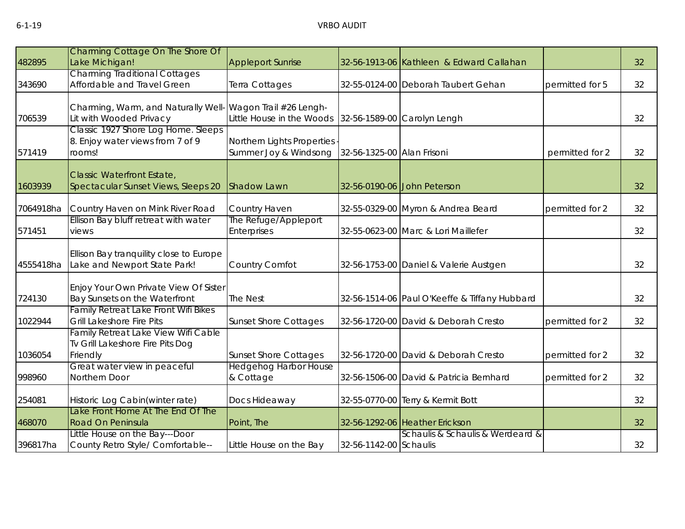|           | Charming Cottage On The Shore Of                                                    |                                                     |                            |                                               |                 |    |
|-----------|-------------------------------------------------------------------------------------|-----------------------------------------------------|----------------------------|-----------------------------------------------|-----------------|----|
| 482895    | Lake Michigan!                                                                      | <b>Appleport Sunrise</b>                            |                            | 32-56-1913-06 Kathleen & Edward Callahan      |                 | 32 |
|           | <b>Charming Traditional Cottages</b>                                                |                                                     |                            |                                               |                 |    |
| 343690    | Affordable and Travel Green                                                         | Terra Cottages                                      |                            | 32-55-0124-00 Deborah Taubert Gehan           | permitted for 5 | 32 |
|           | Charming, Warm, and Naturally Well                                                  | Wagon Trail #26 Lengh-                              |                            |                                               |                 |    |
| 706539    | Lit with Wooded Privacy                                                             | Little House in the Woods                           |                            | 32-56-1589-00 Carolyn Lengh                   |                 | 32 |
| 571419    | Classic 1927 Shore Log Home. Sleeps<br>8. Enjoy water views from 7 of 9<br>rooms!   | Northern Lights Properties<br>Summer Joy & Windsong | 32-56-1325-00 Alan Frisoni |                                               | permitted for 2 | 32 |
|           |                                                                                     |                                                     |                            |                                               |                 |    |
| 1603939   | <b>Classic Waterfront Estate,</b><br>Spectacular Sunset Views, Sleeps 20            | <b>Shadow Lawn</b>                                  |                            | 32-56-0190-06 John Peterson                   |                 | 32 |
| 7064918ha | Country Haven on Mink River Road                                                    | Country Haven                                       |                            | 32-55-0329-00 Myron & Andrea Beard            | permitted for 2 | 32 |
| 571451    | Ellison Bay bluff retreat with water<br>views                                       | The Refuge/Appleport<br><b>Enterprises</b>          |                            | 32-55-0623-00 Marc & Lori Maillefer           |                 | 32 |
| 4555418ha | Ellison Bay tranquility close to Europe<br>Lake and Newport State Park!             | Country Comfot                                      |                            | 32-56-1753-00 Daniel & Valerie Austgen        |                 | 32 |
| 724130    | Enjoy Your Own Private View Of Sister<br>Bay Sunsets on the Waterfront              | The Nest                                            |                            | 32-56-1514-06 Paul O'Keeffe & Tiffany Hubbard |                 | 32 |
| 1022944   | <b>Family Retreat Lake Front Wifi Bikes</b><br><b>Grill Lakeshore Fire Pits</b>     | <b>Sunset Shore Cottages</b>                        |                            | 32-56-1720-00 David & Deborah Cresto          | permitted for 2 | 32 |
| 1036054   | Family Retreat Lake View Wifi Cable<br>Tv Grill Lakeshore Fire Pits Dog<br>Friendly | <b>Sunset Shore Cottages</b>                        |                            | 32-56-1720-00 David & Deborah Cresto          | permitted for 2 | 32 |
|           | Great water view in peaceful                                                        | <b>Hedgehog Harbor House</b>                        |                            |                                               |                 |    |
| 998960    | Northern Door                                                                       | & Cottage                                           |                            | 32-56-1506-00 David & Patricia Bernhard       | permitted for 2 | 32 |
| 254081    | Historic Log Cabin(winter rate)                                                     | Docs Hideaway                                       |                            | 32-55-0770-00 Terry & Kermit Bott             |                 | 32 |
| 468070    | Lake Front Home At The End Of The<br>Road On Peninsula                              | Point, The                                          |                            | 32-56-1292-06 Heather Erickson                |                 | 32 |
|           | Little House on the Bay---Door                                                      |                                                     |                            | Schaulis & Schaulis & Werdeard &              |                 |    |
| 396817ha  | County Retro Style/ Comfortable--                                                   | Little House on the Bay                             | 32-56-1142-00 Schaulis     |                                               |                 | 32 |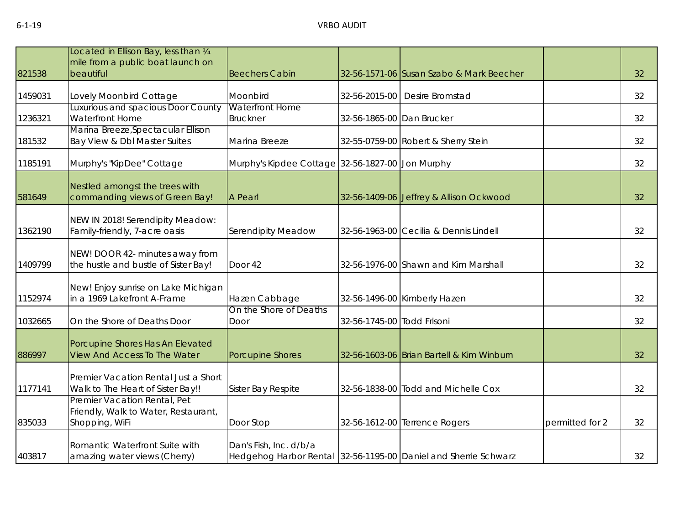|         | Located in Ellison Bay, less than 1/4                                   |                                                  |                            |                                                                 |                 |    |
|---------|-------------------------------------------------------------------------|--------------------------------------------------|----------------------------|-----------------------------------------------------------------|-----------------|----|
|         | mile from a public boat launch on                                       |                                                  |                            |                                                                 |                 |    |
| 821538  | beautiful                                                               | <b>Beechers Cabin</b>                            |                            | 32-56-1571-06 Susan Szabo & Mark Beecher                        |                 | 32 |
|         |                                                                         |                                                  |                            |                                                                 |                 |    |
| 1459031 | Lovely Moonbird Cottage                                                 | Moonbird                                         |                            | 32-56-2015-00   Desire Bromstad                                 |                 | 32 |
|         | Luxurious and spacious Door County                                      | <b>Waterfront Home</b>                           |                            |                                                                 |                 |    |
| 1236321 | Waterfront Home                                                         | <b>Bruckner</b>                                  | 32-56-1865-00 Dan Brucker  |                                                                 |                 | 32 |
|         | Marina Breeze, Spectacular Ellison                                      |                                                  |                            |                                                                 |                 |    |
| 181532  | Bay View & Dbl Master Suites                                            | Marina Breeze                                    |                            | 32-55-0759-00 Robert & Sherry Stein                             |                 | 32 |
| 1185191 | Murphy's "KipDee" Cottage                                               | Murphy's Kipdee Cottage 32-56-1827-00 Jon Murphy |                            |                                                                 |                 | 32 |
|         |                                                                         |                                                  |                            |                                                                 |                 |    |
|         | Nestled amongst the trees with                                          |                                                  |                            |                                                                 |                 |    |
| 581649  | commanding views of Green Bay!                                          | A Pearl                                          |                            | 32-56-1409-06 Jeffrey & Allison Ockwood                         |                 | 32 |
|         |                                                                         |                                                  |                            |                                                                 |                 |    |
|         | NEW IN 2018! Serendipity Meadow:                                        |                                                  |                            |                                                                 |                 |    |
| 1362190 | Family-friendly, 7-acre oasis                                           | Serendipity Meadow                               |                            | 32-56-1963-00 Cecilia & Dennis Lindell                          |                 | 32 |
|         |                                                                         |                                                  |                            |                                                                 |                 |    |
| 1409799 | NEW! DOOR 42- minutes away from<br>the hustle and bustle of Sister Bay! | Door 42                                          |                            | 32-56-1976-00 Shawn and Kim Marshall                            |                 | 32 |
|         |                                                                         |                                                  |                            |                                                                 |                 |    |
|         | New! Enjoy sunrise on Lake Michigan                                     |                                                  |                            |                                                                 |                 |    |
| 1152974 | in a 1969 Lakefront A-Frame                                             | Hazen Cabbage                                    |                            | 32-56-1496-00 Kimberly Hazen                                    |                 | 32 |
|         |                                                                         | On the Shore of Deaths                           |                            |                                                                 |                 |    |
| 1032665 | On the Shore of Deaths Door                                             | Door                                             | 32-56-1745-00 Todd Frisoni |                                                                 |                 | 32 |
|         |                                                                         |                                                  |                            |                                                                 |                 |    |
|         | Porcupine Shores Has An Elevated                                        |                                                  |                            |                                                                 |                 |    |
| 886997  | <b>View And Access To The Water</b>                                     | <b>Porcupine Shores</b>                          |                            | 32-56-1603-06 Brian Bartell & Kim Winburn                       |                 | 32 |
|         | Premier Vacation Rental Just a Short                                    |                                                  |                            |                                                                 |                 |    |
| 1177141 | Walk to The Heart of Sister Bay!!                                       | Sister Bay Respite                               |                            | 32-56-1838-00 Todd and Michelle Cox                             |                 | 32 |
|         | Premier Vacation Rental, Pet                                            |                                                  |                            |                                                                 |                 |    |
|         | Friendly, Walk to Water, Restaurant,                                    |                                                  |                            |                                                                 |                 |    |
| 835033  | Shopping, WiFi                                                          | Door Stop                                        |                            | 32-56-1612-00 Terrence Rogers                                   | permitted for 2 | 32 |
|         |                                                                         |                                                  |                            |                                                                 |                 |    |
|         | Romantic Waterfront Suite with                                          | Dan's Fish, Inc. d/b/a                           |                            |                                                                 |                 |    |
| 403817  | amazing water views (Cherry)                                            |                                                  |                            | Hedgehog Harbor Rental 32-56-1195-00 Daniel and Sherrie Schwarz |                 | 32 |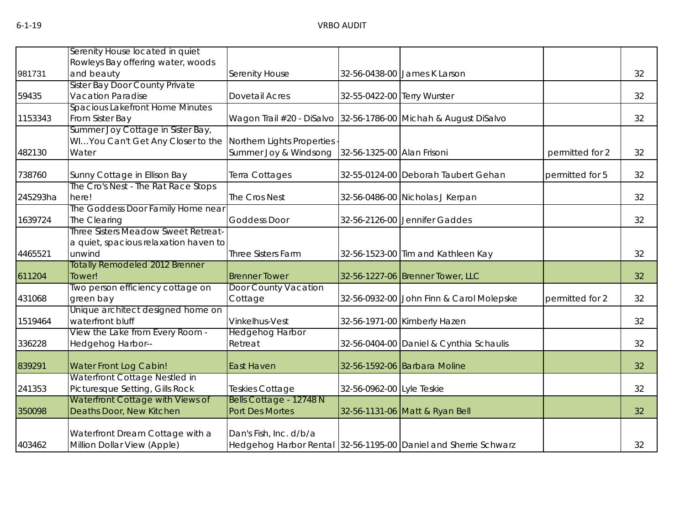|          | Serenity House located in quiet                                   |                         |                             |                                                                 |                 |    |
|----------|-------------------------------------------------------------------|-------------------------|-----------------------------|-----------------------------------------------------------------|-----------------|----|
|          | Rowleys Bay offering water, woods                                 |                         |                             |                                                                 |                 |    |
| 981731   | and beauty                                                        | Serenity House          |                             | 32-56-0438-00 James K Larson                                    |                 | 32 |
| 59435    | <b>Sister Bay Door County Private</b><br><b>Vacation Paradise</b> | <b>Dovetail Acres</b>   | 32-55-0422-00 Terry Wurster |                                                                 |                 | 32 |
|          | Spacious Lakefront Home Minutes                                   |                         |                             |                                                                 |                 |    |
| 1153343  | From Sister Bay                                                   |                         |                             | Wagon Trail #20 - DiSalvo 32-56-1786-00 Michah & August DiSalvo |                 | 32 |
|          | Summer Joy Cottage in Sister Bay,                                 |                         |                             |                                                                 |                 |    |
|          | WIYou Can't Get Any Closer to the Northern Lights Properties      |                         |                             |                                                                 |                 |    |
| 482130   | Water                                                             | Summer Joy & Windsong   | 32-56-1325-00 Alan Frisoni  |                                                                 | permitted for 2 | 32 |
|          |                                                                   |                         |                             |                                                                 |                 |    |
| 738760   | Sunny Cottage in Ellison Bay                                      | Terra Cottages          |                             | 32-55-0124-00 Deborah Taubert Gehan                             | permitted for 5 | 32 |
|          | The Cro's Nest - The Rat Race Stops                               |                         |                             |                                                                 |                 |    |
| 245293ha | here!                                                             | The Cros Nest           |                             | 32-56-0486-00 Nicholas J Kerpan                                 |                 | 32 |
|          | The Goddess Door Family Home near                                 |                         |                             |                                                                 |                 |    |
| 1639724  | The Clearing                                                      | <b>Goddess Door</b>     |                             | 32-56-2126-00 Jennifer Gaddes                                   |                 | 32 |
|          | Three Sisters Meadow Sweet Retreat-                               |                         |                             |                                                                 |                 |    |
|          | a quiet, spacious relaxation haven to                             |                         |                             |                                                                 |                 |    |
| 4465521  | unwind                                                            | Three Sisters Farm      |                             | 32-56-1523-00 Tim and Kathleen Kay                              |                 | 32 |
|          | <b>Totally Remodeled 2012 Brenner</b>                             |                         |                             |                                                                 |                 |    |
| 611204   | Tower!                                                            | <b>Brenner Tower</b>    |                             | 32-56-1227-06 Brenner Tower, LLC                                |                 | 32 |
|          | Two person efficiency cottage on                                  | Door County Vacation    |                             |                                                                 |                 |    |
| 431068   | green bay                                                         | Cottage                 |                             | 32-56-0932-00 John Finn & Carol Molepske                        | permitted for 2 | 32 |
|          | Unique architect designed home on                                 |                         |                             |                                                                 |                 |    |
| 1519464  | waterfront bluff                                                  | Vinkelhus-Vest          |                             | 32-56-1971-00 Kimberly Hazen                                    |                 | 32 |
|          | View the Lake from Every Room -                                   | <b>Hedgehog Harbor</b>  |                             |                                                                 |                 |    |
| 336228   | Hedgehog Harbor--                                                 | Retreat                 |                             | 32-56-0404-00 Daniel & Cynthia Schaulis                         |                 | 32 |
| 839291   | <b>Water Front Log Cabin!</b>                                     | <b>East Haven</b>       |                             | 32-56-1592-06 Barbara Moline                                    |                 | 32 |
|          | Waterfront Cottage Nestled in                                     |                         |                             |                                                                 |                 |    |
| 241353   | Picturesque Setting, Gills Rock                                   | Teskies Cottage         | 32-56-0962-00 Lyle Teskie   |                                                                 |                 | 32 |
|          | Waterfront Cottage with Views of                                  | Bells Cottage - 12748 N |                             |                                                                 |                 |    |
| 350098   | Deaths Door, New Kitchen                                          | Port Des Mortes         |                             | 32-56-1131-06 Matt & Ryan Bell                                  |                 | 32 |
|          |                                                                   |                         |                             |                                                                 |                 |    |
|          | Waterfront Dream Cottage with a                                   | Dan's Fish, Inc. d/b/a  |                             |                                                                 |                 |    |
| 403462   | Million Dollar View (Apple)                                       |                         |                             | Hedgehog Harbor Rental 32-56-1195-00 Daniel and Sherrie Schwarz |                 | 32 |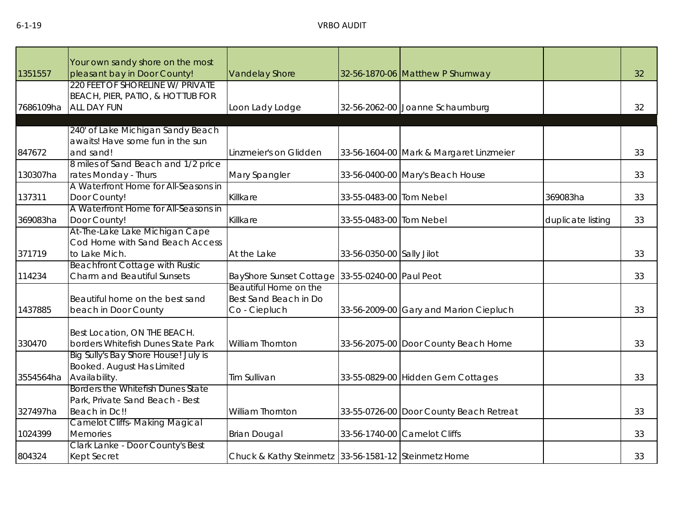| 1351557   | Your own sandy shore on the most<br>pleasant bay in Door County!   | <b>Vandelay Shore</b>                                |                           | 32-56-1870-06 Matthew P Shumway         |                   | 32 |
|-----------|--------------------------------------------------------------------|------------------------------------------------------|---------------------------|-----------------------------------------|-------------------|----|
|           | 220 FEET OF SHORELINE W/ PRIVATE                                   |                                                      |                           |                                         |                   |    |
|           | BEACH, PIER, PATIO, & HOT TUB FOR                                  |                                                      |                           |                                         |                   |    |
| 7686109ha | <b>ALL DAY FUN</b>                                                 | Loon Lady Lodge                                      |                           | 32-56-2062-00 Joanne Schaumburg         |                   | 32 |
|           |                                                                    |                                                      |                           |                                         |                   |    |
|           | 240' of Lake Michigan Sandy Beach                                  |                                                      |                           |                                         |                   |    |
|           | awaits! Have some fun in the sun                                   |                                                      |                           |                                         |                   |    |
| 847672    | and sand!                                                          | Linzmeier's on Glidden                               |                           | 33-56-1604-00 Mark & Margaret Linzmeier |                   | 33 |
|           | 8 miles of Sand Beach and 1/2 price                                |                                                      |                           |                                         |                   |    |
| 130307ha  | rates Monday - Thurs                                               | Mary Spangler                                        |                           | 33-56-0400-00 Mary's Beach House        |                   | 33 |
|           | A Waterfront Home for All-Seasons in                               |                                                      |                           |                                         |                   |    |
| 137311    | Door County!                                                       | Killkare                                             | 33-55-0483-00 Tom Nebel   |                                         | 369083ha          | 33 |
|           | A Waterfront Home for All-Seasons in                               |                                                      |                           |                                         |                   |    |
| 369083ha  | Door County!                                                       | Killkare                                             | 33-55-0483-00 Tom Nebel   |                                         | duplicate listing | 33 |
|           | At-The-Lake Lake Michigan Cape                                     |                                                      |                           |                                         |                   |    |
|           | Cod Home with Sand Beach Access                                    |                                                      |                           |                                         |                   |    |
| 371719    | to Lake Mich.                                                      | At the Lake                                          | 33-56-0350-00 Sally Jilot |                                         |                   | 33 |
|           | <b>Beachfront Cottage with Rustic</b>                              |                                                      |                           |                                         |                   |    |
| 114234    | Charm and Beautiful Sunsets                                        | BayShore Sunset Cottage 33-55-0240-00 Paul Peot      |                           |                                         |                   | 33 |
|           |                                                                    | Beautiful Home on the                                |                           |                                         |                   |    |
|           | Beautiful home on the best sand                                    | Best Sand Beach in Do                                |                           |                                         |                   |    |
| 1437885   | beach in Door County                                               | Co - Ciepluch                                        |                           | 33-56-2009-00 Gary and Marion Ciepluch  |                   | 33 |
|           |                                                                    |                                                      |                           |                                         |                   |    |
| 330470    | Best Location, ON THE BEACH.<br>borders Whitefish Dunes State Park | William Thornton                                     |                           | 33-56-2075-00 Door County Beach Home    |                   | 33 |
|           | Big Sully's Bay Shore House! July is                               |                                                      |                           |                                         |                   |    |
|           | Booked. August Has Limited                                         |                                                      |                           |                                         |                   |    |
| 3554564ha | Availability.                                                      | Tim Sullivan                                         |                           | 33-55-0829-00 Hidden Gem Cottages       |                   | 33 |
|           | Borders the Whitefish Dunes State                                  |                                                      |                           |                                         |                   |    |
|           | Park, Private Sand Beach - Best                                    |                                                      |                           |                                         |                   |    |
| 327497ha  | Beach in Dc!!                                                      | William Thornton                                     |                           | 33-55-0726-00 Door County Beach Retreat |                   | 33 |
|           | <b>Camelot Cliffs- Making Magical</b>                              |                                                      |                           |                                         |                   |    |
| 1024399   | <b>Memories</b>                                                    | <b>Brian Dougal</b>                                  |                           | 33-56-1740-00 Camelot Cliffs            |                   | 33 |
|           | Clark Lanke - Door County's Best                                   |                                                      |                           |                                         |                   |    |
| 804324    | <b>Kept Secret</b>                                                 | Chuck & Kathy Steinmetz 33-56-1581-12 Steinmetz Home |                           |                                         |                   | 33 |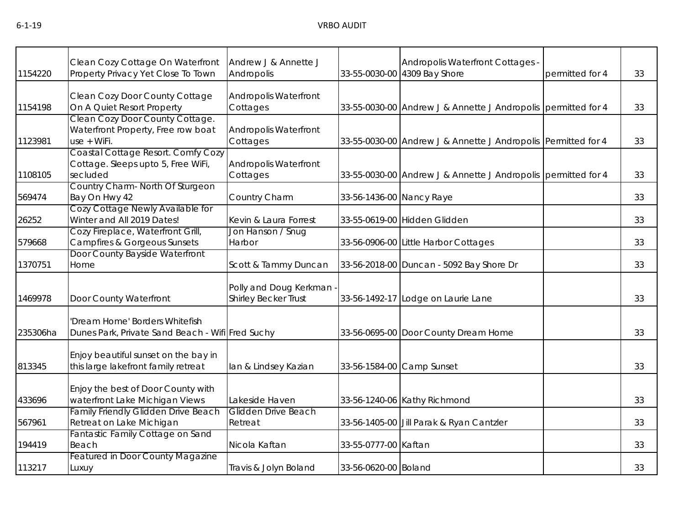| 1154220  | Clean Cozy Cottage On Waterfront<br>Property Privacy Yet Close To Town               | Andrew J & Annette J<br>Andropolis                    |                          | Andropolis Waterfront Cottages -<br>33-55-0030-00 4309 Bay Shore | permitted for 4 | 33 |
|----------|--------------------------------------------------------------------------------------|-------------------------------------------------------|--------------------------|------------------------------------------------------------------|-----------------|----|
| 1154198  | Clean Cozy Door County Cottage<br>On A Quiet Resort Property                         | <b>Andropolis Waterfront</b><br>Cottages              |                          | 33-55-0030-00 Andrew J & Annette J Andropolis permitted for 4    |                 | 33 |
| 1123981  | Clean Cozy Door County Cottage.<br>Waterfront Property, Free row boat<br>use + WiFi. | <b>Andropolis Waterfront</b><br>Cottages              |                          | 33-55-0030-00 Andrew J & Annette J Andropolis Permitted for 4    |                 | 33 |
| 1108105  | Coastal Cottage Resort. Comfy Cozy<br>Cottage. Sleeps upto 5, Free WiFi,<br>secluded | <b>Andropolis Waterfront</b><br>Cottages              |                          | 33-55-0030-00 Andrew J & Annette J Andropolis permitted for 4    |                 | 33 |
| 569474   | Country Charm- North Of Sturgeon<br>Bay On Hwy 42                                    | Country Charm                                         | 33-56-1436-00 Nancy Raye |                                                                  |                 | 33 |
| 26252    | Cozy Cottage Newly Available for<br>Winter and All 2019 Dates!                       | Kevin & Laura Forrest                                 |                          | 33-55-0619-00 Hidden Glidden                                     |                 | 33 |
| 579668   | Cozy Fireplace, Waterfront Grill,<br><b>Campfires &amp; Gorgeous Sunsets</b>         | Jon Hanson / Snug<br>Harbor                           |                          | 33-56-0906-00 Little Harbor Cottages                             |                 | 33 |
| 1370751  | Door County Bayside Waterfront<br>Home                                               | Scott & Tammy Duncan                                  |                          | 33-56-2018-00 Duncan - 5092 Bay Shore Dr                         |                 | 33 |
| 1469978  | Door County Waterfront                                                               | Polly and Doug Kerkman<br><b>Shirley Becker Trust</b> |                          | 33-56-1492-17 Lodge on Laurie Lane                               |                 | 33 |
| 235306ha | 'Dream Home' Borders Whitefish<br>Dunes Park, Private Sand Beach - Wifi Fred Suchy   |                                                       |                          | 33-56-0695-00 Door County Dream Home                             |                 | 33 |
| 813345   | Enjoy beautiful sunset on the bay in<br>this large lakefront family retreat          | lan & Lindsey Kazian                                  |                          | 33-56-1584-00 Camp Sunset                                        |                 | 33 |
| 433696   | Enjoy the best of Door County with<br>waterfront Lake Michigan Views                 | Lakeside Haven                                        |                          | 33-56-1240-06 Kathy Richmond                                     |                 | 33 |
| 567961   | <b>Family Friendly Glidden Drive Beach</b><br>Retreat on Lake Michigan               | Glidden Drive Beach<br>Retreat                        |                          | 33-56-1405-00 Jill Parak & Ryan Cantzler                         |                 | 33 |
| 194419   | Fantastic Family Cottage on Sand<br>Beach                                            | Nicola Kaftan                                         | 33-55-0777-00 Kaftan     |                                                                  |                 | 33 |
| 113217   | <b>Featured in Door County Magazine</b><br>Luxuy                                     | Travis & Jolyn Boland                                 | 33-56-0620-00 Boland     |                                                                  |                 | 33 |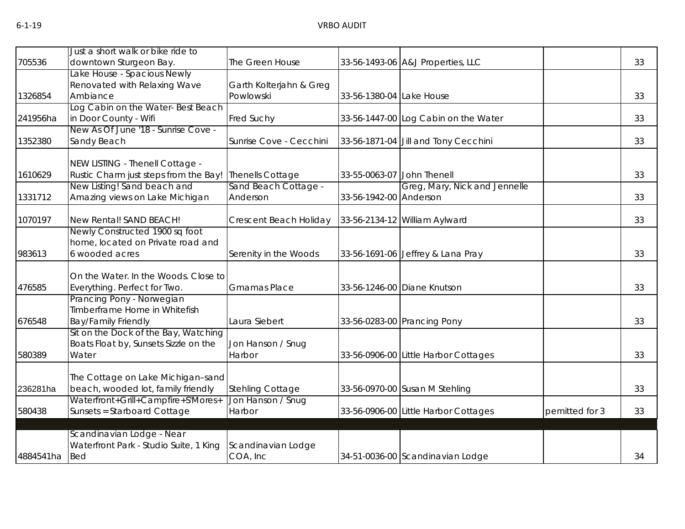|           | Just a short walk or bike ride to                                        |                                              |                            |                                      |                |    |
|-----------|--------------------------------------------------------------------------|----------------------------------------------|----------------------------|--------------------------------------|----------------|----|
| 705536    | downtown Sturgeon Bay.                                                   | The Green House                              |                            | 33-56-1493-06 A&J Properties, LLC    |                | 33 |
|           | Lake House - Spacious Newly                                              |                                              |                            |                                      |                |    |
|           | Renovated with Relaxing Wave                                             | Garth Kolterjahn & Greg                      |                            |                                      |                |    |
| 1326854   | Ambiance                                                                 | Powlowski                                    | 33-56-1380-04 Lake House   |                                      |                | 33 |
|           | Log Cabin on the Water-Best Beach                                        |                                              |                            |                                      |                |    |
| 241956ha  | in Door County - Wifi                                                    | Fred Suchy                                   |                            | 33-56-1447-00 Log Cabin on the Water |                | 33 |
|           | New As Of June '18 - Sunrise Cove -                                      |                                              |                            |                                      |                |    |
| 1352380   | Sandy Beach                                                              | Sunrise Cove - Cecchini                      |                            | 33-56-1871-04 Jill and Tony Cecchini |                | 33 |
|           | NEW LISTING - Thenell Cottage -                                          |                                              |                            |                                      |                |    |
| 1610629   | Rustic Charm just steps from the Bay!                                    | Thenells Cottage                             | 33-55-0063-07 John Thenell |                                      |                | 33 |
|           | New Listing! Sand beach and                                              | Sand Beach Cottage -                         |                            | Greg, Mary, Nick and Jennelle        |                |    |
| 1331712   | Amazing views on Lake Michigan                                           | Anderson                                     | 33-56-1942-00 Anderson     |                                      |                | 33 |
|           |                                                                          |                                              |                            |                                      |                |    |
| 1070197   | New Rental! SAND BEACH!                                                  | Crescent Beach Holiday                       |                            | 33-56-2134-12 William Aylward        |                | 33 |
|           | Newly Constructed 1900 sq foot<br>home, located on Private road and      |                                              |                            |                                      |                |    |
| 983613    | 6 wooded acres                                                           |                                              |                            |                                      |                | 33 |
|           |                                                                          | Serenity in the Woods                        |                            | 33-56-1691-06 Jeffrey & Lana Pray    |                |    |
|           | On the Water. In the Woods. Close to                                     |                                              |                            |                                      |                |    |
| 476585    | Everything. Perfect for Two.                                             | <b>Gmamas Place</b>                          |                            | 33-56-1246-00 Diane Knutson          |                | 33 |
|           | Prancing Pony - Norwegian                                                |                                              |                            |                                      |                |    |
|           | Timberframe Home in Whitefish                                            |                                              |                            |                                      |                |    |
| 676548    | <b>Bay/Family Friendly</b>                                               | Laura Siebert                                |                            | 33-56-0283-00 Prancing Pony          |                | 33 |
|           | Sit on the Dock of the Bay, Watching                                     |                                              |                            |                                      |                |    |
|           | Boats Float by, Sunsets Sizzle on the                                    | Jon Hanson / Snug                            |                            |                                      |                |    |
| 580389    | Water                                                                    | Harbor                                       |                            | 33-56-0906-00 Little Harbor Cottages |                | 33 |
|           |                                                                          |                                              |                            |                                      |                |    |
| 236281ha  | The Cottage on Lake Michigan-sand                                        |                                              |                            |                                      |                | 33 |
|           | beach, wooded lot, family friendly<br>Waterfront+Grill+Campfire+S'Mores+ | <b>Stehling Cottage</b><br>Jon Hanson / Snug |                            | 33-56-0970-00 Susan M Stehling       |                |    |
| 580438    | Sunsets = Starboard Cottage                                              | Harbor                                       |                            | 33-56-0906-00 Little Harbor Cottages | pemitted for 3 | 33 |
|           |                                                                          |                                              |                            |                                      |                |    |
|           | Scandinavian Lodge - Near                                                |                                              |                            |                                      |                |    |
|           | Waterfront Park - Studio Suite, 1 King                                   | Scandinavian Lodge                           |                            |                                      |                |    |
| 4884541ha | <b>Bed</b>                                                               | COA, Inc                                     |                            | 34-51-0036-00 Scandinavian Lodge     |                | 34 |
|           |                                                                          |                                              |                            |                                      |                |    |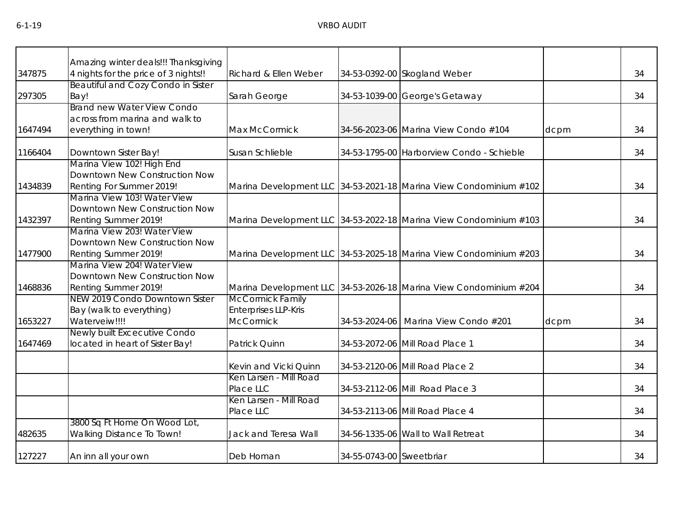|         | Amazing winter deals!!! Thanksgiving                                                   |                                                        |                          |                                                                   |      |    |
|---------|----------------------------------------------------------------------------------------|--------------------------------------------------------|--------------------------|-------------------------------------------------------------------|------|----|
| 347875  | 4 nights for the price of 3 nights!!                                                   | Richard & Ellen Weber                                  |                          | 34-53-0392-00 Skogland Weber                                      |      | 34 |
| 297305  | <b>Beautiful and Cozy Condo in Sister</b><br>Bay!                                      | Sarah George                                           |                          | 34-53-1039-00 George's Getaway                                    |      | 34 |
|         | <b>Brand new Water View Condo</b><br>across from marina and walk to                    |                                                        |                          |                                                                   |      |    |
| 1647494 | everything in town!                                                                    | Max McCormick                                          |                          | 34-56-2023-06 Marina View Condo #104                              | dcpm | 34 |
| 1166404 | Downtown Sister Bay!                                                                   | Susan Schlieble                                        |                          | 34-53-1795-00 Harborview Condo - Schieble                         |      | 34 |
| 1434839 | Marina View 102! High End<br>Downtown New Construction Now<br>Renting For Summer 2019! |                                                        |                          | Marina Development LLC 34-53-2021-18 Marina View Condominium #102 |      | 34 |
| 1432397 | Marina View 103! Water View<br>Downtown New Construction Now<br>Renting Summer 2019!   |                                                        |                          | Marina Development LLC 34-53-2022-18 Marina View Condominium #103 |      | 34 |
|         | Marina View 203! Water View<br>Downtown New Construction Now                           |                                                        |                          |                                                                   |      |    |
| 1477900 | Renting Summer 2019!                                                                   |                                                        |                          | Marina Development LLC 34-53-2025-18 Marina View Condominium #203 |      | 34 |
|         | Marina View 204! Water View<br>Downtown New Construction Now                           |                                                        |                          |                                                                   |      |    |
| 1468836 | Renting Summer 2019!                                                                   |                                                        |                          | Marina Development LLC 34-53-2026-18 Marina View Condominium #204 |      | 34 |
|         | NEW 2019 Condo Downtown Sister<br>Bay (walk to everything)                             | <b>McCormick Family</b><br><b>Enterprises LLP-Kris</b> |                          |                                                                   |      |    |
| 1653227 | Waterveiw!!!!<br>Newly built Excecutive Condo                                          | <b>McCormick</b>                                       |                          | 34-53-2024-06 Marina View Condo #201                              | dcpm | 34 |
| 1647469 | located in heart of Sister Bay!                                                        | Patrick Quinn                                          |                          | 34-53-2072-06 Mill Road Place 1                                   |      | 34 |
|         |                                                                                        | Kevin and Vicki Quinn                                  |                          | 34-53-2120-06 Mill Road Place 2                                   |      | 34 |
|         |                                                                                        | Ken Larsen - Mill Road<br>Place LLC                    |                          | 34-53-2112-06 Mill Road Place 3                                   |      | 34 |
|         |                                                                                        | Ken Larsen - Mill Road<br>Place LLC                    |                          | 34-53-2113-06 Mill Road Place 4                                   |      | 34 |
| 482635  | 3800 Sq Ft Home On Wood Lot,<br>Walking Distance To Town!                              | Jack and Teresa Wall                                   |                          | 34-56-1335-06 Wall to Wall Retreat                                |      | 34 |
| 127227  | An inn all your own                                                                    | Deb Homan                                              | 34-55-0743-00 Sweetbriar |                                                                   |      | 34 |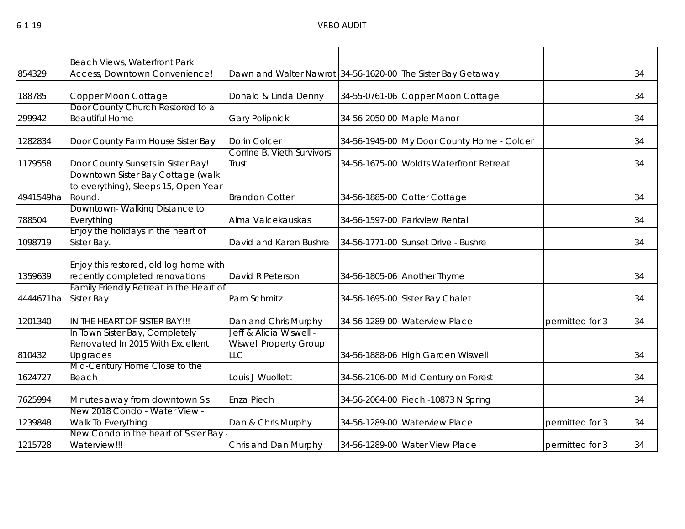|           | Beach Views, Waterfront Park                                            |                                                             |                                            |                 |    |
|-----------|-------------------------------------------------------------------------|-------------------------------------------------------------|--------------------------------------------|-----------------|----|
| 854329    | Access, Downtown Convenience!                                           | Dawn and Walter Nawrot 34-56-1620-00 The Sister Bay Getaway |                                            |                 | 34 |
| 188785    | Copper Moon Cottage                                                     | Donald & Linda Denny                                        | 34-55-0761-06 Copper Moon Cottage          |                 | 34 |
|           | Door County Church Restored to a                                        |                                                             |                                            |                 |    |
| 299942    | <b>Beautiful Home</b>                                                   | <b>Gary Polipnick</b>                                       | 34-56-2050-00 Maple Manor                  |                 | 34 |
| 1282834   | Door County Farm House Sister Bay                                       | Dorin Colcer                                                | 34-56-1945-00 My Door County Home - Colcer |                 | 34 |
|           |                                                                         | Corrine B. Vieth Survivors                                  |                                            |                 |    |
| 1179558   | Door County Sunsets in Sister Bay!<br>Downtown Sister Bay Cottage (walk | Trust                                                       | 34-56-1675-00 Woldts Waterfront Retreat    |                 | 34 |
|           | to everything), Sleeps 15, Open Year                                    |                                                             |                                            |                 |    |
| 4941549ha | Round.                                                                  | <b>Brandon Cotter</b>                                       | 34-56-1885-00 Cotter Cottage               |                 | 34 |
|           | Downtown-Walking Distance to                                            |                                                             |                                            |                 |    |
| 788504    | Everything                                                              | Alma Vaicekauskas                                           | 34-56-1597-00 Parkview Rental              |                 | 34 |
| 1098719   | Enjoy the holidays in the heart of<br>Sister Bay.                       | David and Karen Bushre                                      | 34-56-1771-00 Sunset Drive - Bushre        |                 | 34 |
|           | Enjoy this restored, old log home with                                  |                                                             |                                            |                 |    |
| 1359639   | recently completed renovations                                          | David R Peterson                                            | 34-56-1805-06 Another Thyme                |                 | 34 |
|           | Family Friendly Retreat in the Heart of                                 |                                                             |                                            |                 |    |
| 4444671ha | Sister Bay                                                              | Pam Schmitz                                                 | 34-56-1695-00 Sister Bay Chalet            |                 | 34 |
| 1201340   | IN THE HEART OF SISTER BAY !!!                                          | Dan and Chris Murphy                                        | 34-56-1289-00 Waterview Place              | permitted for 3 | 34 |
|           | In Town Sister Bay, Completely                                          | Jeff & Alicia Wiswell -                                     |                                            |                 |    |
|           | Renovated In 2015 With Excellent                                        | <b>Wiswell Property Group</b>                               |                                            |                 | 34 |
| 810432    | Upgrades<br>Mid-Century Home Close to the                               | <b>LLC</b>                                                  | 34-56-1888-06 High Garden Wiswell          |                 |    |
| 1624727   | Beach                                                                   | Louis J Wuollett                                            | 34-56-2106-00 Mid Century on Forest        |                 | 34 |
| 7625994   | Minutes away from downtown Sis                                          | Enza Piech                                                  | 34-56-2064-00 Piech -10873 N Spring        |                 | 34 |
|           | New 2018 Condo - Water View -                                           |                                                             |                                            |                 |    |
| 1239848   | Walk To Everything                                                      | Dan & Chris Murphy                                          | 34-56-1289-00 Waterview Place              | permitted for 3 | 34 |
| 1215728   | New Condo in the heart of Sister Bay<br>Waterview!!!                    | Chris and Dan Murphy                                        | 34-56-1289-00 Water View Place             | permitted for 3 | 34 |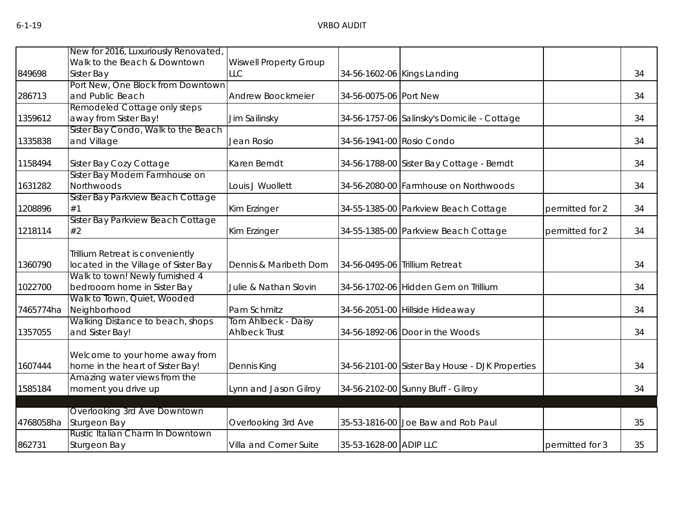|           | New for 2016, Luxuriously Renovated,                               |                               |                        |                                                 |                 |    |
|-----------|--------------------------------------------------------------------|-------------------------------|------------------------|-------------------------------------------------|-----------------|----|
|           | Walk to the Beach & Downtown                                       | <b>Wiswell Property Group</b> |                        |                                                 |                 |    |
| 849698    | Sister Bay                                                         | <b>LLC</b>                    |                        | 34-56-1602-06 Kings Landing                     |                 | 34 |
|           | Port New, One Block from Downtown                                  |                               |                        |                                                 |                 |    |
| 286713    | and Public Beach                                                   | Andrew Boockmeier             | 34-56-0075-06 Port New |                                                 |                 | 34 |
|           | Remodeled Cottage only steps                                       |                               |                        |                                                 |                 |    |
| 1359612   | away from Sister Bay!                                              | Jim Sailinsky                 |                        | 34-56-1757-06 Salinsky's Domicile - Cottage     |                 | 34 |
|           | Sister Bay Condo, Walk to the Beach                                |                               |                        |                                                 |                 |    |
| 1335838   | and Village                                                        | Jean Rosio                    |                        | 34-56-1941-00 Rosio Condo                       |                 | 34 |
| 1158494   | Sister Bay Cozy Cottage                                            | Karen Berndt                  |                        | 34-56-1788-00 Sister Bay Cottage - Berndt       |                 | 34 |
|           | Sister Bay Modern Farmhouse on                                     |                               |                        |                                                 |                 |    |
| 1631282   | Northwoods                                                         | Louis J Wuollett              |                        | 34-56-2080-00 Farmhouse on Northwoods           |                 | 34 |
|           | Sister Bay Parkview Beach Cottage                                  |                               |                        |                                                 |                 |    |
| 1208896   | #1                                                                 | Kim Erzinger                  |                        | 34-55-1385-00 Parkview Beach Cottage            | permitted for 2 | 34 |
|           | Sister Bay Parkview Beach Cottage                                  |                               |                        |                                                 |                 |    |
| 1218114   | #2                                                                 | Kim Erzinger                  |                        | 34-55-1385-00 Parkview Beach Cottage            | permitted for 2 | 34 |
|           | Trillium Retreat is conveniently                                   |                               |                        |                                                 |                 |    |
| 1360790   | located in the Village of Sister Bay                               | Dennis & Maribeth Dorn        |                        | 34-56-0495-06 Trillium Retreat                  |                 | 34 |
|           | Walk to town! Newly furnished 4                                    |                               |                        |                                                 |                 |    |
| 1022700   | bedrooom home in Sister Bay                                        | Julie & Nathan Slovin         |                        | 34-56-1702-06 Hidden Gem on Trillium            |                 | 34 |
|           | Walk to Town, Quiet, Wooded                                        |                               |                        |                                                 |                 |    |
| 7465774ha | Neighborhood                                                       | Pam Schmitz                   |                        | 34-56-2051-00 Hillside Hideaway                 |                 | 34 |
|           | Walking Distance to beach, shops                                   | Tom Ahlbeck - Daisy           |                        |                                                 |                 |    |
| 1357055   | and Sister Bay!                                                    | <b>Ahlbeck Trust</b>          |                        | 34-56-1892-06 Door in the Woods                 |                 | 34 |
|           |                                                                    |                               |                        |                                                 |                 |    |
| 1607444   | Welcome to your home away from<br>home in the heart of Sister Bay! | Dennis King                   |                        | 34-56-2101-00 Sister Bay House - DJK Properties |                 | 34 |
|           | Amazing water views from the                                       |                               |                        |                                                 |                 |    |
| 1585184   | moment you drive up                                                | Lynn and Jason Gilroy         |                        | 34-56-2102-00 Sunny Bluff - Gilroy              |                 | 34 |
|           |                                                                    |                               |                        |                                                 |                 |    |
|           | Overlooking 3rd Ave Downtown                                       |                               |                        |                                                 |                 |    |
| 4768058ha | Sturgeon Bay                                                       | Overlooking 3rd Ave           |                        | 35-53-1816-00 Joe Baw and Rob Paul              |                 | 35 |
|           | Rustic Italian Charm In Downtown                                   |                               |                        |                                                 |                 |    |
| 862731    | Sturgeon Bay                                                       | Villa and Corner Suite        | 35-53-1628-00 ADIP LLC |                                                 | permitted for 3 | 35 |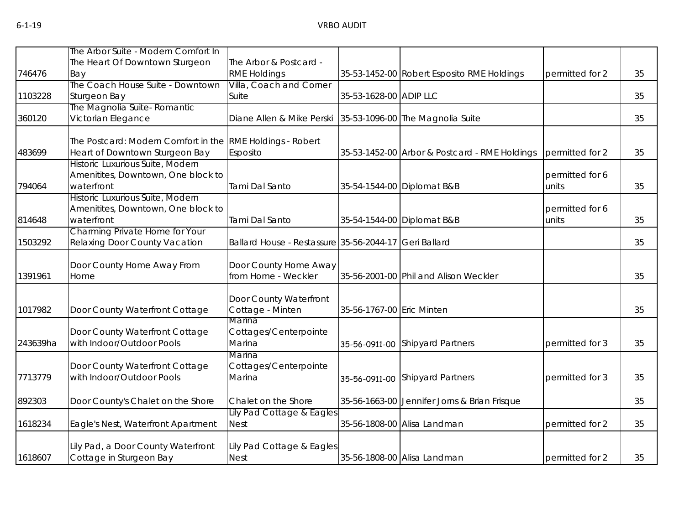|          | The Arbor Suite - Modern Comfort In                         |                                                       |                           |                                               |                 |    |
|----------|-------------------------------------------------------------|-------------------------------------------------------|---------------------------|-----------------------------------------------|-----------------|----|
|          | The Heart Of Downtown Sturgeon                              | The Arbor & Postcard -                                |                           |                                               |                 |    |
| 746476   | Bay                                                         | <b>RME Holdings</b>                                   |                           | 35-53-1452-00 Robert Esposito RME Holdings    | permitted for 2 | 35 |
|          | The Coach House Suite - Downtown                            | Villa, Coach and Corner                               |                           |                                               |                 |    |
| 1103228  | Sturgeon Bay                                                | Suite                                                 | 35-53-1628-00 ADIP LLC    |                                               |                 | 35 |
|          | The Magnolia Suite- Romantic                                |                                                       |                           |                                               |                 |    |
| 360120   | Victorian Elegance                                          | Diane Allen & Mike Perski                             |                           | 35-53-1096-00 The Magnolia Suite              |                 | 35 |
|          | The Postcard: Modern Comfort in the RME Holdings - Robert   |                                                       |                           |                                               |                 |    |
| 483699   | Heart of Downtown Sturgeon Bay                              | Esposito                                              |                           | 35-53-1452-00 Arbor & Postcard - RME Holdings | permitted for 2 | 35 |
|          | Historic Luxurious Suite, Modern                            |                                                       |                           |                                               |                 |    |
|          | Amenitites, Downtown, One block to                          |                                                       |                           |                                               | permitted for 6 |    |
| 794064   | waterfront                                                  | Tami Dal Santo                                        |                           | 35-54-1544-00 Diplomat B&B                    | units           | 35 |
|          | Historic Luxurious Suite, Modern                            |                                                       |                           |                                               |                 |    |
|          | Amenitites, Downtown, One block to                          |                                                       |                           |                                               | permitted for 6 |    |
| 814648   | waterfront                                                  | Tami Dal Santo                                        |                           | 35-54-1544-00 Diplomat B&B                    | units           | 35 |
|          | <b>Charming Private Home for Your</b>                       |                                                       |                           |                                               |                 |    |
| 1503292  | Relaxing Door County Vacation                               | Ballard House - Restassure 35-56-2044-17 Geri Ballard |                           |                                               |                 | 35 |
|          | Door County Home Away From                                  | Door County Home Away                                 |                           |                                               |                 |    |
| 1391961  | Home                                                        | from Home - Weckler                                   |                           | 35-56-2001-00 Phil and Alison Weckler         |                 | 35 |
|          |                                                             |                                                       |                           |                                               |                 |    |
|          |                                                             | Door County Waterfront                                |                           |                                               |                 |    |
| 1017982  | Door County Waterfront Cottage                              | Cottage - Minten                                      | 35-56-1767-00 Eric Minten |                                               |                 | 35 |
|          |                                                             | Marina                                                |                           |                                               |                 |    |
|          | Door County Waterfront Cottage                              | Cottages/Centerpointe                                 |                           |                                               |                 |    |
| 243639ha | with Indoor/Outdoor Pools                                   | Marina                                                | 35-56-0911-00             | <b>Shipyard Partners</b>                      | permitted for 3 | 35 |
|          |                                                             | Marina                                                |                           |                                               |                 |    |
| 7713779  | Door County Waterfront Cottage<br>with Indoor/Outdoor Pools | Cottages/Centerpointe<br>Marina                       |                           |                                               |                 |    |
|          |                                                             |                                                       | 35-56-0911-00             | <b>Shipyard Partners</b>                      | permitted for 3 | 35 |
| 892303   | Door County's Chalet on the Shore                           | Chalet on the Shore                                   |                           | 35-56-1663-00 Jennifer Jorns & Brian Frisque  |                 | 35 |
|          |                                                             | Lily Pad Cottage & Eagles                             |                           |                                               |                 |    |
| 1618234  | Eagle's Nest, Waterfront Apartment                          | <b>Nest</b>                                           |                           | 35-56-1808-00 Alisa Landman                   | permitted for 2 | 35 |
|          | Lily Pad, a Door County Waterfront                          | Lily Pad Cottage & Eagles                             |                           |                                               |                 |    |
| 1618607  | Cottage in Sturgeon Bay                                     | <b>Nest</b>                                           |                           | 35-56-1808-00 Alisa Landman                   | permitted for 2 | 35 |
|          |                                                             |                                                       |                           |                                               |                 |    |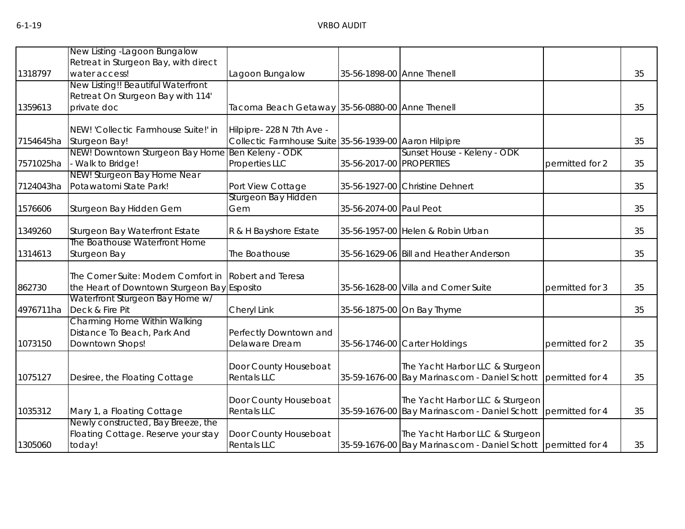|           | New Listing - Lagoon Bungalow                    |                                                        |                          |                                                               |                 |    |
|-----------|--------------------------------------------------|--------------------------------------------------------|--------------------------|---------------------------------------------------------------|-----------------|----|
|           | Retreat in Sturgeon Bay, with direct             |                                                        |                          |                                                               |                 |    |
| 1318797   | water access!                                    | Lagoon Bungalow                                        |                          | 35-56-1898-00 Anne Thenell                                    |                 | 35 |
|           | New Listing!! Beautiful Waterfront               |                                                        |                          |                                                               |                 |    |
|           | Retreat On Sturgeon Bay with 114'                |                                                        |                          |                                                               |                 |    |
| 1359613   | private doc                                      | Tacoma Beach Getaway 35-56-0880-00 Anne Thenell        |                          |                                                               |                 | 35 |
|           |                                                  |                                                        |                          |                                                               |                 |    |
|           | NEW! 'Collectic Farmhouse Suite!' in             | Hilpipre- 228 N 7th Ave -                              |                          |                                                               |                 |    |
| 7154645ha | Sturgeon Bay!                                    | Collectic Farmhouse Suite 35-56-1939-00 Aaron Hilpipre |                          |                                                               |                 | 35 |
|           | NEW! Downtown Sturgeon Bay Home Ben Keleny - ODK |                                                        |                          | Sunset House - Keleny - ODK                                   |                 |    |
| 7571025ha | - Walk to Bridge!                                | Properties LLC                                         | 35-56-2017-00 PROPERTIES |                                                               | permitted for 2 | 35 |
|           | NEW! Sturgeon Bay Home Near                      |                                                        |                          |                                                               |                 |    |
| 7124043ha | Potawatomi State Park!                           | Port View Cottage                                      |                          | 35-56-1927-00 Christine Dehnert                               |                 | 35 |
|           |                                                  | Sturgeon Bay Hidden                                    |                          |                                                               |                 |    |
| 1576606   | Sturgeon Bay Hidden Gem                          | Gem                                                    | 35-56-2074-00 Paul Peot  |                                                               |                 | 35 |
|           |                                                  |                                                        |                          |                                                               |                 |    |
| 1349260   | Sturgeon Bay Waterfront Estate                   | R & H Bayshore Estate                                  |                          | 35-56-1957-00 Helen & Robin Urban                             |                 | 35 |
|           | The Boathouse Waterfront Home                    |                                                        |                          |                                                               |                 |    |
| 1314613   | Sturgeon Bay                                     | The Boathouse                                          |                          | 35-56-1629-06 Bill and Heather Anderson                       |                 | 35 |
|           |                                                  |                                                        |                          |                                                               |                 |    |
|           | The Corner Suite: Modern Comfort in              | Robert and Teresa                                      |                          |                                                               |                 |    |
| 862730    | the Heart of Downtown Sturgeon Bay Esposito      |                                                        |                          | 35-56-1628-00 Villa and Corner Suite                          | permitted for 3 | 35 |
|           | Waterfront Sturgeon Bay Home w/                  |                                                        |                          |                                                               |                 |    |
| 4976711ha | Deck & Fire Pit                                  | Cheryl Link                                            |                          | 35-56-1875-00 On Bay Thyme                                    |                 | 35 |
|           | Charming Home Within Walking                     |                                                        |                          |                                                               |                 |    |
|           | Distance To Beach, Park And                      | Perfectly Downtown and                                 |                          |                                                               |                 |    |
| 1073150   | Downtown Shops!                                  | Delaware Dream                                         |                          | 35-56-1746-00 Carter Holdings                                 | permitted for 2 | 35 |
|           |                                                  |                                                        |                          |                                                               |                 |    |
|           |                                                  | Door County Houseboat                                  |                          | The Yacht Harbor LLC & Sturgeon                               |                 |    |
| 1075127   | Desiree, the Floating Cottage                    | Rentals LLC                                            |                          | 35-59-1676-00 Bay Marinas.com - Daniel Schott                 | permitted for 4 | 35 |
|           |                                                  |                                                        |                          |                                                               |                 |    |
|           |                                                  | Door County Houseboat                                  |                          | The Yacht Harbor LLC & Sturgeon                               |                 |    |
| 1035312   | Mary 1, a Floating Cottage                       | <b>Rentals LLC</b>                                     |                          | 35-59-1676-00 Bay Marinas.com - Daniel Schott permitted for 4 |                 | 35 |
|           | Newly constructed, Bay Breeze, the               |                                                        |                          |                                                               |                 |    |
|           | Floating Cottage. Reserve your stay              | Door County Houseboat                                  |                          | The Yacht Harbor LLC & Sturgeon                               |                 |    |
| 1305060   | today!                                           | <b>Rentals LLC</b>                                     |                          | 35-59-1676-00 Bay Marinas.com - Daniel Schott permitted for 4 |                 | 35 |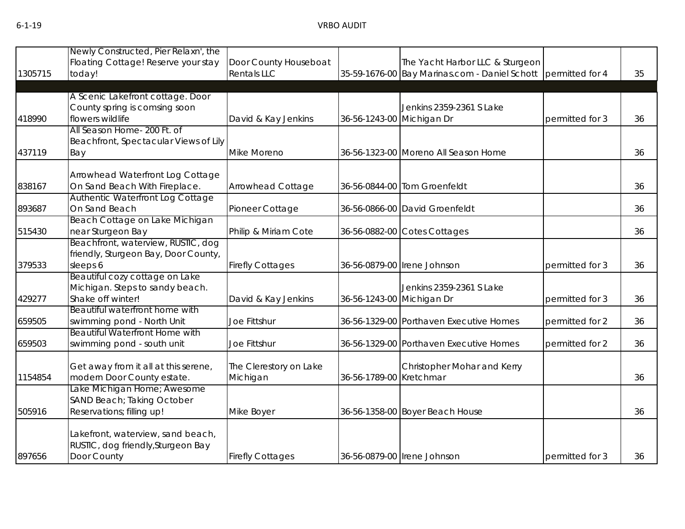| 1305715 | Newly Constructed, Pier Relaxn', the<br>Floating Cottage! Reserve your stay<br>today!  | Door County Houseboat<br><b>Rentals LLC</b> |                           | The Yacht Harbor LLC & Sturgeon<br>35-59-1676-00 Bay Marinas.com - Daniel Schott permitted for 4 |                 | 35 |
|---------|----------------------------------------------------------------------------------------|---------------------------------------------|---------------------------|--------------------------------------------------------------------------------------------------|-----------------|----|
|         | A Scenic Lakefront cottage. Door<br>County spring is comsing soon                      |                                             |                           | Jenkins 2359-2361 S Lake                                                                         |                 |    |
| 418990  | flowers wildlife                                                                       | David & Kay Jenkins                         | 36-56-1243-00 Michigan Dr |                                                                                                  | permitted for 3 | 36 |
|         | All Season Home- 200 Ft. of<br>Beachfront, Spectacular Views of Lily                   |                                             |                           |                                                                                                  |                 |    |
| 437119  | Bay                                                                                    | Mike Moreno                                 |                           | 36-56-1323-00 Moreno All Season Home                                                             |                 | 36 |
| 838167  | Arrowhead Waterfront Log Cottage<br>On Sand Beach With Fireplace.                      | <b>Arrowhead Cottage</b>                    |                           | 36-56-0844-00 Tom Groenfeldt                                                                     |                 | 36 |
| 893687  | Authentic Waterfront Log Cottage<br>On Sand Beach                                      | Pioneer Cottage                             |                           | 36-56-0866-00 David Groenfeldt                                                                   |                 | 36 |
| 515430  | Beach Cottage on Lake Michigan<br>near Sturgeon Bay                                    | Philip & Miriam Cote                        |                           | 36-56-0882-00 Cotes Cottages                                                                     |                 | 36 |
| 379533  | Beachfront, waterview, RUSTIC, dog<br>friendly, Sturgeon Bay, Door County,<br>sleeps 6 | <b>Firefly Cottages</b>                     |                           | 36-56-0879-00 Irene Johnson                                                                      | permitted for 3 | 36 |
| 429277  | Beautiful cozy cottage on Lake<br>Michigan. Steps to sandy beach.<br>Shake off winter! | David & Kay Jenkins                         |                           | Jenkins 2359-2361 S Lake<br>36-56-1243-00 Michigan Dr<br>permitted for 3                         |                 | 36 |
| 659505  | Beautiful waterfront home with<br>swimming pond - North Unit                           | Joe Fittshur                                |                           | 36-56-1329-00 Porthaven Executive Homes<br>permitted for 2                                       |                 | 36 |
| 659503  | <b>Beautiful Waterfront Home with</b><br>swimming pond - south unit                    | Joe Fittshur                                |                           | 36-56-1329-00 Porthaven Executive Homes                                                          | permitted for 2 | 36 |
| 1154854 | Get away from it all at this serene,<br>modern Door County estate.                     | The Clerestory on Lake<br>Michigan          |                           | Christopher Mohar and Kerry<br>36-56-1789-00 Kretchmar                                           |                 | 36 |
| 505916  | Lake Michigan Home; Awesome<br>SAND Beach; Taking October<br>Reservations; filling up! | Mike Boyer                                  |                           | 36-56-1358-00 Boyer Beach House                                                                  |                 | 36 |
| 897656  | Lakefront, waterview, sand beach,<br>RUSTIC, dog friendly, Sturgeon Bay<br>Door County | <b>Firefly Cottages</b>                     |                           | 36-56-0879-00 Irene Johnson                                                                      | permitted for 3 | 36 |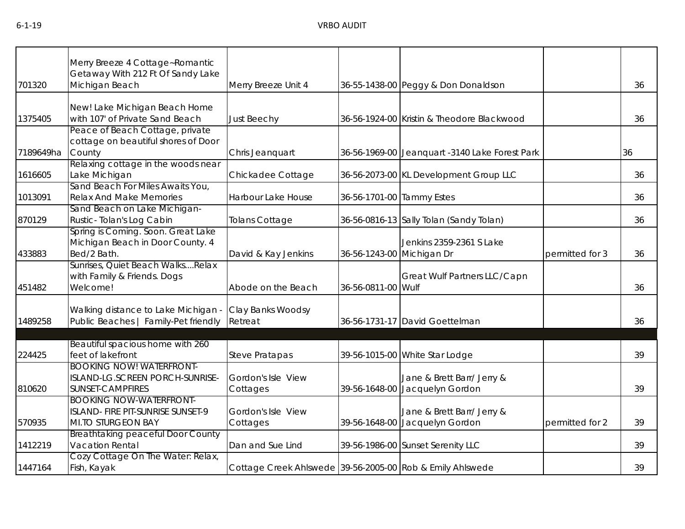|           | Merry Breeze 4 Cottage~Romantic                                                                  |                                                           |                           |                                                                                 |  |    |
|-----------|--------------------------------------------------------------------------------------------------|-----------------------------------------------------------|---------------------------|---------------------------------------------------------------------------------|--|----|
| 701320    | Getaway With 212 Ft Of Sandy Lake<br>Michigan Beach                                              | Merry Breeze Unit 4                                       |                           | 36-55-1438-00 Peggy & Don Donaldson                                             |  | 36 |
| 1375405   | New! Lake Michigan Beach Home<br>with 107' of Private Sand Beach                                 | <b>Just Beechy</b>                                        |                           | 36-56-1924-00 Kristin & Theodore Blackwood                                      |  | 36 |
|           | Peace of Beach Cottage, private<br>cottage on beautiful shores of Door                           |                                                           |                           |                                                                                 |  |    |
| 7189649ha | County                                                                                           | Chris Jeanquart                                           |                           | 36-56-1969-00 Jeanquart -3140 Lake Forest Park                                  |  | 36 |
| 1616605   | Relaxing cottage in the woods near<br>Lake Michigan                                              | Chickadee Cottage                                         |                           | 36-56-2073-00 KL Development Group LLC                                          |  | 36 |
| 1013091   | Sand Beach For Miles Awaits You,<br><b>Relax And Make Memories</b>                               | Harbour Lake House                                        | 36-56-1701-00 Tammy Estes |                                                                                 |  | 36 |
| 870129    | Sand Beach on Lake Michigan-<br>Rustic-Tolan's Log Cabin                                         | <b>Tolans Cottage</b>                                     |                           | 36-56-0816-13 Sally Tolan (Sandy Tolan)                                         |  | 36 |
| 433883    | Spring is Coming. Soon. Great Lake<br>Michigan Beach in Door County. 4<br>Bed/2 Bath.            | David & Kay Jenkins                                       |                           | Jenkins 2359-2361 S Lake<br>36-56-1243-00 Michigan Dr<br>permitted for 3        |  | 36 |
| 451482    | Sunrises, Quiet Beach WalksRelax<br>with Family & Friends. Dogs<br>Welcome!                      | Abode on the Beach                                        | 36-56-0811-00 Wulf        | Great Wulf Partners LLC/Capn                                                    |  | 36 |
| 1489258   | Walking distance to Lake Michigan -<br>Public Beaches   Family-Pet friendly                      | Clay Banks Woodsy<br>Retreat                              |                           | 36-56-1731-17 David Goettelman                                                  |  | 36 |
|           | Beautiful spacious home with 260                                                                 |                                                           |                           |                                                                                 |  |    |
| 224425    | feet of lakefront                                                                                | <b>Steve Pratapas</b>                                     |                           | 39-56-1015-00 White Star Lodge                                                  |  | 39 |
| 810620    | <b>BOOKING NOW! WATERFRONT-</b><br>ISLAND-LG.SCREEN PORCH-SUNRISE-<br><b>SUNSET-CAMPFIRES</b>    | Gordon's Isle View<br>Cottages                            | 39-56-1648-00             | Jane & Brett Barr/ Jerry &<br>Jacquelyn Gordon                                  |  | 39 |
| 570935    | <b>BOOKING NOW-WATERFRONT-</b><br>ISLAND- FIRE PIT-SUNRISE SUNSET-9<br><b>MI.TO STURGEON BAY</b> | Gordon's Isle View<br>Cottages                            |                           | Jane & Brett Barr/ Jerry &<br>39-56-1648-00 Jacquelyn Gordon<br>permitted for 2 |  | 39 |
| 1412219   | <b>Breathtaking peaceful Door County</b><br><b>Vacation Rental</b>                               | Dan and Sue Lind                                          |                           | 39-56-1986-00 Sunset Serenity LLC                                               |  | 39 |
| 1447164   | Cozy Cottage On The Water: Relax,<br>Fish, Kayak                                                 | Cottage Creek Ahlswede 39-56-2005-00 Rob & Emily Ahlswede |                           |                                                                                 |  | 39 |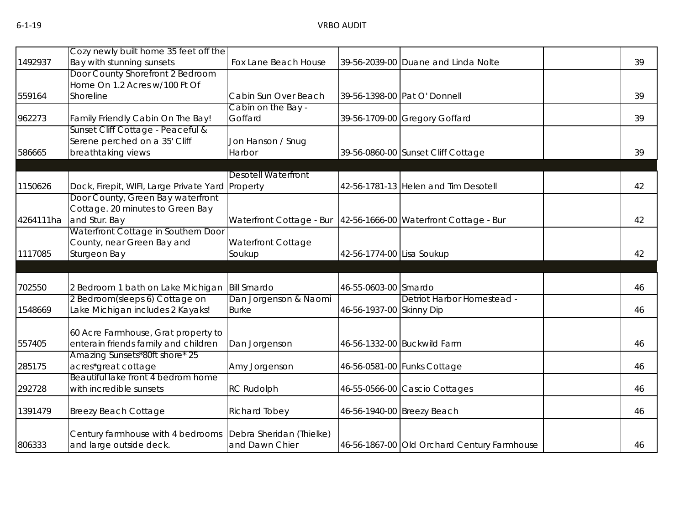|           | Cozy newly built home 35 feet off the                                                 |                            |                           |                                                                   |    |
|-----------|---------------------------------------------------------------------------------------|----------------------------|---------------------------|-------------------------------------------------------------------|----|
| 1492937   | Bay with stunning sunsets<br>Door County Shorefront 2 Bedroom                         | Fox Lane Beach House       |                           | 39-56-2039-00 Duane and Linda Nolte                               | 39 |
|           | Home On 1.2 Acres w/100 Ft Of                                                         |                            |                           |                                                                   |    |
| 559164    | Shoreline                                                                             | Cabin Sun Over Beach       |                           | 39-56-1398-00 Pat O' Donnell                                      | 39 |
|           |                                                                                       | Cabin on the Bay -         |                           |                                                                   |    |
| 962273    | Family Friendly Cabin On The Bay!                                                     | Goffard                    |                           | 39-56-1709-00 Gregory Goffard                                     | 39 |
|           | Sunset Cliff Cottage - Peaceful &                                                     |                            |                           |                                                                   |    |
|           | Serene perched on a 35' Cliff                                                         | Jon Hanson / Snug          |                           |                                                                   |    |
| 586665    | breathtaking views                                                                    | Harbor                     |                           | 39-56-0860-00 Sunset Cliff Cottage                                | 39 |
|           |                                                                                       |                            |                           |                                                                   |    |
|           |                                                                                       | <b>Desotell Waterfront</b> |                           |                                                                   |    |
| 1150626   | Dock, Firepit, WIFI, Large Private Yard Property<br>Door County, Green Bay waterfront |                            |                           | 42-56-1781-13 Helen and Tim Desotell                              | 42 |
|           | Cottage. 20 minutes to Green Bay                                                      |                            |                           |                                                                   |    |
| 4264111ha | and Stur. Bay                                                                         |                            |                           | Waterfront Cottage - Bur   42-56-1666-00 Waterfront Cottage - Bur | 42 |
|           | Waterfront Cottage in Southern Door                                                   |                            |                           |                                                                   |    |
|           | County, near Green Bay and                                                            | Waterfront Cottage         |                           |                                                                   |    |
| 1117085   | Sturgeon Bay                                                                          | Soukup                     | 42-56-1774-00 Lisa Soukup |                                                                   | 42 |
|           |                                                                                       |                            |                           |                                                                   |    |
|           |                                                                                       |                            |                           |                                                                   |    |
| 702550    | 2 Bedroom 1 bath on Lake Michigan                                                     | <b>Bill Smardo</b>         | 46-55-0603-00 Smardo      |                                                                   | 46 |
|           | 2 Bedroom(sleeps 6) Cottage on                                                        | Dan Jorgenson & Naomi      |                           | Detriot Harbor Homestead -                                        |    |
| 1548669   | Lake Michigan includes 2 Kayaks!                                                      | <b>Burke</b>               | 46-56-1937-00 Skinny Dip  |                                                                   | 46 |
|           |                                                                                       |                            |                           |                                                                   |    |
| 557405    | 60 Acre Farmhouse, Grat property to<br>enterain friends family and children           | Dan Jorgenson              |                           | 46-56-1332-00 Buckwild Farm                                       | 46 |
|           | Amazing Sunsets*80ft shore* 25                                                        |                            |                           |                                                                   |    |
| 285175    | acres*great cottage                                                                   | Amy Jorgenson              |                           | 46-56-0581-00 Funks Cottage                                       | 46 |
|           | Beautiful lake front 4 bedrom home                                                    |                            |                           |                                                                   |    |
| 292728    | with incredible sunsets                                                               | <b>RC Rudolph</b>          |                           | 46-55-0566-00 Cascio Cottages                                     | 46 |
|           |                                                                                       |                            |                           |                                                                   |    |
| 1391479   | <b>Breezy Beach Cottage</b>                                                           | <b>Richard Tobey</b>       |                           | 46-56-1940-00 Breezy Beach                                        | 46 |
|           | Century farmhouse with 4 bedrooms                                                     | Debra Sheridan (Thielke)   |                           |                                                                   |    |
| 806333    | and large outside deck.                                                               | and Dawn Chier             |                           | 46-56-1867-00 Old Orchard Century Farmhouse                       | 46 |
|           |                                                                                       |                            |                           |                                                                   |    |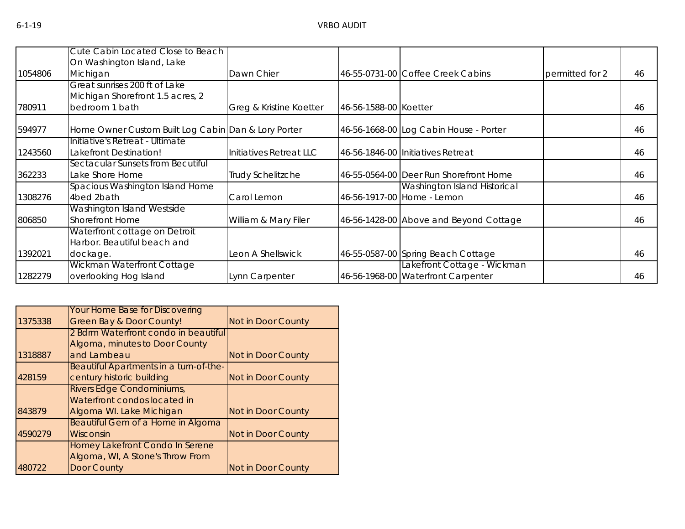|         | Cute Cabin Located Close to Beach                            |                          |                       |                                                                   |                 |    |
|---------|--------------------------------------------------------------|--------------------------|-----------------------|-------------------------------------------------------------------|-----------------|----|
|         | On Washington Island, Lake                                   |                          |                       |                                                                   |                 |    |
| 1054806 | Michigan                                                     | Dawn Chier               |                       | 46-55-0731-00 Coffee Creek Cabins                                 | permitted for 2 | 46 |
|         | Great sunrises 200 ft of Lake                                |                          |                       |                                                                   |                 |    |
|         | Michigan Shorefront 1.5 acres, 2                             |                          |                       |                                                                   |                 |    |
| 780911  | bedroom 1 bath                                               | Greg & Kristine Koetter  | 46-56-1588-00 Koetter |                                                                   |                 | 46 |
| 594977  | Home Owner Custom Built Log Cabin Dan & Lory Porter          |                          |                       | 46-56-1668-00 Log Cabin House - Porter                            |                 | 46 |
|         | Initiative's Retreat - Ultimate                              |                          |                       |                                                                   |                 |    |
| 1243560 | Lakefront Destination!                                       | Initiatives Retreat LLC  |                       | 46-56-1846-00 Initiatives Retreat                                 |                 | 46 |
|         | Sectacular Sunsets from Becutiful                            |                          |                       |                                                                   |                 |    |
| 362233  | Lake Shore Home                                              | <b>Trudy Schelitzche</b> |                       | 46-55-0564-00 Deer Run Shorefront Home                            |                 | 46 |
| 1308276 | Spacious Washington Island Home<br>4bed 2bath                | Carol Lemon              |                       | Washington Island Historical<br>46-56-1917-00 Home - Lemon        | 46              |    |
|         | Washington Island Westside                                   |                          |                       |                                                                   |                 |    |
| 806850  | <b>Shorefront Home</b>                                       | William & Mary Filer     |                       | 46-56-1428-00 Above and Beyond Cottage                            |                 | 46 |
|         | Waterfront cottage on Detroit<br>Harbor. Beautiful beach and |                          |                       |                                                                   |                 |    |
| 1392021 | dockage.                                                     | Leon A Shellswick        |                       | 46-55-0587-00 Spring Beach Cottage                                |                 | 46 |
| 1282279 | Wickman Waterfront Cottage<br>overlooking Hog Island         | Lynn Carpenter           |                       | Lakefront Cottage - Wickman<br>46-56-1968-00 Waterfront Carpenter |                 | 46 |

|         | <b>Your Home Base for Discovering</b>  |                    |
|---------|----------------------------------------|--------------------|
| 1375338 | <b>Green Bay &amp; Door County!</b>    | Not in Door County |
|         | 2 Bdrm Waterfront condo in beautiful   |                    |
|         | Algoma, minutes to Door County         |                    |
| 1318887 | and Lambeau                            | Not in Door County |
|         | Beautiful Apartments in a turn-of-the- |                    |
| 428159  | century historic building              | Not in Door County |
|         | Rivers Edge Condominiums,              |                    |
|         | Waterfront condos located in           |                    |
| 843879  | Algoma WI. Lake Michigan               | Not in Door County |
|         | Beautiful Gem of a Home in Algoma      |                    |
| 4590279 | Wisconsin                              | Not in Door County |
|         | Homey Lakefront Condo In Serene        |                    |
|         | Algoma, WI, A Stone's Throw From       |                    |
| 480722  | <b>Door County</b>                     | Not in Door County |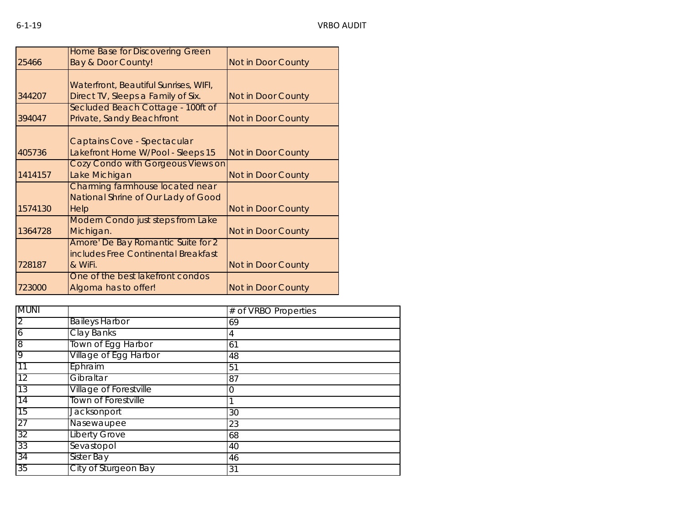|         | Home Base for Discovering Green       |                    |
|---------|---------------------------------------|--------------------|
| 25466   | <b>Bay &amp; Door County!</b>         | Not in Door County |
|         |                                       |                    |
|         | Waterfront, Beautiful Sunrises, WIFI, |                    |
| 344207  | Direct TV, Sleeps a Family of Six.    | Not in Door County |
|         | Secluded Beach Cottage - 100ft of     |                    |
| 394047  | Private, Sandy Beachfront             | Not in Door County |
|         |                                       |                    |
|         | Captains Cove - Spectacular           |                    |
| 405736  | Lakefront Home W/Pool - Sleeps 15     | Not in Door County |
|         | Cozy Condo with Gorgeous Views on     |                    |
| 1414157 | Lake Michigan                         | Not in Door County |
|         | Charming farmhouse located near       |                    |
|         | National Shrine of Our Lady of Good   |                    |
| 1574130 | Help                                  | Not in Door County |
|         | Modern Condo just steps from Lake     |                    |
| 1364728 | Michigan.                             | Not in Door County |
|         | Amore' De Bay Romantic Suite for 2    |                    |
|         | includes Free Continental Breakfast   |                    |
| 728187  | & WiFi.                               | Not in Door County |
|         | One of the best lakefront condos      |                    |
| 723000  | Algoma has to offer!                  | Not in Door County |

| <b>MUNI</b>    |                               | # of VRBO Properties |
|----------------|-------------------------------|----------------------|
| $\overline{2}$ | <b>Baileys Harbor</b>         | 69                   |
| $\overline{6}$ | <b>Clay Banks</b>             | 4                    |
| 8              | Town of Egg Harbor            | 61                   |
| 9              | Village of Egg Harbor         | 48                   |
| 11             | Ephraim                       | 51                   |
| 12             | Gibraltar                     | 87                   |
| 13             | <b>Village of Forestville</b> |                      |
| 14             | Town of Forestville           |                      |
| 15             | Jacksonport                   | 30                   |
| 27             | Nasewaupee                    | 23                   |
| 32             | <b>Liberty Grove</b>          | 68                   |
| 33             | Sevastopol                    | 40                   |
| 34             | <b>Sister Bay</b>             | 46                   |
| 35             | City of Sturgeon Bay          | 31                   |